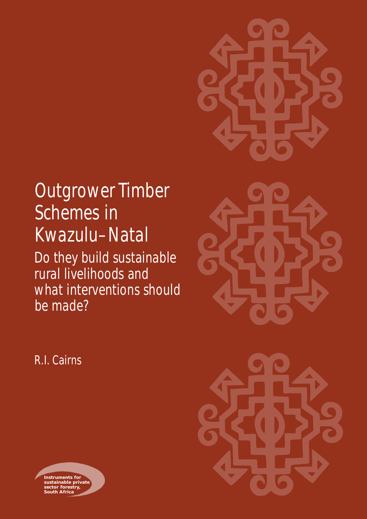# Outgrower Timber Schemes in Kwazulu–Natal Do they build sustainable rural livelihoods and what interventions should be made?



R.I. Cairns



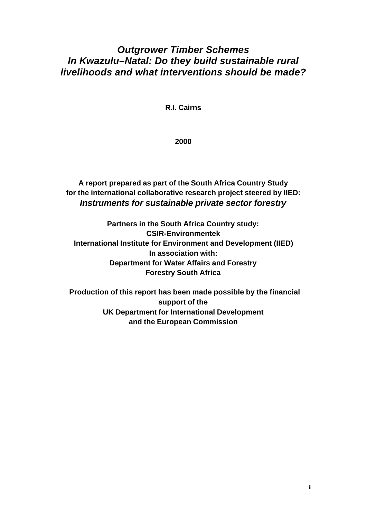# *Outgrower Timber Schemes In Kwazulu–Natal: Do they build sustainable rural livelihoods and what interventions should be made?*

**R.I. Cairns**

**2000**

**A report prepared as part of the South Africa Country Study for the international collaborative research project steered by IIED:** *Instruments for sustainable private sector forestry*

**Partners in the South Africa Country study: CSIR-Environmentek International Institute for Environment and Development (IIED) In association with: Department for Water Affairs and Forestry Forestry South Africa**

 **Production of this report has been made possible by the financial support of the UK Department for International Development and the European Commission**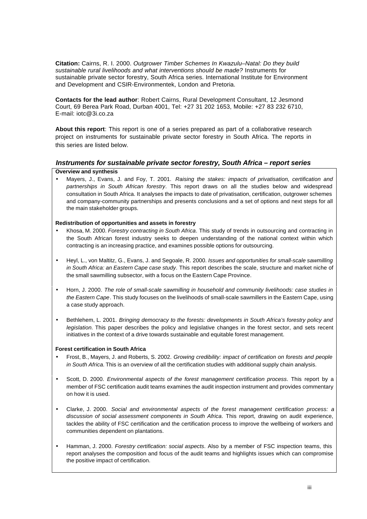**Citation:** Cairns, R. I. 2000. *Outgrower Timber Schemes In Kwazulu–Natal: Do they build sustainable rural livelihoods and what interventions should be made?* Instruments for sustainable private sector forestry, South Africa series. International Institute for Environment and Development and CSIR-Environmentek, London and Pretoria.

**Contacts for the lead author**: Robert Cairns, Rural Development Consultant, 12 Jesmond Court, 69 Berea Park Road, Durban 4001, Tel: +27 31 202 1653, Mobile: +27 83 232 6710, E-mail: iotc@3i.co.za

**About this report**: This report is one of a series prepared as part of a collaborative research project on instruments for sustainable private sector forestry in South Africa. The reports in this series are listed below.

#### *Instruments for sustainable private sector forestry, South Africa – report series*

#### **Overview and synthesis**

• Mayers, J., Evans, J. and Foy, T. 2001. *Raising the stakes: impacts of privatisation, certification and partnerships in South African forestry*. This report draws on all the studies below and widespread consultation in South Africa. It analyses the impacts to date of privatisation, certification, outgrower schemes and company-community partnerships and presents conclusions and a set of options and next steps for all the main stakeholder groups.

#### **Redistribution of opportunities and assets in forestry**

- Khosa, M. 2000. *Forestry contracting in South Africa*. This study of trends in outsourcing and contracting in the South African forest industry seeks to deepen understanding of the national context within which contracting is an increasing practice, and examines possible options for outsourcing.
- Heyl, L., von Maltitz, G., Evans, J. and Segoale, R. 2000. *Issues and opportunities for small-scale sawmilling in South Africa: an Eastern Cape case study*. This report describes the scale, structure and market niche of the small sawmilling subsector, with a focus on the Eastern Cape Province.
- Horn, J. 2000. *The role of small-scale sawmilling in household and community livelihoods: case studies in the Eastern Cape*. This study focuses on the livelihoods of small-scale sawmillers in the Eastern Cape, using a case study approach.
- Bethlehem, L. 2001. *Bringing democracy to the forests: developments in South Africa's forestry policy and legislation.* This paper describes the policy and legislative changes in the forest sector, and sets recent initiatives in the context of a drive towards sustainable and equitable forest management.

#### **Forest certification in South Africa**

- Frost, B., Mayers, J. and Roberts, S. 2002. *Growing credibility: impact of certification on forests and people in South Africa.* This is an overview of all the certification studies with additional supply chain analysis.
- Scott, D. 2000. *Environmental aspects of the forest management certification process*. This report by a member of FSC certification audit teams examines the audit inspection instrument and provides commentary on how it is used.
- Clarke, J. 2000. *Social and environmental aspects of the forest management certification process: a discussion of social assessment components in South Africa*. This report, drawing on audit experience, tackles the ability of FSC certification and the certification process to improve the wellbeing of workers and communities dependent on plantations.
- Hamman, J. 2000. *Forestry certification: social aspects*. Also by a member of FSC inspection teams, this report analyses the composition and focus of the audit teams and highlights issues which can compromise the positive impact of certification.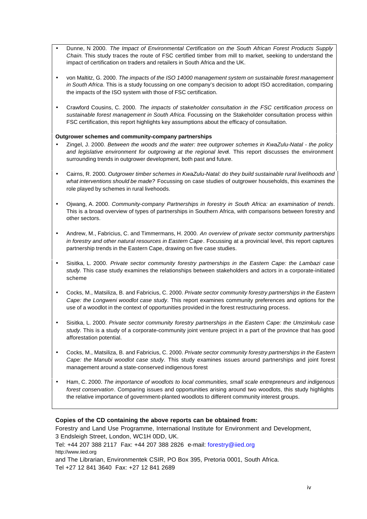- Dunne, N 2000. *The Impact of Environmental Certification on the South African Forest Products Supply Chain.* This study traces the route of FSC certified timber from mill to market, seeking to understand the impact of certification on traders and retailers in South Africa and the UK.
- von Maltitz, G. 2000. *The impacts of the ISO 14000 management system on sustainable forest management in South Africa*. This is a study focussing on one company's decision to adopt ISO accreditation, comparing the impacts of the ISO system with those of FSC certification.
- Crawford Cousins, C. 2000. *The impacts of stakeholder consultation in the FSC certification process on sustainable forest management in South Africa.* Focussing on the Stakeholder consultation process within FSC certification, this report highlights key assumptions about the efficacy of consultation.

#### **Outgrower schemes and community-company partnerships**

- Zingel, J. 2000. *Between the woods and the water: tree outgrower schemes in KwaZulu-Natal the policy and legislative environment for outgrowing at the regional leve*l. This report discusses the environment surrounding trends in outgrower development, both past and future.
- Cairns, R. 2000. *Outgrower timber schemes in KwaZulu-Natal: do they build sustainable rural livelihoods and what interventions should be made?* Focussing on case studies of outgrower households, this examines the role played by schemes in rural livehoods.
- Ojwang, A. 2000. *Community-company Partnerships in forestry in South Africa: an examination of trends*. This is a broad overview of types of partnerships in Southern Africa, with comparisons between forestry and other sectors.
- Andrew, M., Fabricius, C. and Timmermans, H. 2000. *An overview of private sector community partnerships in forestry and other natural resources in Eastern Cape*. Focussing at a provincial level, this report captures partnership trends in the Eastern Cape, drawing on five case studies.
- Sisitka, L. 2000. *Private sector community forestry partnerships in the Eastern Cape: the Lambazi case study.* This case study examines the relationships between stakeholders and actors in a corporate-initiated scheme
- Cocks, M., Matsiliza, B. and Fabricius, C. 2000. *Private sector community forestry partnerships in the Eastern Cape: the Longweni woodlot case study*. This report examines community preferences and options for the use of a woodlot in the context of opportunities provided in the forest restructuring process.
- Sisitka, L. 2000. *Private sector community forestry partnerships in the Eastern Cape: the Umzimkulu case study*. This is a study of a corporate-community joint venture project in a part of the province that has good afforestation potential.
- Cocks, M., Matsiliza, B. and Fabricius, C. 2000. *Private sector community forestry partnerships in the Eastern Cape: the Manubi woodlot case study*. This study examines issues around partnerships and joint forest management around a state-conserved indigenous forest
- Ham, C. 2000. *The importance of woodlots to local communities, small scale entrepreneurs and indigenous forest conservation*. Comparing issues and opportunities arising around two woodlots, this study highlights the relative importance of government-planted woodlots to different community interest groups.

#### **Copies of the CD containing the above reports can be obtained from:**

Forestry and Land Use Programme, International Institute for Environment and Development, 3 Endsleigh Street, London, WC1H 0DD, UK.

Tel: +44 207 388 2117 Fax: +44 207 388 2826 e-mail: forestry@iied.org http://www.iied.org

and The Librarian, Environmentek CSIR, PO Box 395, Pretoria 0001, South Africa. Tel +27 12 841 3640 Fax: +27 12 841 2689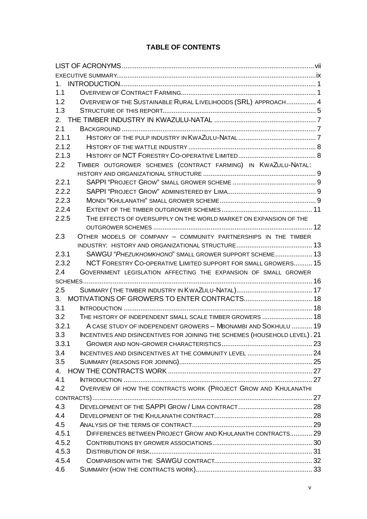# **TABLE OF CONTENTS**

| $1_{-}$ |                                                                            |  |
|---------|----------------------------------------------------------------------------|--|
| 1.1     |                                                                            |  |
| 1.2     | OVERVIEW OF THE SUSTAINABLE RURAL LIVELIHOODS (SRL) APPROACH 4             |  |
| 1.3     |                                                                            |  |
| 2.      |                                                                            |  |
| 2.1     |                                                                            |  |
| 2.1.1   |                                                                            |  |
| 2.1.2   |                                                                            |  |
| 2.1.3   |                                                                            |  |
| 2.2     | TIMBER OUTGROWER SCHEMES (CONTRACT FARMING) IN KWAZULU-NATAL:              |  |
|         |                                                                            |  |
| 2.2.1   |                                                                            |  |
| 2.2.2   |                                                                            |  |
| 2.2.3   |                                                                            |  |
| 2.2.4   |                                                                            |  |
| 2.2.5   | THE EFFECTS OF OVERSUPPLY ON THE WORLD MARKET ON EXPANSION OF THE          |  |
|         |                                                                            |  |
| 2.3     | OTHER MODELS OF COMPANY - COMMUNITY PARTNERSHIPS IN THE TIMBER             |  |
|         |                                                                            |  |
| 2.3.1   | SAWGU "PHEZUKHOMKHONO" SMALL GROWER SUPPORT SCHEME 13                      |  |
| 2.3.2   | NCT FORESTRY CO-OPERATIVE LIMITED SUPPORT FOR SMALL GROWERS 15             |  |
| 2.4     | GOVERNMENT LEGISLATION AFFECTING THE EXPANSION OF SMALL GROWER             |  |
|         |                                                                            |  |
| 2.5     |                                                                            |  |
| 3.      |                                                                            |  |
| 3.1     |                                                                            |  |
| 3.2     | THE HISTORY OF INDEPENDENT SMALL SCALE TIMBER GROWERS  18                  |  |
| 3.2.1   | A CASE STUDY OF INDEPENDENT GROWERS - MBONAMBI AND SOKHULU  19             |  |
| 3.3     | INCENTIVES AND DISINCENTIVES FOR JOINING THE SCHEMES (HOUSEHOLD LEVEL). 21 |  |
| 3.3.1   |                                                                            |  |
| 3.4     |                                                                            |  |
| 3.5     |                                                                            |  |
| 4.      |                                                                            |  |
| 4.1     |                                                                            |  |
| 4.2     | OVERVIEW OF HOW THE CONTRACTS WORK (PROJECT GROW AND KHULANATHI            |  |
|         |                                                                            |  |
| 4.3     |                                                                            |  |
| 4.4     |                                                                            |  |
| 4.5     |                                                                            |  |
| 4.5.1   | DIFFERENCES BETWEEN PROJECT GROW AND KHULANATHI CONTRACTS 29               |  |
| 4.5.2   |                                                                            |  |
| 4.5.3   |                                                                            |  |
| 4.5.4   |                                                                            |  |
| 4.6     |                                                                            |  |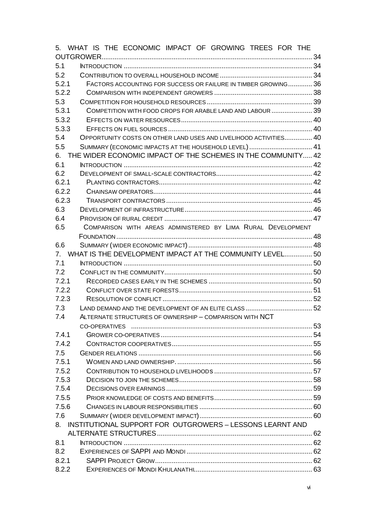|       | 5. WHAT IS THE ECONOMIC IMPACT OF GROWING TREES FOR THE           |  |  |  |
|-------|-------------------------------------------------------------------|--|--|--|
|       |                                                                   |  |  |  |
| 5.1   |                                                                   |  |  |  |
| 5.2   |                                                                   |  |  |  |
| 5.2.1 | FACTORS ACCOUNTING FOR SUCCESS OR FAILURE IN TIMBER GROWING 36    |  |  |  |
| 5.2.2 |                                                                   |  |  |  |
| 5.3   |                                                                   |  |  |  |
| 5.3.1 | COMPETITION WITH FOOD CROPS FOR ARABLE LAND AND LABOUR  39        |  |  |  |
| 5.3.2 |                                                                   |  |  |  |
| 5.3.3 |                                                                   |  |  |  |
| 5.4   | OPPORTUNITY COSTS ON OTHER LAND USES AND LIVELIHOOD ACTIVITIES 40 |  |  |  |
| 5.5   | SUMMARY (ECONOMIC IMPACTS AT THE HOUSEHOLD LEVEL)  41             |  |  |  |
| 6.    | THE WIDER ECONOMIC IMPACT OF THE SCHEMES IN THE COMMUNITY 42      |  |  |  |
| 6.1   |                                                                   |  |  |  |
| 6.2   |                                                                   |  |  |  |
| 6.2.1 |                                                                   |  |  |  |
| 6.2.2 |                                                                   |  |  |  |
| 6.2.3 |                                                                   |  |  |  |
| 6.3   |                                                                   |  |  |  |
| 6.4   |                                                                   |  |  |  |
| 6.5   | COMPARISON WITH AREAS ADMINISTERED BY LIMA RURAL DEVELOPMENT      |  |  |  |
|       |                                                                   |  |  |  |
| 6.6   |                                                                   |  |  |  |
| 7.    | WHAT IS THE DEVELOPMENT IMPACT AT THE COMMUNITY LEVEL 50          |  |  |  |
| 7.1   |                                                                   |  |  |  |
| 7.2   |                                                                   |  |  |  |
| 7.2.1 |                                                                   |  |  |  |
| 7.2.2 |                                                                   |  |  |  |
| 7.2.3 |                                                                   |  |  |  |
| 7.3   |                                                                   |  |  |  |
| 7.4   | ALTERNATE STRUCTURES OF OWNERSHIP - COMPARISON WITH NCT           |  |  |  |
|       |                                                                   |  |  |  |
| 7.4.1 |                                                                   |  |  |  |
| 7.4.2 |                                                                   |  |  |  |
| 7.5   |                                                                   |  |  |  |
| 7.5.1 |                                                                   |  |  |  |
| 7.5.2 |                                                                   |  |  |  |
| 7.5.3 |                                                                   |  |  |  |
| 7.5.4 |                                                                   |  |  |  |
| 7.5.5 |                                                                   |  |  |  |
| 7.5.6 |                                                                   |  |  |  |
| 7.6   |                                                                   |  |  |  |
| 8.    | INSTITUTIONAL SUPPORT FOR OUTGROWERS - LESSONS LEARNT AND         |  |  |  |
|       |                                                                   |  |  |  |
| 8.1   |                                                                   |  |  |  |
| 8.2   |                                                                   |  |  |  |
| 8.2.1 |                                                                   |  |  |  |
| 8.2.2 |                                                                   |  |  |  |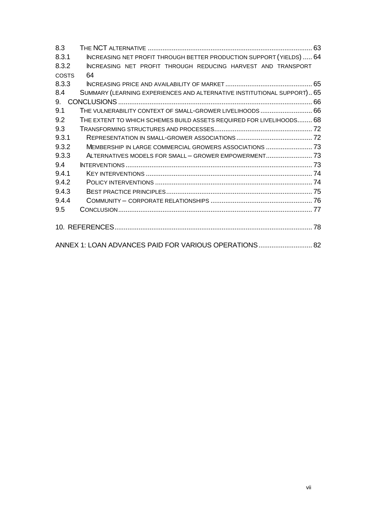| 8.3                                                                            |
|--------------------------------------------------------------------------------|
| INCREASING NET PROFIT THROUGH BETTER PRODUCTION SUPPORT (YIELDS)  64<br>8.3.1  |
| 8.3.2<br>INCREASING NET PROFIT THROUGH REDUCING HARVEST AND TRANSPORT          |
| <b>COSTS</b><br>64                                                             |
| 8.3.3                                                                          |
| SUMMARY (LEARNING EXPERIENCES AND ALTERNATIVE INSTITUTIONAL SUPPORT) 65<br>8.4 |
| 9.                                                                             |
| THE VULNERABILITY CONTEXT OF SMALL-GROWER LIVELIHOODS  66<br>9.1               |
| 9.2<br>THE EXTENT TO WHICH SCHEMES BUILD ASSETS REQUIRED FOR LIVELIHOODS 68    |
| 9.3                                                                            |
| 9.3.1                                                                          |
| 9.3.2<br>MEMBERSHIP IN LARGE COMMERCIAL GROWERS ASSOCIATIONS  73               |
| 9.3.3<br>ALTERNATIVES MODELS FOR SMALL - GROWER EMPOWERMENT 73                 |
| 9.4                                                                            |
| 9.4.1                                                                          |
| 9.4.2                                                                          |
| 9.4.3                                                                          |
| 9.4.4                                                                          |
| 9.5                                                                            |
|                                                                                |
|                                                                                |
| ANNEX 1: LOAN ADVANCES PAID FOR VARIOUS OPERATIONS 82                          |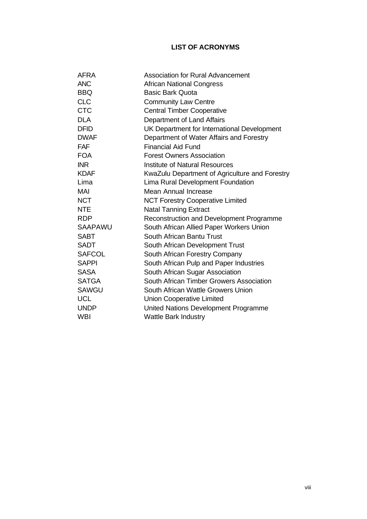# **LIST OF ACRONYMS**

| <b>AFRA</b>    | <b>Association for Rural Advancement</b>       |
|----------------|------------------------------------------------|
| <b>ANC</b>     | <b>African National Congress</b>               |
| <b>BBQ</b>     | <b>Basic Bark Quota</b>                        |
| <b>CLC</b>     | <b>Community Law Centre</b>                    |
| <b>CTC</b>     | <b>Central Timber Cooperative</b>              |
| <b>DLA</b>     | Department of Land Affairs                     |
| <b>DFID</b>    | UK Department for International Development    |
| <b>DWAF</b>    | Department of Water Affairs and Forestry       |
| <b>FAF</b>     | <b>Financial Aid Fund</b>                      |
| <b>FOA</b>     | <b>Forest Owners Association</b>               |
| <b>INR</b>     | <b>Institute of Natural Resources</b>          |
| <b>KDAF</b>    | KwaZulu Department of Agriculture and Forestry |
| Lima           | Lima Rural Development Foundation              |
| <b>MAI</b>     | Mean Annual Increase                           |
| <b>NCT</b>     | <b>NCT Forestry Cooperative Limited</b>        |
| <b>NTE</b>     | <b>Natal Tanning Extract</b>                   |
| <b>RDP</b>     | Reconstruction and Development Programme       |
| <b>SAAPAWU</b> | South African Allied Paper Workers Union       |
| <b>SABT</b>    | South African Bantu Trust                      |
| <b>SADT</b>    | South African Development Trust                |
| <b>SAFCOL</b>  | South African Forestry Company                 |
| <b>SAPPI</b>   | South African Pulp and Paper Industries        |
| <b>SASA</b>    | South African Sugar Association                |
| <b>SATGA</b>   | South African Timber Growers Association       |
| <b>SAWGU</b>   | South African Wattle Growers Union             |
| <b>UCL</b>     | <b>Union Cooperative Limited</b>               |
| <b>UNDP</b>    | United Nations Development Programme           |
| <b>WBI</b>     | <b>Wattle Bark Industry</b>                    |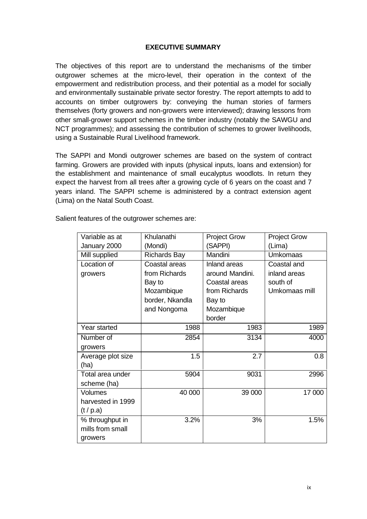#### **EXECUTIVE SUMMARY**

The objectives of this report are to understand the mechanisms of the timber outgrower schemes at the micro-level, their operation in the context of the empowerment and redistribution process, and their potential as a model for socially and environmentally sustainable private sector forestry. The report attempts to add to accounts on timber outgrowers by: conveying the human stories of farmers themselves (forty growers and non-growers were interviewed); drawing lessons from other small-grower support schemes in the timber industry (notably the SAWGU and NCT programmes); and assessing the contribution of schemes to grower livelihoods, using a Sustainable Rural Livelihood framework.

The SAPPI and Mondi outgrower schemes are based on the system of contract farming. Growers are provided with inputs (physical inputs, loans and extension) for the establishment and maintenance of small eucalyptus woodlots. In return they expect the harvest from all trees after a growing cycle of 6 years on the coast and 7 years inland. The SAPPI scheme is administered by a contract extension agent (Lima) on the Natal South Coast.

| Variable as at    | Khulanathi          | <b>Project Grow</b> | <b>Project Grow</b> |  |
|-------------------|---------------------|---------------------|---------------------|--|
| January 2000      | (Mondi)             | (SAPPI)             | (Lima)              |  |
| Mill supplied     | <b>Richards Bay</b> | Mandini             | <b>Umkomaas</b>     |  |
| Location of       | Coastal areas       | Inland areas        | Coastal and         |  |
| growers           | from Richards       | around Mandini.     | inland areas        |  |
|                   | Bay to              | Coastal areas       | south of            |  |
|                   | Mozambique          | from Richards       | Umkomaas mill       |  |
|                   | border, Nkandla     | Bay to              |                     |  |
|                   | and Nongoma         | Mozambique          |                     |  |
|                   |                     | border              |                     |  |
| Year started      | 1988                | 1983                | 1989                |  |
| Number of         | 2854                | 3134                | 4000                |  |
| growers           |                     |                     |                     |  |
| Average plot size | 1.5                 | 2.7                 | 0.8                 |  |
| (ha)              |                     |                     |                     |  |
| Total area under  | 5904                | 9031                | 2996                |  |
| scheme (ha)       |                     |                     |                     |  |
| <b>Volumes</b>    | 40 000              | 39 000              | 17 000              |  |
| harvested in 1999 |                     |                     |                     |  |
| (t/p.a)           |                     |                     |                     |  |
| % throughput in   | 3.2%                | 3%                  | 1.5%                |  |
| mills from small  |                     |                     |                     |  |
| growers           |                     |                     |                     |  |

Salient features of the outgrower schemes are: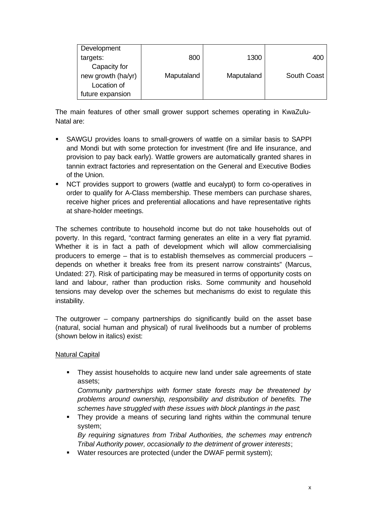| Development        |            |            |             |
|--------------------|------------|------------|-------------|
| targets:           | 800        | 1300       | 400         |
| Capacity for       |            |            |             |
| new growth (ha/yr) | Maputaland | Maputaland | South Coast |
| Location of        |            |            |             |
| future expansion   |            |            |             |

The main features of other small grower support schemes operating in KwaZulu-Natal are:

- ß SAWGU provides loans to small-growers of wattle on a similar basis to SAPPI and Mondi but with some protection for investment (fire and life insurance, and provision to pay back early). Wattle growers are automatically granted shares in tannin extract factories and representation on the General and Executive Bodies of the Union.
- **NCT** provides support to growers (wattle and eucalypt) to form co-operatives in order to qualify for A-Class membership. These members can purchase shares, receive higher prices and preferential allocations and have representative rights at share-holder meetings.

The schemes contribute to household income but do not take households out of poverty. In this regard, "contract farming generates an elite in a very flat pyramid. Whether it is in fact a path of development which will allow commercialising producers to emerge – that is to establish themselves as commercial producers – depends on whether it breaks free from its present narrow constraints" (Marcus, Undated: 27). Risk of participating may be measured in terms of opportunity costs on land and labour, rather than production risks. Some community and household tensions may develop over the schemes but mechanisms do exist to regulate this instability.

The outgrower – company partnerships do significantly build on the asset base (natural, social human and physical) of rural livelihoods but a number of problems (shown below in italics) exist:

#### Natural Capital

• They assist households to acquire new land under sale agreements of state assets;

*Community partnerships with former state forests may be threatened by problems around ownership, responsibility and distribution of benefits. The schemes have struggled with these issues with block plantings in the past*;

• They provide a means of securing land rights within the communal tenure system;

*By requiring signatures from Tribal Authorities, the schemes may entrench Tribal Authority power, occasionally to the detriment of grower interests*;

**Water resources are protected (under the DWAF permit system);**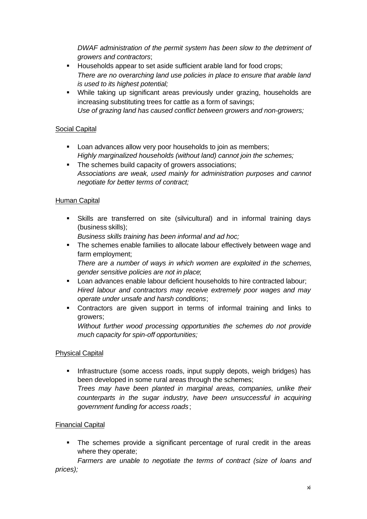*DWAF administration of the permit system has been slow to the detriment of growers and contractors*;

- **Households appear to set aside sufficient arable land for food crops;** *There are no overarching land use policies in place to ensure that arable land is used to its highest potential;*
- While taking up significant areas previously under grazing, households are increasing substituting trees for cattle as a form of savings; *Use of grazing land has caused conflict between growers and non-growers;*

# Social Capital

- **EXECT:** Loan advances allow very poor households to join as members; *Highly marginalized households (without land) cannot join the schemes;*
- The schemes build capacity of growers associations; *Associations are weak, used mainly for administration purposes and cannot negotiate for better terms of contract;*

# Human Capital

ß Skills are transferred on site (silvicultural) and in informal training days (business skills);

*Business skills training has been informal and ad hoc;*

• The schemes enable families to allocate labour effectively between wage and farm employment;

*There are a number of ways in which women are exploited in the schemes, gender sensitive policies are not in place*;

- **EXECT** Loan advances enable labour deficient households to hire contracted labour; *Hired labour and contractors may receive extremely poor wages and may operate under unsafe and harsh conditions*;
- ß Contractors are given support in terms of informal training and links to growers;

*Without further wood processing opportunities the schemes do not provide much capacity for spin-off opportunities;*

# Physical Capital

**Infrastructure (some access roads, input supply depots, weigh bridges) has** been developed in some rural areas through the schemes; *Trees may have been planted in marginal areas, companies, unlike their counterparts in the sugar industry, have been unsuccessful in acquiring government funding for access roads*;

# Financial Capital

• The schemes provide a significant percentage of rural credit in the areas where they operate;

*Farmers are unable to negotiate the terms of contract (size of loans and prices);*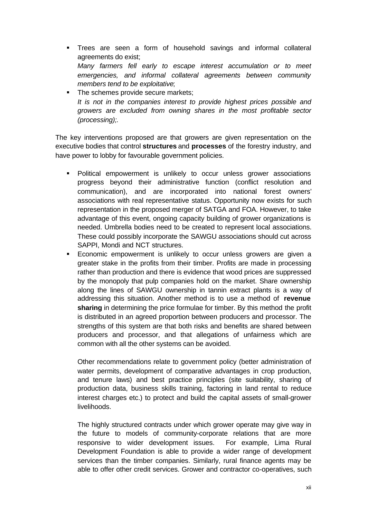- **Trees are seen a form of household savings and informal collateral** agreements do exist; *Many farmers fell early to escape interest accumulation or to meet emergencies, and informal collateral agreements between community members tend to be exploitative*;
- The schemes provide secure markets; *It is not in the companies interest to provide highest prices possible and growers are excluded from owning shares in the most profitable sector (processing);.*

The key interventions proposed are that growers are given representation on the executive bodies that control **structures** and **processes** of the forestry industry, and have power to lobby for favourable government policies.

- ß Political empowerment is unlikely to occur unless grower associations progress beyond their administrative function (conflict resolution and communication), and are incorporated into national forest owners' associations with real representative status. Opportunity now exists for such representation in the proposed merger of SATGA and FOA. However, to take advantage of this event, ongoing capacity building of grower organizations is needed. Umbrella bodies need to be created to represent local associations. These could possibly incorporate the SAWGU associations should cut across SAPPI, Mondi and NCT structures.
- ß Economic empowerment is unlikely to occur unless growers are given a greater stake in the profits from their timber. Profits are made in processing rather than production and there is evidence that wood prices are suppressed by the monopoly that pulp companies hold on the market. Share ownership along the lines of SAWGU ownership in tannin extract plants is a way of addressing this situation. Another method is to use a method of **revenue sharing** in determining the price formulae for timber. By this method the profit is distributed in an agreed proportion between producers and processor. The strengths of this system are that both risks and benefits are shared between producers and processor, and that allegations of unfairness which are common with all the other systems can be avoided.

Other recommendations relate to government policy (better administration of water permits, development of comparative advantages in crop production, and tenure laws) and best practice principles (site suitability, sharing of production data, business skills training, factoring in land rental to reduce interest charges etc.) to protect and build the capital assets of small-grower livelihoods.

The highly structured contracts under which grower operate may give way in the future to models of community-corporate relations that are more responsive to wider development issues. For example, Lima Rural Development Foundation is able to provide a wider range of development services than the timber companies. Similarly, rural finance agents may be able to offer other credit services. Grower and contractor co-operatives, such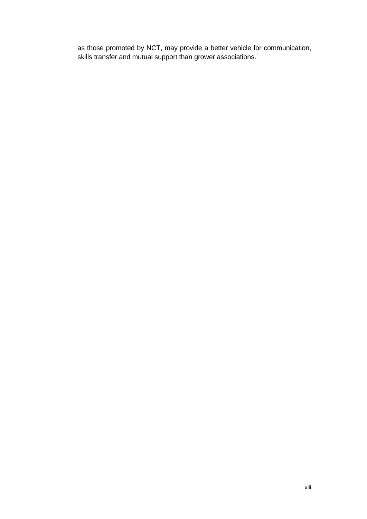as those promoted by NCT, may provide a better vehicle for communication, skills transfer and mutual support than grower associations.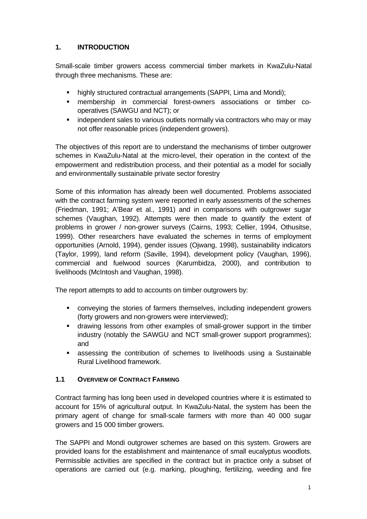# **1. INTRODUCTION**

Small-scale timber growers access commercial timber markets in KwaZulu-Natal through three mechanisms. These are:

- highly structured contractual arrangements (SAPPI, Lima and Mondi);
- **n** membership in commercial forest-owners associations or timber cooperatives (SAWGU and NCT); or
- independent sales to various outlets normally via contractors who may or may not offer reasonable prices (independent growers).

The objectives of this report are to understand the mechanisms of timber outgrower schemes in KwaZulu-Natal at the micro-level, their operation in the context of the empowerment and redistribution process, and their potential as a model for socially and environmentally sustainable private sector forestry

Some of this information has already been well documented. Problems associated with the contract farming system were reported in early assessments of the schemes (Friedman, 1991; A'Bear et al., 1991) and in comparisons with outgrower sugar schemes (Vaughan, 1992). Attempts were then made to *quantify* the extent of problems in grower / non-grower surveys (Cairns, 1993; Cellier, 1994, Othusitse, 1999). Other researchers have evaluated the schemes in terms of employment opportunities (Arnold, 1994), gender issues (Ojwang, 1998), sustainability indicators (Taylor, 1999), land reform (Saville, 1994), development policy (Vaughan, 1996), commercial and fuelwood sources (Karumbidza, 2000), and contribution to livelihoods (McIntosh and Vaughan, 1998).

The report attempts to add to accounts on timber outgrowers by:

- conveying the stories of farmers themselves, including independent growers (forty growers and non-growers were interviewed);
- **•** drawing lessons from other examples of small-grower support in the timber industry (notably the SAWGU and NCT small-grower support programmes); and
- ß assessing the contribution of schemes to livelihoods using a Sustainable Rural Livelihood framework.

# **1.1 OVERVIEW OF CONTRACT FARMING**

Contract farming has long been used in developed countries where it is estimated to account for 15% of agricultural output. In KwaZulu-Natal, the system has been the primary agent of change for small-scale farmers with more than 40 000 sugar growers and 15 000 timber growers.

The SAPPI and Mondi outgrower schemes are based on this system. Growers are provided loans for the establishment and maintenance of small eucalyptus woodlots. Permissible activities are specified in the contract but in practice only a subset of operations are carried out (e.g. marking, ploughing, fertilizing, weeding and fire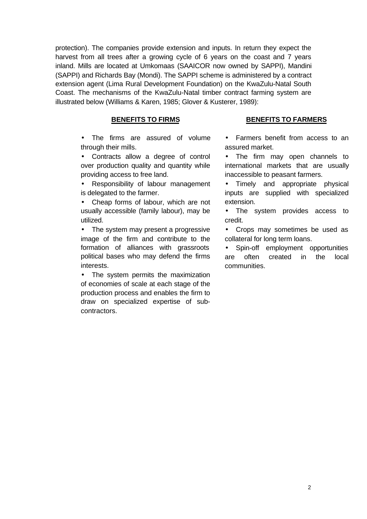protection). The companies provide extension and inputs. In return they expect the harvest from all trees after a growing cycle of 6 years on the coast and 7 years inland. Mills are located at Umkomaas (SAAICOR now owned by SAPPI), Mandini (SAPPI) and Richards Bay (Mondi). The SAPPI scheme is administered by a contract extension agent (Lima Rural Development Foundation) on the KwaZulu-Natal South Coast. The mechanisms of the KwaZulu-Natal timber contract farming system are illustrated below (Williams & Karen, 1985; Glover & Kusterer, 1989):

#### **BENEFITS TO FIRMS**

- The firms are assured of volume through their mills.
- Contracts allow a degree of control over production quality and quantity while providing access to free land.
- Responsibility of labour management is delegated to the farmer.
- Cheap forms of labour, which are not usually accessible (family labour), may be utilized.
- The system may present a progressive image of the firm and contribute to the formation of alliances with grassroots political bases who may defend the firms interests.
- The system permits the maximization of economies of scale at each stage of the production process and enables the firm to draw on specialized expertise of subcontractors.

#### **BENEFITS TO FARMERS**

- Farmers benefit from access to an assured market.
- The firm may open channels to international markets that are usually inaccessible to peasant farmers.
- Timely and appropriate physical inputs are supplied with specialized extension.
- The system provides access to credit.
- Crops may sometimes be used as collateral for long term loans.
- Spin-off employment opportunities are often created in the local communities.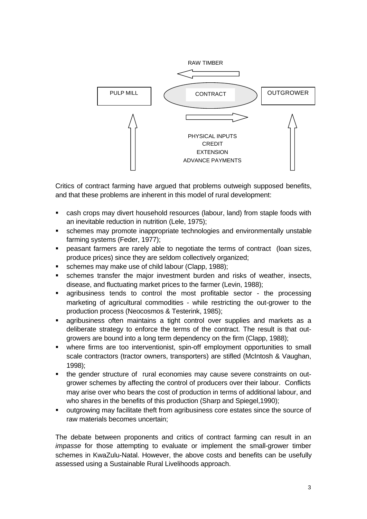

Critics of contract farming have argued that problems outweigh supposed benefits, and that these problems are inherent in this model of rural development:

- ß cash crops may divert household resources (labour, land) from staple foods with an inevitable reduction in nutrition (Lele, 1975);
- **•** schemes may promote inappropriate technologies and environmentally unstable farming systems (Feder, 1977);
- ß peasant farmers are rarely able to negotiate the terms of contract (loan sizes, produce prices) since they are seldom collectively organized;
- schemes may make use of child labour (Clapp, 1988);
- **Schemes transfer the major investment burden and risks of weather, insects,** disease, and fluctuating market prices to the farmer (Levin, 1988);
- **Example 1** agribusiness tends to control the most profitable sector the processing marketing of agricultural commodities - while restricting the out-grower to the production process (Neocosmos & Testerink, 1985);
- **agribusiness often maintains a tight control over supplies and markets as a** deliberate strategy to enforce the terms of the contract. The result is that outgrowers are bound into a long term dependency on the firm (Clapp, 1988);
- where firms are too interventionist, spin-off employment opportunities to small scale contractors (tractor owners, transporters) are stifled (McIntosh & Vaughan, 1998);
- the gender structure of rural economies may cause severe constraints on outgrower schemes by affecting the control of producers over their labour. Conflicts may arise over who bears the cost of production in terms of additional labour, and who shares in the benefits of this production (Sharp and Spiegel,1990);
- ß outgrowing may facilitate theft from agribusiness core estates since the source of raw materials becomes uncertain;

The debate between proponents and critics of contract farming can result in an *impasse* for those attempting to evaluate or implement the small-grower timber schemes in KwaZulu-Natal. However, the above costs and benefits can be usefully assessed using a Sustainable Rural Livelihoods approach.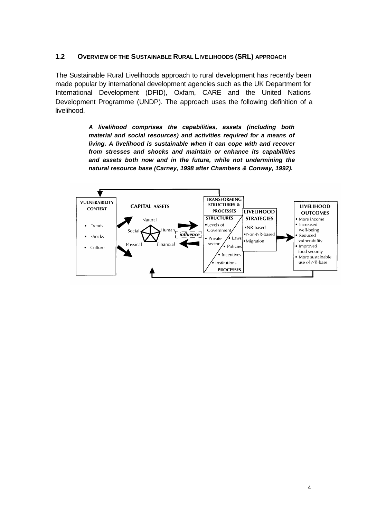#### **1.2 OVERVIEW OF THE SUSTAINABLE RURAL LIVELIHOODS (SRL) APPROACH**

The Sustainable Rural Livelihoods approach to rural development has recently been made popular by international development agencies such as the UK Department for International Development (DFID), Oxfam, CARE and the United Nations Development Programme (UNDP). The approach uses the following definition of a livelihood.

> *A livelihood comprises the capabilities, assets (including both material and social resources) and activities required for a means of living. A livelihood is sustainable when it can cope with and recover from stresses and shocks and maintain or enhance its capabilities and assets both now and in the future, while not undermining the natural resource base (Carney, 1998 after Chambers & Conway, 1992).*

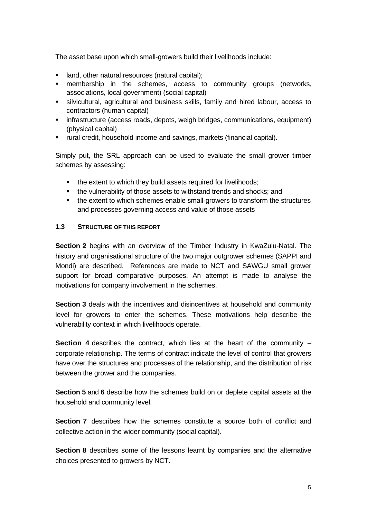The asset base upon which small-growers build their livelihoods include:

- land, other natural resources (natural capital);
- **numbership in the schemes, access to community groups (networks,** associations, local government) (social capital)
- ß silvicultural, agricultural and business skills, family and hired labour, access to contractors (human capital)
- **EXEDENT infrastructure (access roads, depots, weigh bridges, communications, equipment)** (physical capital)
- ß rural credit, household income and savings, markets (financial capital).

Simply put, the SRL approach can be used to evaluate the small grower timber schemes by assessing:

- the extent to which they build assets required for livelihoods;
- the vulnerability of those assets to withstand trends and shocks; and
- the extent to which schemes enable small-growers to transform the structures and processes governing access and value of those assets

#### **1.3 STRUCTURE OF THIS REPORT**

**Section 2** begins with an overview of the Timber Industry in KwaZulu-Natal. The history and organisational structure of the two major outgrower schemes (SAPPI and Mondi) are described. References are made to NCT and SAWGU small grower support for broad comparative purposes. An attempt is made to analyse the motivations for company involvement in the schemes.

**Section 3** deals with the incentives and disincentives at household and community level for growers to enter the schemes. These motivations help describe the vulnerability context in which livelihoods operate.

**Section 4** describes the contract, which lies at the heart of the community – corporate relationship. The terms of contract indicate the level of control that growers have over the structures and processes of the relationship, and the distribution of risk between the grower and the companies.

**Section 5** and **6** describe how the schemes build on or deplete capital assets at the household and community level.

**Section 7** describes how the schemes constitute a source both of conflict and collective action in the wider community (social capital).

**Section 8** describes some of the lessons learnt by companies and the alternative choices presented to growers by NCT.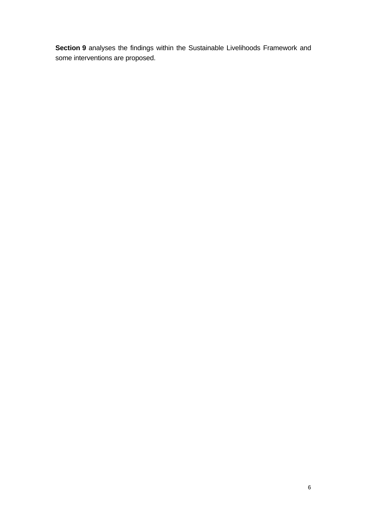**Section 9** analyses the findings within the Sustainable Livelihoods Framework and some interventions are proposed.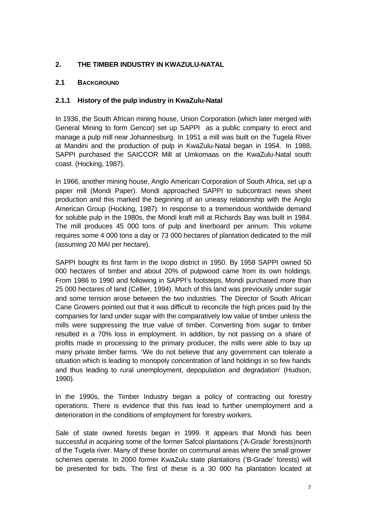# **2. THE TIMBER INDUSTRY IN KWAZULU-NATAL**

# **2.1 BACKGROUND**

# **2.1.1 History of the pulp industry in KwaZulu-Natal**

In 1936, the South African mining house, Union Corporation (which later merged with General Mining to form Gencor) set up SAPPI as a public company to erect and manage a pulp mill near Johannesburg. In 1951 a mill was built on the Tugela River at Mandini and the production of pulp in KwaZulu-Natal began in 1954. In 1988, SAPPI purchased the SAICCOR Mill at Umkomaas on the KwaZulu-Natal south coast. (Hocking, 1987).

In 1966, another mining house, Anglo American Corporation of South Africa, set up a paper mill (Mondi Paper). Mondi approached SAPPI to subcontract news sheet production and this marked the beginning of an uneasy relationship with the Anglo American Group (Hocking, 1987). In response to a tremendous worldwide demand for soluble pulp in the 1980s, the Mondi kraft mill at Richards Bay was built in 1984. The mill produces 45 000 tons of pulp and linerboard per annum. This volume requires some 4 000 tons a day or 73 000 hectares of plantation dedicated to the mill (assuming 20 MAI per hectare).

SAPPI bought its first farm in the Ixopo district in 1950. By 1958 SAPPI owned 50 000 hectares of timber and about 20% of pulpwood came from its own holdings. From 1986 to 1990 and following in SAPPI's footsteps, Mondi purchased more than 25 000 hectares of land (Cellier, 1994). Much of this land was previously under sugar and some tension arose between the two industries. The Director of South African Cane Growers pointed out that it was difficult to reconcile the high prices paid by the companies for land under sugar with the comparatively low value of timber unless the mills were suppressing the true value of timber. Converting from sugar to timber resulted in a 70% loss in employment. In addition, by not passing on a share of profits made in processing to the primary producer, the mills were able to buy up many private timber farms. 'We do not believe that any government can tolerate a situation which is leading to monopoly concentration of land holdings in so few hands and thus leading to rural unemployment, depopulation and degradation' (Hudson, 1990).

In the 1990s, the Timber Industry began a policy of contracting out forestry operations. There is evidence that this has lead to further unemployment and a deterioration in the conditions of employment for forestry workers.

Sale of state owned forests began in 1999. It appears that Mondi has been successful in acquiring some of the former Safcol plantations ('A-Grade' forests)north of the Tugela river. Many of these border on communal areas where the small grower schemes operate. In 2000 former KwaZulu state plantations ('B-Grade' forests) will be presented for bids. The first of these is a 30 000 ha plantation located at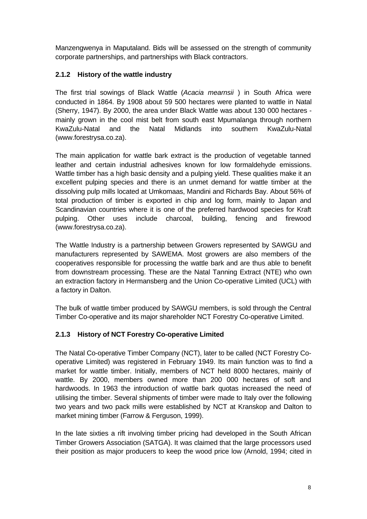Manzengwenya in Maputaland. Bids will be assessed on the strength of community corporate partnerships, and partnerships with Black contractors.

# **2.1.2 History of the wattle industry**

The first trial sowings of Black Wattle (*Acacia mearnsii* ) in South Africa were conducted in 1864. By 1908 about 59 500 hectares were planted to wattle in Natal (Sherry, 1947). By 2000, the area under Black Wattle was about 130 000 hectares mainly grown in the cool mist belt from south east Mpumalanga through northern KwaZulu-Natal and the Natal Midlands into southern KwaZulu-Natal (www.forestrysa.co.za).

The main application for wattle bark extract is the production of vegetable tanned leather and certain industrial adhesives known for low formaldehyde emissions. Wattle timber has a high basic density and a pulping yield. These qualities make it an excellent pulping species and there is an unmet demand for wattle timber at the dissolving pulp mills located at Umkomaas, Mandini and Richards Bay. About 56% of total production of timber is exported in chip and log form, mainly to Japan and Scandinavian countries where it is one of the preferred hardwood species for Kraft pulping. Other uses include charcoal, building, fencing and firewood (www.forestrysa.co.za).

The Wattle Industry is a partnership between Growers represented by SAWGU and manufacturers represented by SAWEMA. Most growers are also members of the cooperatives responsible for processing the wattle bark and are thus able to benefit from downstream processing. These are the Natal Tanning Extract (NTE) who own an extraction factory in Hermansberg and the Union Co-operative Limited (UCL) with a factory in Dalton.

The bulk of wattle timber produced by SAWGU members, is sold through the Central Timber Co-operative and its major shareholder NCT Forestry Co-operative Limited.

# **2.1.3 History of NCT Forestry Co-operative Limited**

The Natal Co-operative Timber Company (NCT), later to be called (NCT Forestry Cooperative Limited) was registered in February 1949. Its main function was to find a market for wattle timber. Initially, members of NCT held 8000 hectares, mainly of wattle. By 2000, members owned more than 200 000 hectares of soft and hardwoods. In 1963 the introduction of wattle bark quotas increased the need of utilising the timber. Several shipments of timber were made to Italy over the following two years and two pack mills were established by NCT at Kranskop and Dalton to market mining timber (Farrow & Ferguson, 1999).

In the late sixties a rift involving timber pricing had developed in the South African Timber Growers Association (SATGA). It was claimed that the large processors used their position as major producers to keep the wood price low (Arnold, 1994; cited in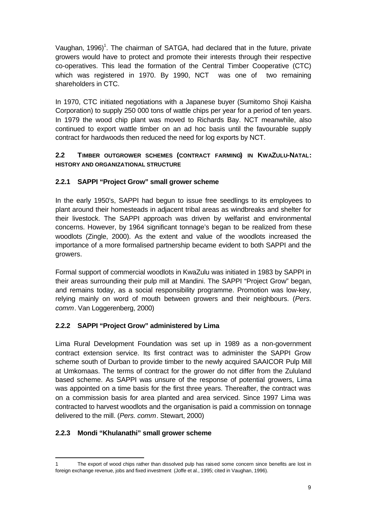Vaughan, 1996)<sup>1</sup>. The chairman of SATGA, had declared that in the future, private growers would have to protect and promote their interests through their respective co-operatives. This lead the formation of the Central Timber Cooperative (CTC) which was registered in 1970. By 1990, NCT was one of two remaining shareholders in CTC.

In 1970, CTC initiated negotiations with a Japanese buyer (Sumitomo Shoji Kaisha Corporation) to supply 250 000 tons of wattle chips per year for a period of ten years. In 1979 the wood chip plant was moved to Richards Bay. NCT meanwhile, also continued to export wattle timber on an ad hoc basis until the favourable supply contract for hardwoods then reduced the need for log exports by NCT.

# **2.2 TIMBER OUTGROWER SCHEMES (CONTRACT FARMING) IN KWAZULU-NATAL: HISTORY AND ORGANIZATIONAL STRUCTURE**

# **2.2.1 SAPPI "Project Grow" small grower scheme**

In the early 1950's, SAPPI had begun to issue free seedlings to its employees to plant around their homesteads in adjacent tribal areas as windbreaks and shelter for their livestock. The SAPPI approach was driven by welfarist and environmental concerns. However, by 1964 significant tonnage's began to be realized from these woodlots (Zingle, 2000). As the extent and value of the woodlots increased the importance of a more formalised partnership became evident to both SAPPI and the growers.

Formal support of commercial woodlots in KwaZulu was initiated in 1983 by SAPPI in their areas surrounding their pulp mill at Mandini. The SAPPI "Project Grow" began, and remains today, as a social responsibility programme. Promotion was low-key, relying mainly on word of mouth between growers and their neighbours. (*Pers. comm*. Van Loggerenberg, 2000)

# **2.2.2 SAPPI "Project Grow" administered by Lima**

Lima Rural Development Foundation was set up in 1989 as a non-government contract extension service. Its first contract was to administer the SAPPI Grow scheme south of Durban to provide timber to the newly acquired SAAICOR Pulp Mill at Umkomaas. The terms of contract for the grower do not differ from the Zululand based scheme. As SAPPI was unsure of the response of potential growers, Lima was appointed on a time basis for the first three years. Thereafter, the contract was on a commission basis for area planted and area serviced. Since 1997 Lima was contracted to harvest woodlots and the organisation is paid a commission on tonnage delivered to the mill. (*Pers. comm*. Stewart, 2000)

# **2.2.3 Mondi "Khulanathi" small grower scheme**

j

<sup>1</sup> The export of wood chips rather than dissolved pulp has raised some concern since benefits are lost in foreign exchange revenue, jobs and fixed investment (Joffe et al., 1995; cited in Vaughan, 1996).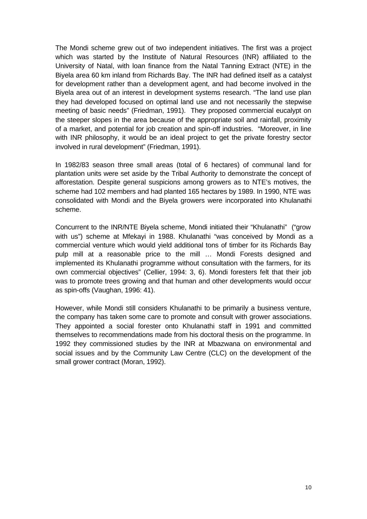The Mondi scheme grew out of two independent initiatives. The first was a project which was started by the Institute of Natural Resources (INR) affiliated to the University of Natal, with loan finance from the Natal Tanning Extract (NTE) in the Biyela area 60 km inland from Richards Bay. The INR had defined itself as a catalyst for development rather than a development agent, and had become involved in the Biyela area out of an interest in development systems research. "The land use plan they had developed focused on optimal land use and not necessarily the stepwise meeting of basic needs" (Friedman, 1991). They proposed commercial eucalypt on the steeper slopes in the area because of the appropriate soil and rainfall, proximity of a market, and potential for job creation and spin-off industries. "Moreover, in line with INR philosophy, it would be an ideal project to get the private forestry sector involved in rural development" (Friedman, 1991).

In 1982/83 season three small areas (total of 6 hectares) of communal land for plantation units were set aside by the Tribal Authority to demonstrate the concept of afforestation. Despite general suspicions among growers as to NTE's motives, the scheme had 102 members and had planted 165 hectares by 1989. In 1990, NTE was consolidated with Mondi and the Biyela growers were incorporated into Khulanathi scheme.

Concurrent to the INR/NTE Biyela scheme, Mondi initiated their "Khulanathi" ("grow with us") scheme at Mfekayi in 1988. Khulanathi "was conceived by Mondi as a commercial venture which would yield additional tons of timber for its Richards Bay pulp mill at a reasonable price to the mill … Mondi Forests designed and implemented its Khulanathi programme without consultation with the farmers, for its own commercial objectives" (Cellier, 1994: 3, 6). Mondi foresters felt that their job was to promote trees growing and that human and other developments would occur as spin-offs (Vaughan, 1996: 41).

However, while Mondi still considers Khulanathi to be primarily a business venture, the company has taken some care to promote and consult with grower associations. They appointed a social forester onto Khulanathi staff in 1991 and committed themselves to recommendations made from his doctoral thesis on the programme. In 1992 they commissioned studies by the INR at Mbazwana on environmental and social issues and by the Community Law Centre (CLC) on the development of the small grower contract (Moran, 1992).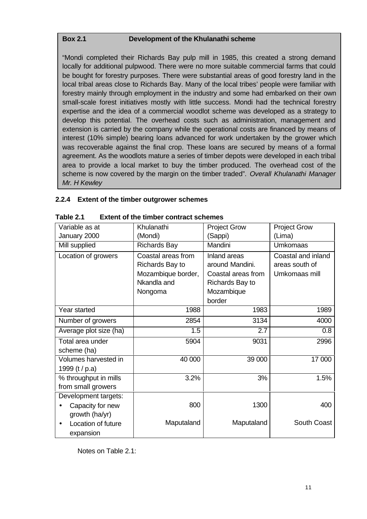#### **Box 2.1 Development of the Khulanathi scheme**

"Mondi completed their Richards Bay pulp mill in 1985, this created a strong demand locally for additional pulpwood. There were no more suitable commercial farms that could be bought for forestry purposes. There were substantial areas of good forestry land in the local tribal areas close to Richards Bay. Many of the local tribes' people were familiar with forestry mainly through employment in the industry and some had embarked on their own small-scale forest initiatives mostly with little success. Mondi had the technical forestry expertise and the idea of a commercial woodlot scheme was developed as a strategy to develop this potential. The overhead costs such as administration, management and extension is carried by the company while the operational costs are financed by means of interest (10% simple) bearing loans advanced for work undertaken by the grower which was recoverable against the final crop. These loans are secured by means of a formal agreement. As the woodlots mature a series of timber depots were developed in each tribal area to provide a local market to buy the timber produced. The overhead cost of the scheme is now covered by the margin on the timber traded". *Overall Khulanathi Manager Mr. H Kewley*

# **2.2.4 Extent of the timber outgrower schemes**

| wan o mc mnog comact schemes |                     |                     |                     |  |
|------------------------------|---------------------|---------------------|---------------------|--|
| Variable as at               | Khulanathi          | <b>Project Grow</b> | <b>Project Grow</b> |  |
| January 2000                 | (Mondi)             | (Sappi)             | (Lima)              |  |
| Mill supplied                | <b>Richards Bay</b> | Mandini             | <b>Umkomaas</b>     |  |
| Location of growers          | Coastal areas from  | Inland areas        | Coastal and inland  |  |
|                              | Richards Bay to     | around Mandini.     | areas south of      |  |
|                              | Mozambique border,  | Coastal areas from  | Umkomaas mill       |  |
|                              | Nkandla and         | Richards Bay to     |                     |  |
|                              | Nongoma             | Mozambique          |                     |  |
|                              |                     | border              |                     |  |
| Year started                 | 1988                | 1983                | 1989                |  |
| Number of growers            | 2854                | 3134                | 4000                |  |
| Average plot size (ha)       | 1.5                 | 2.7                 | 0.8                 |  |
| Total area under             | 5904                | 9031                | 2996                |  |
| scheme (ha)                  |                     |                     |                     |  |
| Volumes harvested in         | 40 000              | 39 000              | 17 000              |  |
| 1999 (t / p.a)               |                     |                     |                     |  |
| % throughput in mills        | 3.2%                | 3%                  | 1.5%                |  |
| from small growers           |                     |                     |                     |  |
| Development targets:         |                     |                     |                     |  |
| Capacity for new             | 800                 | 1300                | 400                 |  |
| growth (ha/yr)               |                     |                     |                     |  |
| Location of future           | Maputaland          | Maputaland          | South Coast         |  |
| expansion                    |                     |                     |                     |  |

**Table 2.1 Extent of the timber contract schemes**

Notes on Table 2.1: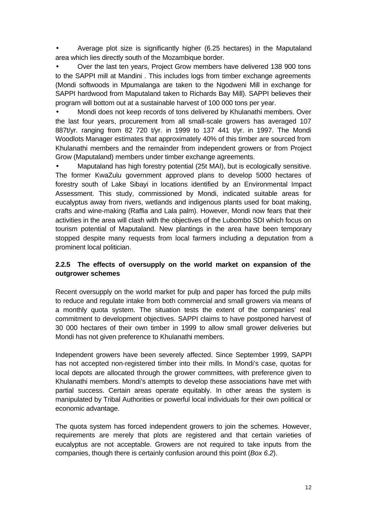• Average plot size is significantly higher (6.25 hectares) in the Maputaland area which lies directly south of the Mozambique border.

• Over the last ten years, Project Grow members have delivered 138 900 tons to the SAPPI mill at Mandini . This includes logs from timber exchange agreements (Mondi softwoods in Mpumalanga are taken to the Ngodweni Mill in exchange for SAPPI hardwood from Maputaland taken to Richards Bay Mill). SAPPI believes their program will bottom out at a sustainable harvest of 100 000 tons per year.

• Mondi does not keep records of tons delivered by Khulanathi members. Over the last four years, procurement from all small-scale growers has averaged 107 887t/yr. ranging from 82 720 t/yr. in 1999 to 137 441 t/yr. in 1997. The Mondi Woodlots Manager estimates that approximately 40% of this timber are sourced from Khulanathi members and the remainder from independent growers or from Project Grow (Maputaland) members under timber exchange agreements.

• Maputaland has high forestry potential (25t MAI), but is ecologically sensitive. The former KwaZulu government approved plans to develop 5000 hectares of forestry south of Lake Sibayi in locations identified by an Environmental Impact Assessment. This study, commissioned by Mondi, indicated suitable areas for eucalyptus away from rivers, wetlands and indigenous plants used for boat making, crafts and wine-making (Raffia and Lala palm). However, Mondi now fears that their activities in the area will clash with the objectives of the Lubombo SDI which focus on tourism potential of Maputaland. New plantings in the area have been temporary stopped despite many requests from local farmers including a deputation from a prominent local politician.

# **2.2.5 The effects of oversupply on the world market on expansion of the outgrower schemes**

Recent oversupply on the world market for pulp and paper has forced the pulp mills to reduce and regulate intake from both commercial and small growers via means of a monthly quota system. The situation tests the extent of the companies' real commitment to development objectives. SAPPI claims to have postponed harvest of 30 000 hectares of their own timber in 1999 to allow small grower deliveries but Mondi has not given preference to Khulanathi members.

Independent growers have been severely affected. Since September 1999, SAPPI has not accepted non-registered timber into their mills. In Mondi's case, quotas for local depots are allocated through the grower committees, with preference given to Khulanathi members. Mondi's attempts to develop these associations have met with partial success. Certain areas operate equitably. In other areas the system is manipulated by Tribal Authorities or powerful local individuals for their own political or economic advantage.

The quota system has forced independent growers to join the schemes. However, requirements are merely that plots are registered and that certain varieties of eucalyptus are not acceptable. Growers are not required to take inputs from the companies, though there is certainly confusion around this point (*Box 6.2*).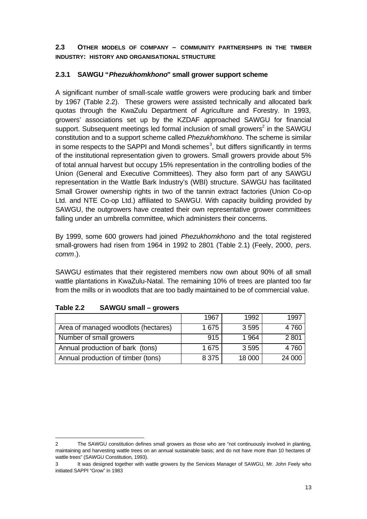# **2.3 OTHER MODELS OF COMPANY – COMMUNITY PARTNERSHIPS IN THE TIMBER INDUSTRY: HISTORY AND ORGANISATIONAL STRUCTURE**

# **2.3.1 SAWGU "***Phezukhomkhono***" small grower support scheme**

A significant number of small-scale wattle growers were producing bark and timber by 1967 (Table 2.2). These growers were assisted technically and allocated bark quotas through the KwaZulu Department of Agriculture and Forestry. In 1993, growers' associations set up by the KZDAF approached SAWGU for financial support. Subsequent meetings led formal inclusion of small growers<sup>2</sup> in the SAWGU constitution and to a support scheme called *Phezukhomkhono*. The scheme is similar in some respects to the SAPPI and Mondi schemes<sup>3</sup>, but differs significantly in terms of the institutional representation given to growers. Small growers provide about 5% of total annual harvest but occupy 15% representation in the controlling bodies of the Union (General and Executive Committees). They also form part of any SAWGU representation in the Wattle Bark Industry's (WBI) structure. SAWGU has facilitated Small Grower ownership rights in two of the tannin extract factories (Union Co-op Ltd. and NTE Co-op Ltd.) affiliated to SAWGU. With capacity building provided by SAWGU, the outgrowers have created their own representative grower committees falling under an umbrella committee, which administers their concerns.

By 1999, some 600 growers had joined *Phezukhomkhono* and the total registered small-growers had risen from 1964 in 1992 to 2801 (Table 2.1) (Feely, 2000, *pers. comm*.).

SAWGU estimates that their registered members now own about 90% of all small wattle plantations in KwaZulu-Natal. The remaining 10% of trees are planted too far from the mills or in woodlots that are too badly maintained to be of commercial value.

|                                     | 1967    | 1992    | 1997    |
|-------------------------------------|---------|---------|---------|
| Area of managed woodlots (hectares) | 1 675   | 3595    | 4 7 6 0 |
| Number of small growers             | 915     | 1 964   | 2801    |
| Annual production of bark (tons)    | 1 675   | 3 5 9 5 | 4760    |
| Annual production of timber (tons)  | 8 3 7 5 | 18 000  | 24 000  |

#### **Table 2.2 SAWGU small – growers**

j 2 The SAWGU constitution defines small growers as those who are "not continuously involved in planting, maintaining and harvesting wattle trees on an annual sustainable basis; and do not have more than 10 hectares of wattle trees" (SAWGU Constitution, 1993).

<sup>3</sup> It was designed together with wattle growers by the Services Manager of SAWGU, Mr. John Feely who initiated SAPPI "Grow" in 1983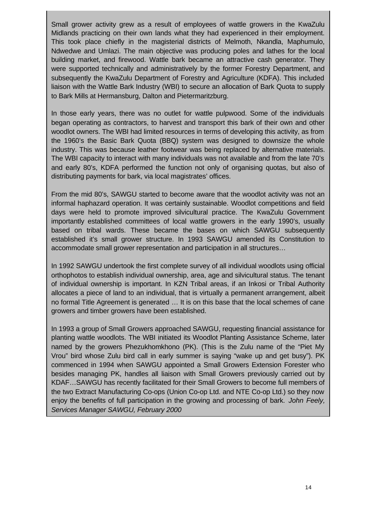Small grower activity grew as a result of employees of wattle growers in the KwaZulu Midlands practicing on their own lands what they had experienced in their employment. This took place chiefly in the magisterial districts of Melmoth, Nkandla, Maphumulo, Ndwedwe and Umlazi. The main objective was producing poles and lathes for the local building market, and firewood. Wattle bark became an attractive cash generator. They were supported technically and administratively by the former Forestry Department, and subsequently the KwaZulu Department of Forestry and Agriculture (KDFA). This included liaison with the Wattle Bark Industry (WBI) to secure an allocation of Bark Quota to supply to Bark Mills at Hermansburg, Dalton and Pietermaritzburg.

In those early years, there was no outlet for wattle pulpwood. Some of the individuals began operating as contractors, to harvest and transport this bark of their own and other woodlot owners. The WBI had limited resources in terms of developing this activity, as from the 1960's the Basic Bark Quota (BBQ) system was designed to downsize the whole industry. This was because leather footwear was being replaced by alternative materials. The WBI capacity to interact with many individuals was not available and from the late 70's and early 80's, KDFA performed the function not only of organising quotas, but also of distributing payments for bark, via local magistrates' offices.

From the mid 80's, SAWGU started to become aware that the woodlot activity was not an informal haphazard operation. It was certainly sustainable. Woodlot competitions and field days were held to promote improved silvicultural practice. The KwaZulu Government importantly established committees of local wattle growers in the early 1990's, usually based on tribal wards. These became the bases on which SAWGU subsequently established it's small grower structure. In 1993 SAWGU amended its Constitution to accommodate small grower representation and participation in all structures…

In 1992 SAWGU undertook the first complete survey of all individual woodlots using official orthophotos to establish individual ownership, area, age and silvicultural status. The tenant of individual ownership is important. In KZN Tribal areas, if an Inkosi or Tribal Authority allocates a piece of land to an individual, that is virtually a permanent arrangement, albeit no formal Title Agreement is generated … It is on this base that the local schemes of cane growers and timber growers have been established.

In 1993 a group of Small Growers approached SAWGU, requesting financial assistance for planting wattle woodlots. The WBI initiated its Woodlot Planting Assistance Scheme, later named by the growers Phezukhomkhono (PK). (This is the Zulu name of the "Piet My Vrou" bird whose Zulu bird call in early summer is saying "wake up and get busy"). PK commenced in 1994 when SAWGU appointed a Small Growers Extension Forester who besides managing PK, handles all liaison with Small Growers previously carried out by KDAF…SAWGU has recently facilitated for their Small Growers to become full members of the two Extract Manufacturing Co-ops (Union Co-op Ltd. and NTE Co-op Ltd.) so they now enjoy the benefits of full participation in the growing and processing of bark. *John Feely, Services Manager SAWGU, February 2000*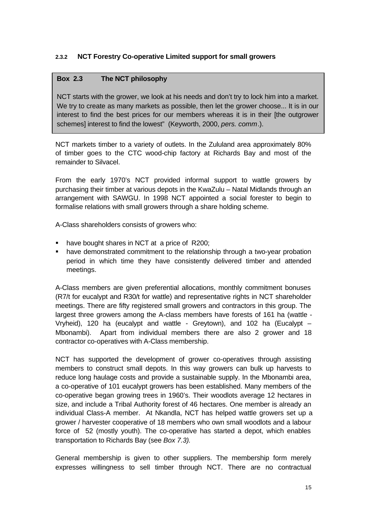# **2.3.2 NCT Forestry Co-operative Limited support for small growers**

# **Box 2.3 The NCT philosophy**

NCT starts with the grower, we look at his needs and don't try to lock him into a market. We try to create as many markets as possible, then let the grower choose... It is in our interest to find the best prices for our members whereas it is in their [the outgrower schemes] interest to find the lowest" (Keyworth, 2000, *pers. comm*.).

NCT markets timber to a variety of outlets. In the Zululand area approximately 80% of timber goes to the CTC wood-chip factory at Richards Bay and most of the remainder to Silvacel.

From the early 1970's NCT provided informal support to wattle growers by purchasing their timber at various depots in the KwaZulu – Natal Midlands through an arrangement with SAWGU. In 1998 NCT appointed a social forester to begin to formalise relations with small growers through a share holding scheme.

A-Class shareholders consists of growers who:

- have bought shares in NCT at a price of R200;
- **•** have demonstrated commitment to the relationship through a two-year probation period in which time they have consistently delivered timber and attended meetings.

A-Class members are given preferential allocations, monthly commitment bonuses (R7/t for eucalypt and R30/t for wattle) and representative rights in NCT shareholder meetings. There are fifty registered small growers and contractors in this group. The largest three growers among the A-class members have forests of 161 ha (wattle - Vryheid), 120 ha (eucalypt and wattle - Greytown), and 102 ha (Eucalypt – Mbonambi). Apart from individual members there are also 2 grower and 18 contractor co-operatives with A-Class membership.

NCT has supported the development of grower co-operatives through assisting members to construct small depots. In this way growers can bulk up harvests to reduce long haulage costs and provide a sustainable supply. In the Mbonambi area, a co-operative of 101 eucalypt growers has been established. Many members of the co-operative began growing trees in 1960's. Their woodlots average 12 hectares in size, and include a Tribal Authority forest of 46 hectares. One member is already an individual Class-A member. At Nkandla, NCT has helped wattle growers set up a grower / harvester cooperative of 18 members who own small woodlots and a labour force of 52 (mostly youth). The co-operative has started a depot, which enables transportation to Richards Bay (see *Box 7.3).*

General membership is given to other suppliers. The membership form merely expresses willingness to sell timber through NCT. There are no contractual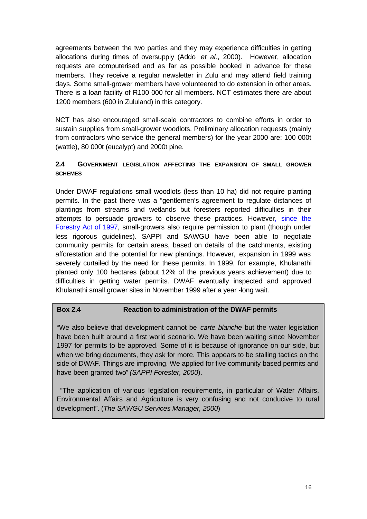agreements between the two parties and they may experience difficulties in getting allocations during times of oversupply (Addo *et al.*, 2000). However, allocation requests are computerised and as far as possible booked in advance for these members. They receive a regular newsletter in Zulu and may attend field training days. Some small-grower members have volunteered to do extension in other areas. There is a loan facility of R100 000 for all members. NCT estimates there are about 1200 members (600 in Zululand) in this category.

NCT has also encouraged small-scale contractors to combine efforts in order to sustain supplies from small-grower woodlots. Preliminary allocation requests (mainly from contractors who service the general members) for the year 2000 are: 100 000t (wattle), 80 000t (eucalypt) and 2000t pine.

# **2.4 GOVERNMENT LEGISLATION AFFECTING THE EXPANSION OF SMALL GROWER SCHEMES**

Under DWAF regulations small woodlots (less than 10 ha) did not require planting permits. In the past there was a "gentlemen's agreement to regulate distances of plantings from streams and wetlands but foresters reported difficulties in their attempts to persuade growers to observe these practices. However, since the Forestry Act of 1997, small-growers also require permission to plant (though under less rigorous guidelines). SAPPI and SAWGU have been able to negotiate community permits for certain areas, based on details of the catchments, existing afforestation and the potential for new plantings. However, expansion in 1999 was severely curtailed by the need for these permits. In 1999, for example, Khulanathi planted only 100 hectares (about 12% of the previous years achievement) due to difficulties in getting water permits. DWAF eventually inspected and approved Khulanathi small grower sites in November 1999 after a year -long wait.

# **Box 2.4 Reaction to administration of the DWAF permits**

"We also believe that development cannot be *carte blanche* but the water legislation have been built around a first world scenario. We have been waiting since November 1997 for permits to be approved. Some of it is because of ignorance on our side, but when we bring documents, they ask for more. This appears to be stalling tactics on the side of DWAF. Things are improving. We applied for five community based permits and have been granted two*" (SAPPI Forester, 2000*).

 "The application of various legislation requirements, in particular of Water Affairs, Environmental Affairs and Agriculture is very confusing and not conducive to rural development". (*The SAWGU Services Manager, 2000*)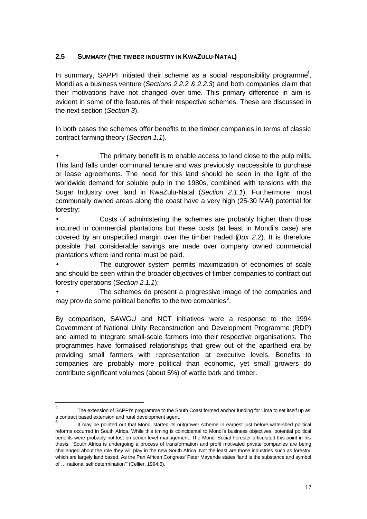# **2.5 SUMMARY (THE TIMBER INDUSTRY IN KWAZULU-NATAL)**

In summary, SAPPI initiated their scheme as a social responsibility programme<sup>4</sup>, Mondi as a business venture (*Sections 2.2.2 & 2.2.3*) and both companies claim that their motivations have not changed over time. This primary difference in aim is evident in some of the features of their respective schemes. These are discussed in the next section (*Section 3*).

In both cases the schemes offer benefits to the timber companies in terms of classic contract farming theory (*Section 1.1*).

The primary benefit is to enable access to land close to the pulp mills. This land falls under communal tenure and was previously inaccessible to purchase or lease agreements. The need for this land should be seen in the light of the worldwide demand for soluble pulp in the 1980s, combined with tensions with the Sugar Industry over land in KwaZulu-Natal (*Section 2.1.1*). Furthermore, most communally owned areas along the coast have a very high (25-30 MAI) potential for forestry;

• Costs of administering the schemes are probably higher than those incurred in commercial plantations but these costs (at least in Mondi's case) are covered by an unspecified margin over the timber traded (*Box 2.2*). It is therefore possible that considerable savings are made over company owned commercial plantations where land rental must be paid.

The outgrower system permits maximization of economies of scale and should be seen within the broader objectives of timber companies to contract out forestry operations (*Section 2.1.1*);

The schemes do present a progressive image of the companies and may provide some political benefits to the two companies $5$ .

By comparison, SAWGU and NCT initiatives were a response to the 1994 Government of National Unity Reconstruction and Development Programme (RDP) and aimed to integrate small-scale farmers into their respective organisations. The programmes have formalised relationships that grew out of the apartheid era by providing small farmers with representation at executive levels. Benefits to companies are probably more political than economic, yet small growers do contribute significant volumes (about 5%) of wattle bark and timber.

 $\frac{1}{4}$ The extension of SAPPI's programme to the South Coast formed anchor funding for Lima to set itself up as a contract based extension and rural development agent.

<sup>5</sup> It may be pointed out that Mondi started its outgrower scheme in earnest just before watershed political reforms occurred in South Africa. While this timing is coincidental to Mondi's business objectives, potential political benefits were probably not lost on senior level management. The Mondi Social Forester articulated this point in his thesis: "South Africa is undergoing a process of transformation and profit motivated private companies are being challenged about the role they will play in the new South Africa. Not the least are those industries such as forestry, which are largely land based. As the Pan African Congress' Peter Mayende states 'land is the substance and symbol of … national self determination'" (Cellier, 1994:6).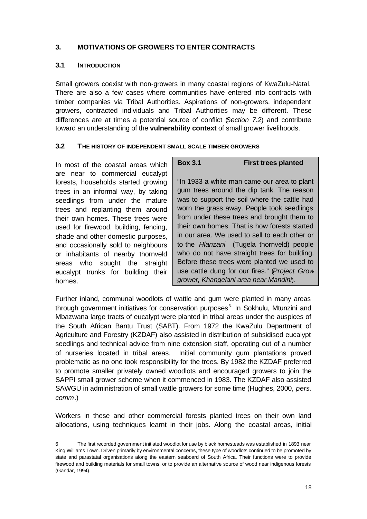# **3. MOTIVATIONS OF GROWERS TO ENTER CONTRACTS**

#### **3.1 INTRODUCTION**

Small growers coexist with non-growers in many coastal regions of KwaZulu-Natal. There are also a few cases where communities have entered into contracts with timber companies via Tribal Authorities. Aspirations of non-growers, independent growers, contracted individuals and Tribal Authorities may be different. These differences are at times a potential source of conflict (*Section 7.2*) and contribute toward an understanding of the **vulnerability context** of small grower livelihoods.

#### **3.2 THE HISTORY OF INDEPENDENT SMALL SCALE TIMBER GROWERS**

In most of the coastal areas which are near to commercial eucalypt forests, households started growing trees in an informal way, by taking seedlings from under the mature trees and replanting them around their own homes. These trees were used for firewood, building, fencing, shade and other domestic purposes, and occasionally sold to neighbours or inhabitants of nearby thornveld areas who sought the straight eucalypt trunks for building their homes.

j

# **Box 3.1 First trees planted**

"In 1933 a white man came our area to plant gum trees around the dip tank. The reason was to support the soil where the cattle had worn the grass away. People took seedlings from under these trees and brought them to their own homes. That is how forests started in our area. We used to sell to each other or to the *Hlanzani* (Tugela thornveld) people who do not have straight trees for building. Before these trees were planted we used to use cattle dung for our fires." (*Project Grow grower, Khangelani area near Mandini*).

Further inland, communal woodlots of wattle and gum were planted in many areas through government initiatives for conservation purposes<sup>6.</sup> In Sokhulu, Mtunzini and Mbazwana large tracts of eucalypt were planted in tribal areas under the auspices of the South African Bantu Trust (SABT). From 1972 the KwaZulu Department of Agriculture and Forestry (KZDAF) also assisted in distribution of subsidised eucalypt seedlings and technical advice from nine extension staff, operating out of a number of nurseries located in tribal areas. Initial community gum plantations proved problematic as no one took responsibility for the trees. By 1982 the KZDAF preferred to promote smaller privately owned woodlots and encouraged growers to join the SAPPI small grower scheme when it commenced in 1983. The KZDAF also assisted SAWGU in administration of small wattle growers for some time (Hughes, 2000, *pers. comm*.)

Workers in these and other commercial forests planted trees on their own land allocations, using techniques learnt in their jobs. Along the coastal areas, initial

<sup>6</sup> The first recorded government initiated woodlot for use by black homesteads was established in 1893 near King Williams Town. Driven primarily by environmental concerns, these type of woodlots continued to be promoted by state and parastatal organisations along the eastern seaboard of South Africa. Their functions were to provide firewood and building materials for small towns, or to provide an alternative source of wood near indigenous forests (Gandar, 1994).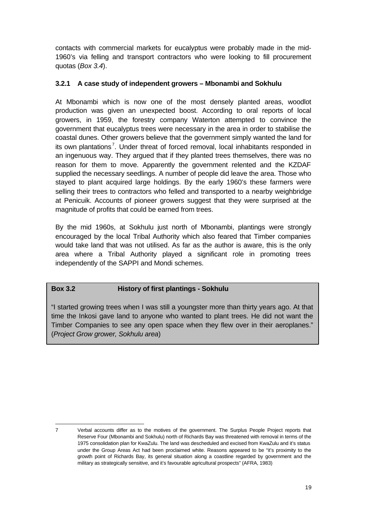contacts with commercial markets for eucalyptus were probably made in the mid-1960's via felling and transport contractors who were looking to fill procurement quotas (*Box 3.4*).

# **3.2.1 A case study of independent growers – Mbonambi and Sokhulu**

At Mbonambi which is now one of the most densely planted areas, woodlot production was given an unexpected boost. According to oral reports of local growers, in 1959, the forestry company Waterton attempted to convince the government that eucalyptus trees were necessary in the area in order to stabilise the coastal dunes. Other growers believe that the government simply wanted the land for its own plantations<sup>7</sup>. Under threat of forced removal, local inhabitants responded in an ingenuous way. They argued that if they planted trees themselves, there was no reason for them to move. Apparently the government relented and the KZDAF supplied the necessary seedlings. A number of people did leave the area. Those who stayed to plant acquired large holdings. By the early 1960's these farmers were selling their trees to contractors who felled and transported to a nearby weighbridge at Penicuik. Accounts of pioneer growers suggest that they were surprised at the magnitude of profits that could be earned from trees.

By the mid 1960s, at Sokhulu just north of Mbonambi, plantings were strongly encouraged by the local Tribal Authority which also feared that Timber companies would take land that was not utilised. As far as the author is aware, this is the only area where a Tribal Authority played a significant role in promoting trees independently of the SAPPI and Mondi schemes.

# **Box 3.2 History of first plantings - Sokhulu**

j

"I started growing trees when I was still a youngster more than thirty years ago. At that time the Inkosi gave land to anyone who wanted to plant trees. He did not want the Timber Companies to see any open space when they flew over in their aeroplanes." (*Project Grow grower, Sokhulu area*)

<sup>7</sup> Verbal accounts differ as to the motives of the government. The Surplus People Project reports that Reserve Four (Mbonambi and Sokhulu) north of Richards Bay was threatened with removal in terms of the 1975 consolidation plan for KwaZulu. The land was descheduled and excised from KwaZulu and it's status under the Group Areas Act had been proclaimed white. Reasons appeared to be "it's proximity to the growth point of Richards Bay, its general situation along a coastline regarded by government and the military as strategically sensitive, and it's favourable agricultural prospects" (AFRA, 1983)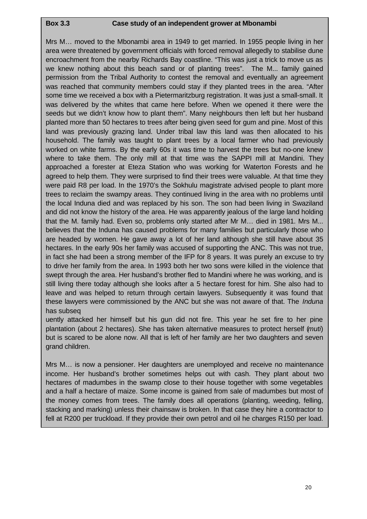# **Box 3.3 Case study of an independent grower at Mbonambi**

Mrs M… moved to the Mbonambi area in 1949 to get married. In 1955 people living in her area were threatened by government officials with forced removal allegedly to stabilise dune encroachment from the nearby Richards Bay coastline. "This was just a trick to move us as we knew nothing about this beach sand or of planting trees". The M... family gained permission from the Tribal Authority to contest the removal and eventually an agreement was reached that community members could stay if they planted trees in the area. "After some time we received a box with a Pietermaritzburg registration. It was just a small-small. It was delivered by the whites that came here before. When we opened it there were the seeds but we didn't know how to plant them". Many neighbours then left but her husband planted more than 50 hectares to trees after being given seed for gum and pine. Most of this land was previously grazing land. Under tribal law this land was then allocated to his household. The family was taught to plant trees by a local farmer who had previously worked on white farms. By the early 60s it was time to harvest the trees but no-one knew where to take them. The only mill at that time was the SAPPI mill at Mandini. They approached a forester at Eteza Station who was working for Waterton Forests and he agreed to help them. They were surprised to find their trees were valuable. At that time they were paid R8 per load. In the 1970's the Sokhulu magistrate advised people to plant more trees to reclaim the swampy areas. They continued living in the area with no problems until the local Induna died and was replaced by his son. The son had been living in Swaziland and did not know the history of the area. He was apparently jealous of the large land holding that the M. family had. Even so, problems only started after Mr M… died in 1981. Mrs M... believes that the Induna has caused problems for many families but particularly those who are headed by women. He gave away a lot of her land although she still have about 35 hectares. In the early 90s her family was accused of supporting the ANC. This was not true, in fact she had been a strong member of the IFP for 8 years. It was purely an excuse to try to drive her family from the area. In 1993 both her two sons were killed in the violence that swept through the area. Her husband's brother fled to Mandini where he was working, and is still living there today although she looks after a 5 hectare forest for him. She also had to leave and was helped to return through certain lawyers. Subsequently it was found that these lawyers were commissioned by the ANC but she was not aware of that. The *Induna* has subseq

uently attacked her himself but his gun did not fire. This year he set fire to her pine plantation (about 2 hectares). She has taken alternative measures to protect herself (*muti*) but is scared to be alone now. All that is left of her family are her two daughters and seven grand children.

Mrs M… is now a pensioner. Her daughters are unemployed and receive no maintenance income. Her husband's brother sometimes helps out with cash. They plant about two hectares of madumbes in the swamp close to their house together with some vegetables and a half a hectare of maize. Some income is gained from sale of madumbes but most of the money comes from trees. The family does all operations (planting, weeding, felling, stacking and marking) unless their chainsaw is broken. In that case they hire a contractor to fell at R200 per truckload. If they provide their own petrol and oil he charges R150 per load.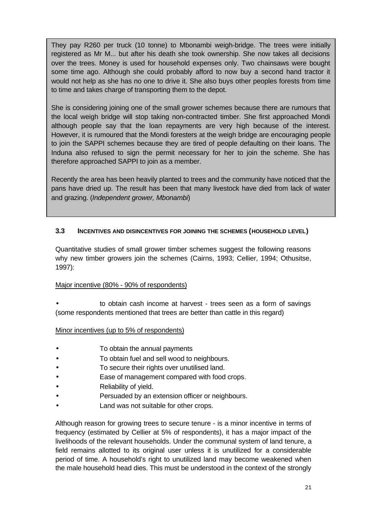They pay R260 per truck (10 tonne) to Mbonambi weigh-bridge. The trees were initially registered as Mr M... but after his death she took ownership. She now takes all decisions over the trees. Money is used for household expenses only. Two chainsaws were bought some time ago. Although she could probably afford to now buy a second hand tractor it would not help as she has no one to drive it. She also buys other peoples forests from time to time and takes charge of transporting them to the depot.

She is considering joining one of the small grower schemes because there are rumours that the local weigh bridge will stop taking non-contracted timber. She first approached Mondi although people say that the loan repayments are very high because of the interest. However, it is rumoured that the Mondi foresters at the weigh bridge are encouraging people to join the SAPPI schemes because they are tired of people defaulting on their loans. The Induna also refused to sign the permit necessary for her to join the scheme. She has therefore approached SAPPI to join as a member.

Recently the area has been heavily planted to trees and the community have noticed that the pans have dried up. The result has been that many livestock have died from lack of water and grazing. (*Independent grower, Mbonambi*)

#### **3.3 INCENTIVES AND DISINCENTIVES FOR JOINING THE SCHEMES (HOUSEHOLD LEVEL)**

Quantitative studies of small grower timber schemes suggest the following reasons why new timber growers join the schemes (Cairns, 1993; Cellier, 1994; Othusitse, 1997):

# Major incentive (80% - 90% of respondents)

• to obtain cash income at harvest - trees seen as a form of savings (some respondents mentioned that trees are better than cattle in this regard)

#### Minor incentives (up to 5% of respondents)

- To obtain the annual payments
- To obtain fuel and sell wood to neighbours.
- To secure their rights over unutilised land.
- Ease of management compared with food crops.
- Reliability of yield.
- Persuaded by an extension officer or neighbours.
- Land was not suitable for other crops.

Although reason for growing trees to secure tenure - is a minor incentive in terms of frequency (estimated by Cellier at 5% of respondents), it has a major impact of the livelihoods of the relevant households. Under the communal system of land tenure, a field remains allotted to its original user unless it is unutilized for a considerable period of time. A household's right to unutilized land may become weakened when the male household head dies. This must be understood in the context of the strongly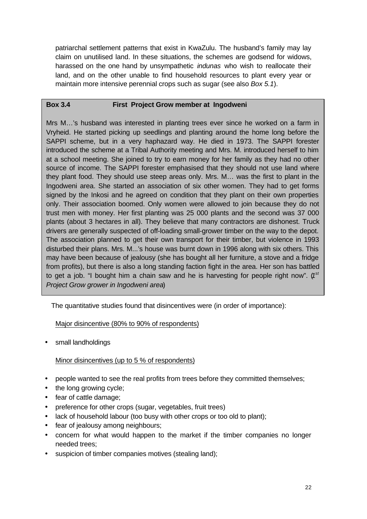patriarchal settlement patterns that exist in KwaZulu. The husband's family may lay claim on unutilised land. In these situations, the schemes are godsend for widows, harassed on the one hand by unsympathetic *indunas* who wish to reallocate their land, and on the other unable to find household resources to plant every year or maintain more intensive perennial crops such as sugar (see also *Box 5.1*).

# **Box 3.4 First Project Grow member at Ingodweni**

Mrs M…'s husband was interested in planting trees ever since he worked on a farm in Vryheid. He started picking up seedlings and planting around the home long before the SAPPI scheme, but in a very haphazard way. He died in 1973. The SAPPI forester introduced the scheme at a Tribal Authority meeting and Mrs. M. introduced herself to him at a school meeting. She joined to try to earn money for her family as they had no other source of income. The SAPPI forester emphasised that they should not use land where they plant food. They should use steep areas only. Mrs. M… was the first to plant in the Ingodweni area. She started an association of six other women. They had to get forms signed by the Inkosi and he agreed on condition that they plant on their own properties only. Their association boomed. Only women were allowed to join because they do not trust men with money. Her first planting was 25 000 plants and the second was 37 000 plants (about 3 hectares in all). They believe that many contractors are dishonest. Truck drivers are generally suspected of off-loading small-grower timber on the way to the depot. The association planned to get their own transport for their timber, but violence in 1993 disturbed their plans. Mrs. M...'s house was burnt down in 1996 along with six others. This may have been because of jealousy (she has bought all her furniture, a stove and a fridge from profits), but there is also a long standing faction fight in the area. Her son has battled to get a job. "I bought him a chain saw and he is harvesting for people right now". (1<sup>st</sup> *Project Grow grower in Ingodweni area*)

The quantitative studies found that disincentives were (in order of importance):

# Major disincentive (80% to 90% of respondents)

small landholdings

# Minor disincentives (up to 5 % of respondents)

- people wanted to see the real profits from trees before they committed themselves;
- the long growing cycle;
- fear of cattle damage;
- preference for other crops (sugar, vegetables, fruit trees)
- lack of household labour (too busy with other crops or too old to plant);
- fear of jealousy among neighbours;
- concern for what would happen to the market if the timber companies no longer needed trees;
- suspicion of timber companies motives (stealing land);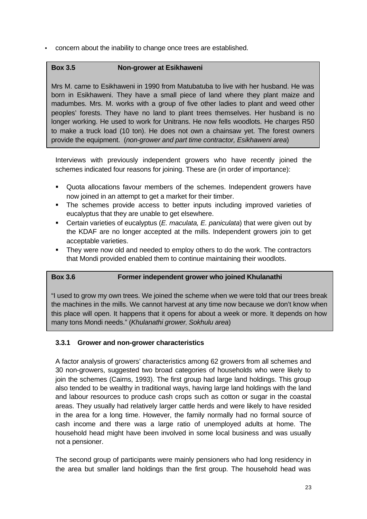• concern about the inability to change once trees are established.

# **Box 3.5 Non-grower at Esikhaweni**

Mrs M. came to Esikhaweni in 1990 from Matubatuba to live with her husband. He was born in Esikhaweni. They have a small piece of land where they plant maize and madumbes. Mrs. M. works with a group of five other ladies to plant and weed other peoples' forests. They have no land to plant trees themselves. Her husband is no longer working. He used to work for Unitrans. He now fells woodlots. He charges R50 to make a truck load (10 ton). He does not own a chainsaw yet. The forest owners provide the equipment. (*non-grower and part time contractor, Esikhaweni area*)

Interviews with previously independent growers who have recently joined the schemes indicated four reasons for joining. These are (in order of importance):

- Quota allocations favour members of the schemes. Independent growers have now joined in an attempt to get a market for their timber.
- The schemes provide access to better inputs including improved varieties of eucalyptus that they are unable to get elsewhere.
- **EXECT** Certain varieties of eucalyptus (*E. maculata, E. paniculata*) that were given out by the KDAF are no longer accepted at the mills. Independent growers join to get acceptable varieties.
- They were now old and needed to employ others to do the work. The contractors that Mondi provided enabled them to continue maintaining their woodlots.

# **Box 3.6 Former independent grower who joined Khulanathi**

"I used to grow my own trees. We joined the scheme when we were told that our trees break the machines in the mills. We cannot harvest at any time now because we don't know when this place will open. It happens that it opens for about a week or more. It depends on how many tons Mondi needs." (*Khulanathi grower, Sokhulu area*)

# **3.3.1 Grower and non-grower characteristics**

A factor analysis of growers' characteristics among 62 growers from all schemes and 30 non-growers, suggested two broad categories of households who were likely to join the schemes (Cairns, 1993). The first group had large land holdings. This group also tended to be wealthy in traditional ways, having large land holdings with the land and labour resources to produce cash crops such as cotton or sugar in the coastal areas. They usually had relatively larger cattle herds and were likely to have resided in the area for a long time. However, the family normally had no formal source of cash income and there was a large ratio of unemployed adults at home. The household head might have been involved in some local business and was usually not a pensioner.

The second group of participants were mainly pensioners who had long residency in the area but smaller land holdings than the first group. The household head was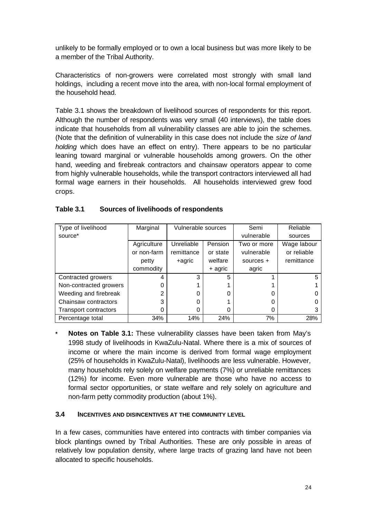unlikely to be formally employed or to own a local business but was more likely to be a member of the Tribal Authority.

Characteristics of non-growers were correlated most strongly with small land holdings, including a recent move into the area, with non-local formal employment of the household head.

Table 3.1 shows the breakdown of livelihood sources of respondents for this report. Although the number of respondents was very small (40 interviews), the table does indicate that households from all vulnerability classes are able to join the schemes. (Note that the definition of vulnerability in this case does not include the *size of land holding* which does have an effect on entry). There appears to be no particular leaning toward marginal or vulnerable households among growers. On the other hand, weeding and firebreak contractors and chainsaw operators appear to come from highly vulnerable households, while the transport contractors interviewed all had formal wage earners in their households. All households interviewed grew food crops.

| Type of livelihood           | Marginal    | Vulnerable sources |          | Semi        | Reliable    |
|------------------------------|-------------|--------------------|----------|-------------|-------------|
| source*                      |             |                    |          | vulnerable  | sources     |
|                              | Agriculture | Unreliable         | Pension  | Two or more | Wage labour |
|                              | or non-farm | remittance         | or state | vulnerable  | or reliable |
|                              | petty       | +agric             | welfare  | sources $+$ | remittance  |
|                              | commodity   |                    | + agric  | agric       |             |
| Contracted growers           | 4           | 3                  | 5        |             | 5           |
| Non-contracted growers       | 0           |                    |          |             |             |
| Weeding and firebreak        | 2           | 0                  |          |             |             |
| Chainsaw contractors         | 3           | 0                  |          | ი           |             |
| <b>Transport contractors</b> | 0           | 0                  |          | 0           |             |
| Percentage total             | 34%         | 14%                | 24%      | 7%          | 28%         |

| Table 3.1 | Sources of livelihoods of respondents |
|-----------|---------------------------------------|
|           |                                       |

**Notes on Table 3.1:** These vulnerability classes have been taken from May's 1998 study of livelihoods in KwaZulu-Natal. Where there is a mix of sources of income or where the main income is derived from formal wage employment (25% of households in KwaZulu-Natal), livelihoods are less vulnerable. However, many households rely solely on welfare payments (7%) or unreliable remittances (12%) for income. Even more vulnerable are those who have no access to formal sector opportunities, or state welfare and rely solely on agriculture and non-farm petty commodity production (about 1%).

#### **3.4 INCENTIVES AND DISINCENTIVES AT THE COMMUNITY LEVEL**

In a few cases, communities have entered into contracts with timber companies via block plantings owned by Tribal Authorities. These are only possible in areas of relatively low population density, where large tracts of grazing land have not been allocated to specific households.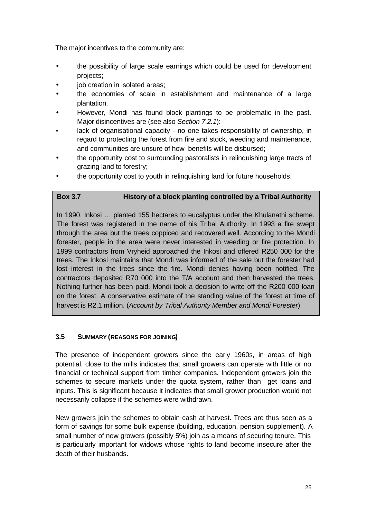The major incentives to the community are:

- the possibility of large scale earnings which could be used for development projects;
- iob creation in isolated areas:
- the economies of scale in establishment and maintenance of a large plantation.
- However, Mondi has found block plantings to be problematic in the past. Major disincentives are (see also *Section 7.2.1*):
- lack of organisational capacity no one takes responsibility of ownership, in regard to protecting the forest from fire and stock, weeding and maintenance, and communities are unsure of how benefits will be disbursed;
- the opportunity cost to surrounding pastoralists in relinquishing large tracts of grazing land to forestry;
- the opportunity cost to youth in relinquishing land for future households.

# **Box 3.7 History of a block planting controlled by a Tribal Authority**

In 1990, Inkosi … planted 155 hectares to eucalyptus under the Khulanathi scheme. The forest was registered in the name of his Tribal Authority. In 1993 a fire swept through the area but the trees coppiced and recovered well. According to the Mondi forester, people in the area were never interested in weeding or fire protection. In 1999 contractors from Vryheid approached the Inkosi and offered R250 000 for the trees. The Inkosi maintains that Mondi was informed of the sale but the forester had lost interest in the trees since the fire. Mondi denies having been notified. The contractors deposited R70 000 into the T/A account and then harvested the trees. Nothing further has been paid. Mondi took a decision to write off the R200 000 loan on the forest. A conservative estimate of the standing value of the forest at time of harvest is R2.1 million. (*Account by Tribal Authority Member and Mondi Forester*)

## **3.5 SUMMARY (REASONS FOR JOINING)**

The presence of independent growers since the early 1960s, in areas of high potential, close to the mills indicates that small growers can operate with little or no financial or technical support from timber companies. Independent growers join the schemes to secure markets under the quota system, rather than get loans and inputs. This is significant because it indicates that small grower production would not necessarily collapse if the schemes were withdrawn.

New growers join the schemes to obtain cash at harvest. Trees are thus seen as a form of savings for some bulk expense (building, education, pension supplement). A small number of new growers (possibly 5%) join as a means of securing tenure. This is particularly important for widows whose rights to land become insecure after the death of their husbands.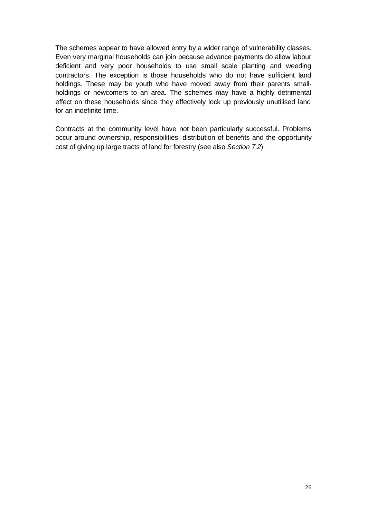The schemes appear to have allowed entry by a wider range of vulnerability classes. Even very marginal households can join because advance payments do allow labour deficient and very poor households to use small scale planting and weeding contractors. The exception is those households who do not have sufficient land holdings. These may be youth who have moved away from their parents smallholdings or newcomers to an area. The schemes may have a highly detrimental effect on these households since they effectively lock up previously unutilised land for an indefinite time.

Contracts at the community level have not been particularly successful. Problems occur around ownership, responsibilities, distribution of benefits and the opportunity cost of giving up large tracts of land for forestry (see also *Section 7.2*).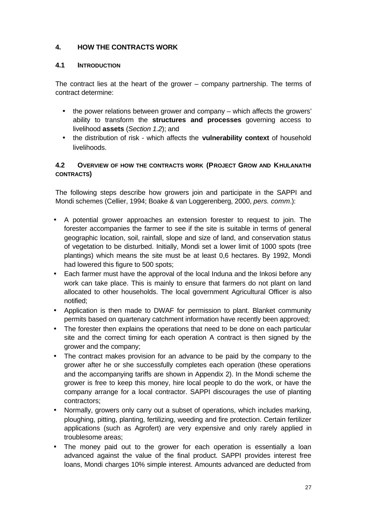## **4. HOW THE CONTRACTS WORK**

#### **4.1 INTRODUCTION**

The contract lies at the heart of the grower – company partnership. The terms of contract determine:

- the power relations between grower and company which affects the growers' ability to transform the **structures and processes** governing access to livelihood **assets** (*Section 1.2*); and
- the distribution of risk which affects the **vulnerability context** of household livelihoods.

#### **4.2 OVERVIEW OF HOW THE CONTRACTS WORK (PROJECT GROW AND KHULANATHI CONTRACTS)**

The following steps describe how growers join and participate in the SAPPI and Mondi schemes (Cellier, 1994; Boake & van Loggerenberg, 2000, *pers. comm*.):

- A potential grower approaches an extension forester to request to join. The forester accompanies the farmer to see if the site is suitable in terms of general geographic location, soil, rainfall, slope and size of land, and conservation status of vegetation to be disturbed. Initially, Mondi set a lower limit of 1000 spots (tree plantings) which means the site must be at least 0,6 hectares. By 1992, Mondi had lowered this figure to 500 spots;
- Each farmer must have the approval of the local Induna and the Inkosi before any work can take place. This is mainly to ensure that farmers do not plant on land allocated to other households. The local government Agricultural Officer is also notified;
- Application is then made to DWAF for permission to plant. Blanket community permits based on quartenary catchment information have recently been approved;
- The forester then explains the operations that need to be done on each particular site and the correct timing for each operation A contract is then signed by the grower and the company;
- The contract makes provision for an advance to be paid by the company to the grower after he or she successfully completes each operation (these operations and the accompanying tariffs are shown in Appendix 2). In the Mondi scheme the grower is free to keep this money, hire local people to do the work, or have the company arrange for a local contractor. SAPPI discourages the use of planting contractors;
- Normally, growers only carry out a subset of operations, which includes marking, ploughing, pitting, planting, fertilizing, weeding and fire protection. Certain fertilizer applications (such as Agrofert) are very expensive and only rarely applied in troublesome areas;
- The money paid out to the grower for each operation is essentially a loan advanced against the value of the final product. SAPPI provides interest free loans, Mondi charges 10% simple interest. Amounts advanced are deducted from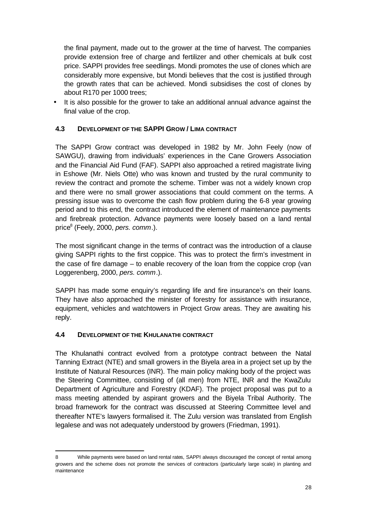the final payment, made out to the grower at the time of harvest. The companies provide extension free of charge and fertilizer and other chemicals at bulk cost price. SAPPI provides free seedlings. Mondi promotes the use of clones which are considerably more expensive, but Mondi believes that the cost is justified through the growth rates that can be achieved. Mondi subsidises the cost of clones by about R170 per 1000 trees;

It is also possible for the grower to take an additional annual advance against the final value of the crop.

#### **4.3 DEVELOPMENT OF THE SAPPI GROW / LIMA CONTRACT**

The SAPPI Grow contract was developed in 1982 by Mr. John Feely (now of SAWGU), drawing from individuals' experiences in the Cane Growers Association and the Financial Aid Fund (FAF). SAPPI also approached a retired magistrate living in Eshowe (Mr. Niels Otte) who was known and trusted by the rural community to review the contract and promote the scheme. Timber was not a widely known crop and there were no small grower associations that could comment on the terms. A pressing issue was to overcome the cash flow problem during the 6-8 year growing period and to this end, the contract introduced the element of maintenance payments and firebreak protection. Advance payments were loosely based on a land rental price<sup>8</sup> (Feely, 2000, *pers. comm*.).

The most significant change in the terms of contract was the introduction of a clause giving SAPPI rights to the first coppice. This was to protect the firm's investment in the case of fire damage – to enable recovery of the loan from the coppice crop (van Loggerenberg, 2000, *pers. comm*.).

SAPPI has made some enquiry's regarding life and fire insurance's on their loans. They have also approached the minister of forestry for assistance with insurance, equipment, vehicles and watchtowers in Project Grow areas. They are awaiting his reply.

#### **4.4 DEVELOPMENT OF THE KHULANATHI CONTRACT**

j

The Khulanathi contract evolved from a prototype contract between the Natal Tanning Extract (NTE) and small growers in the Biyela area in a project set up by the Institute of Natural Resources (INR). The main policy making body of the project was the Steering Committee, consisting of (all men) from NTE, INR and the KwaZulu Department of Agriculture and Forestry (KDAF). The project proposal was put to a mass meeting attended by aspirant growers and the Biyela Tribal Authority. The broad framework for the contract was discussed at Steering Committee level and thereafter NTE's lawyers formalised it. The Zulu version was translated from English legalese and was not adequately understood by growers (Friedman, 1991).

<sup>8</sup> While payments were based on land rental rates, SAPPI always discouraged the concept of rental among growers and the scheme does not promote the services of contractors (particularly large scale) in planting and maintenance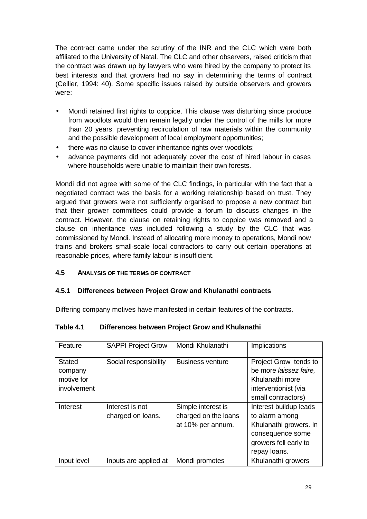The contract came under the scrutiny of the INR and the CLC which were both affiliated to the University of Natal. The CLC and other observers, raised criticism that the contract was drawn up by lawyers who were hired by the company to protect its best interests and that growers had no say in determining the terms of contract (Cellier, 1994: 40). Some specific issues raised by outside observers and growers were:

- Mondi retained first rights to coppice. This clause was disturbing since produce from woodlots would then remain legally under the control of the mills for more than 20 years, preventing recirculation of raw materials within the community and the possible development of local employment opportunities;
- there was no clause to cover inheritance rights over woodlots;
- advance payments did not adequately cover the cost of hired labour in cases where households were unable to maintain their own forests.

Mondi did not agree with some of the CLC findings, in particular with the fact that a negotiated contract was the basis for a working relationship based on trust. They argued that growers were not sufficiently organised to propose a new contract but that their grower committees could provide a forum to discuss changes in the contract. However, the clause on retaining rights to coppice was removed and a clause on inheritance was included following a study by the CLC that was commissioned by Mondi. Instead of allocating more money to operations, Mondi now trains and brokers small-scale local contractors to carry out certain operations at reasonable prices, where family labour is insufficient.

#### **4.5 ANALYSIS OF THE TERMS OF CONTRACT**

#### **4.5.1 Differences between Project Grow and Khulanathi contracts**

Differing company motives have manifested in certain features of the contracts.

#### **Table 4.1 Differences between Project Grow and Khulanathi**

| Feature                                               | <b>SAPPI Project Grow</b>            | Mondi Khulanathi                                                | Implications                                                                                                                    |
|-------------------------------------------------------|--------------------------------------|-----------------------------------------------------------------|---------------------------------------------------------------------------------------------------------------------------------|
| <b>Stated</b><br>company<br>motive for<br>involvement | Social responsibility                | <b>Business venture</b>                                         | Project Grow tends to<br>be more laissez faire,<br>Khulanathi more<br>interventionist (via<br>small contractors)                |
| Interest                                              | Interest is not<br>charged on loans. | Simple interest is<br>charged on the loans<br>at 10% per annum. | Interest buildup leads<br>to alarm among<br>Khulanathi growers. In<br>consequence some<br>growers fell early to<br>repay loans. |
| Input level                                           | Inputs are applied at                | Mondi promotes                                                  | Khulanathi growers                                                                                                              |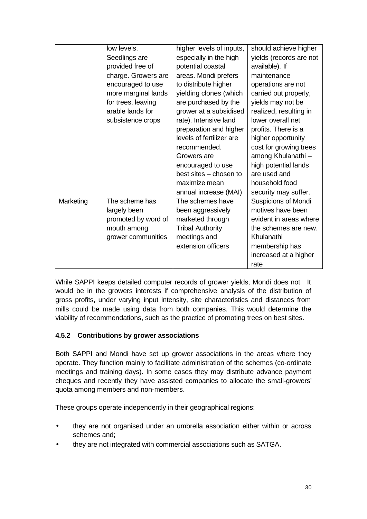|           | low levels.         | higher levels of inputs, | should achieve higher      |
|-----------|---------------------|--------------------------|----------------------------|
|           | Seedlings are       | especially in the high   | yields (records are not    |
|           | provided free of    | potential coastal        | available). If             |
|           | charge. Growers are | areas. Mondi prefers     | maintenance                |
|           | encouraged to use   | to distribute higher     | operations are not         |
|           | more marginal lands | yielding clones (which   | carried out properly,      |
|           | for trees, leaving  | are purchased by the     | yields may not be          |
|           | arable lands for    | grower at a subsidised   | realized, resulting in     |
|           | subsistence crops   | rate). Intensive land    | lower overall net          |
|           |                     | preparation and higher   | profits. There is a        |
|           |                     | levels of fertilizer are | higher opportunity         |
|           |                     | recommended.             | cost for growing trees     |
|           |                     | Growers are              | among Khulanathi -         |
|           |                     | encouraged to use        | high potential lands       |
|           |                     | best sites - chosen to   | are used and               |
|           |                     | maximize mean            | household food             |
|           |                     | annual increase (MAI)    | security may suffer.       |
| Marketing | The scheme has      | The schemes have         | <b>Suspicions of Mondi</b> |
|           | largely been        | been aggressively        | motives have been          |
|           | promoted by word of | marketed through         | evident in areas where     |
|           | mouth among         | <b>Tribal Authority</b>  | the schemes are new.       |
|           | grower communities  | meetings and             | Khulanathi                 |
|           |                     | extension officers       | membership has             |
|           |                     |                          | increased at a higher      |
|           |                     |                          | rate                       |

While SAPPI keeps detailed computer records of grower yields, Mondi does not. It would be in the growers interests if comprehensive analysis of the distribution of gross profits, under varying input intensity, site characteristics and distances from mills could be made using data from both companies. This would determine the viability of recommendations, such as the practice of promoting trees on best sites.

## **4.5.2 Contributions by grower associations**

Both SAPPI and Mondi have set up grower associations in the areas where they operate. They function mainly to facilitate administration of the schemes (co-ordinate meetings and training days). In some cases they may distribute advance payment cheques and recently they have assisted companies to allocate the small-growers' quota among members and non-members.

These groups operate independently in their geographical regions:

- they are not organised under an umbrella association either within or across schemes and;
- they are not integrated with commercial associations such as SATGA.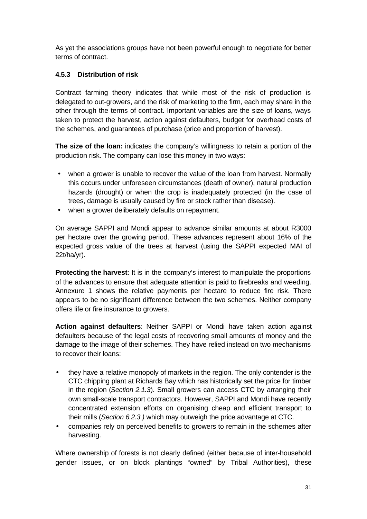As yet the associations groups have not been powerful enough to negotiate for better terms of contract.

### **4.5.3 Distribution of risk**

Contract farming theory indicates that while most of the risk of production is delegated to out-growers, and the risk of marketing to the firm, each may share in the other through the terms of contract. Important variables are the size of loans, ways taken to protect the harvest, action against defaulters, budget for overhead costs of the schemes, and guarantees of purchase (price and proportion of harvest).

**The size of the loan:** indicates the company's willingness to retain a portion of the production risk. The company can lose this money in two ways:

- when a grower is unable to recover the value of the loan from harvest. Normally this occurs under unforeseen circumstances (death of owner), natural production hazards (drought) or when the crop is inadequately protected (in the case of trees, damage is usually caused by fire or stock rather than disease).
- when a grower deliberately defaults on repayment.

On average SAPPI and Mondi appear to advance similar amounts at about R3000 per hectare over the growing period. These advances represent about 16% of the expected gross value of the trees at harvest (using the SAPPI expected MAI of 22t/ha/yr).

**Protecting the harvest**: It is in the company's interest to manipulate the proportions of the advances to ensure that adequate attention is paid to firebreaks and weeding. Annexure 1 shows the relative payments per hectare to reduce fire risk. There appears to be no significant difference between the two schemes. Neither company offers life or fire insurance to growers.

**Action against defaulters**: Neither SAPPI or Mondi have taken action against defaulters because of the legal costs of recovering small amounts of money and the damage to the image of their schemes. They have relied instead on two mechanisms to recover their loans:

- they have a relative monopoly of markets in the region. The only contender is the CTC chipping plant at Richards Bay which has historically set the price for timber in the region (*Section 2.1.3*). Small growers can access CTC by arranging their own small-scale transport contractors. However, SAPPI and Mondi have recently concentrated extension efforts on organising cheap and efficient transport to their mills (*Section 6.2.3 )* which may outweigh the price advantage at CTC.
- companies rely on perceived benefits to growers to remain in the schemes after harvesting.

Where ownership of forests is not clearly defined (either because of inter-household gender issues, or on block plantings "owned" by Tribal Authorities), these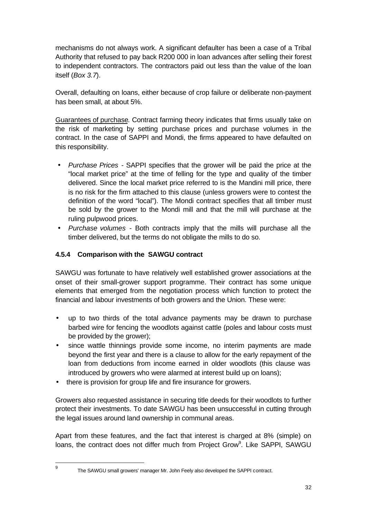mechanisms do not always work. A significant defaulter has been a case of a Tribal Authority that refused to pay back R200 000 in loan advances after selling their forest to independent contractors. The contractors paid out less than the value of the loan itself (*Box 3.7*).

Overall, defaulting on loans, either because of crop failure or deliberate non-payment has been small, at about 5%.

Guarantees of purchase. Contract farming theory indicates that firms usually take on the risk of marketing by setting purchase prices and purchase volumes in the contract. In the case of SAPPI and Mondi, the firms appeared to have defaulted on this responsibility.

- *Purchase Prices* SAPPI specifies that the grower will be paid the price at the "local market price" at the time of felling for the type and quality of the timber delivered. Since the local market price referred to is the Mandini mill price, there is no risk for the firm attached to this clause (unless growers were to contest the definition of the word "local"). The Mondi contract specifies that all timber must be sold by the grower to the Mondi mill and that the mill will purchase at the ruling pulpwood prices.
- *Purchase volumes* Both contracts imply that the mills will purchase all the timber delivered, but the terms do not obligate the mills to do so.

#### **4.5.4 Comparison with the SAWGU contract**

SAWGU was fortunate to have relatively well established grower associations at the onset of their small-grower support programme. Their contract has some unique elements that emerged from the negotiation process which function to protect the financial and labour investments of both growers and the Union. These were:

- up to two thirds of the total advance payments may be drawn to purchase barbed wire for fencing the woodlots against cattle (poles and labour costs must be provided by the grower);
- since wattle thinnings provide some income, no interim payments are made beyond the first year and there is a clause to allow for the early repayment of the loan from deductions from income earned in older woodlots (this clause was introduced by growers who were alarmed at interest build up on loans);
- there is provision for group life and fire insurance for growers.

Growers also requested assistance in securing title deeds for their woodlots to further protect their investments. To date SAWGU has been unsuccessful in cutting through the legal issues around land ownership in communal areas.

Apart from these features, and the fact that interest is charged at 8% (simple) on loans, the contract does not differ much from Project Grow<sup>9</sup>. Like SAPPI, SAWGU

.<br>9

The SAWGU small growers' manager Mr. John Feely also developed the SAPPI contract.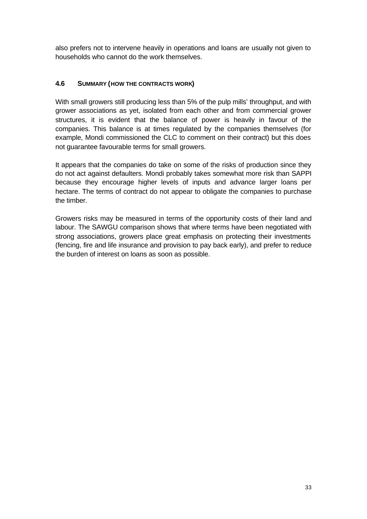also prefers not to intervene heavily in operations and loans are usually not given to households who cannot do the work themselves.

### **4.6 SUMMARY (HOW THE CONTRACTS WORK)**

With small growers still producing less than 5% of the pulp mills' throughput, and with grower associations as yet, isolated from each other and from commercial grower structures, it is evident that the balance of power is heavily in favour of the companies. This balance is at times regulated by the companies themselves (for example, Mondi commissioned the CLC to comment on their contract) but this does not guarantee favourable terms for small growers.

It appears that the companies do take on some of the risks of production since they do not act against defaulters. Mondi probably takes somewhat more risk than SAPPI because they encourage higher levels of inputs and advance larger loans per hectare. The terms of contract do not appear to obligate the companies to purchase the timber.

Growers risks may be measured in terms of the opportunity costs of their land and labour. The SAWGU comparison shows that where terms have been negotiated with strong associations, growers place great emphasis on protecting their investments (fencing, fire and life insurance and provision to pay back early), and prefer to reduce the burden of interest on loans as soon as possible.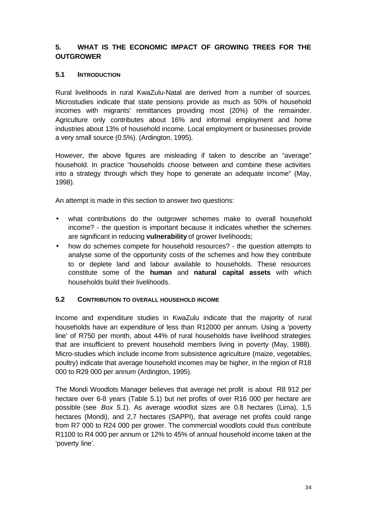## **5. WHAT IS THE ECONOMIC IMPACT OF GROWING TREES FOR THE OUTGROWER**

#### **5.1 INTRODUCTION**

Rural livelihoods in rural KwaZulu-Natal are derived from a number of sources. Microstudies indicate that state pensions provide as much as 50% of household incomes with migrants' remittances providing most (20%) of the remainder. Agriculture only contributes about 16% and informal employment and home industries about 13% of household income. Local employment or businesses provide a very small source (0.5%). (Ardington, 1995).

However, the above figures are misleading if taken to describe an "average" household. In practice "households choose between and combine these activities into a strategy through which they hope to generate an adequate income" (May, 1998).

An attempt is made in this section to answer two questions:

- what contributions do the outgrower schemes make to overall household income? - the question is important because it indicates whether the schemes are significant in reducing **vulnerability** of grower livelihoods;
- how do schemes compete for household resources? the question attempts to analyse some of the opportunity costs of the schemes and how they contribute to or deplete land and labour available to households. These resources constitute some of the **human** and **natural capital assets** with which households build their livelihoods.

#### **5.2 CONTRIBUTION TO OVERALL HOUSEHOLD INCOME**

Income and expenditure studies in KwaZulu indicate that the majority of rural households have an expenditure of less than R12000 per annum. Using a 'poverty line' of R750 per month, about 44% of rural households have livelihood strategies that are insufficient to prevent household members living in poverty (May, 1988). Micro-studies which include income from subsistence agriculture (maize, vegetables, poultry) indicate that average household incomes may be higher, in the region of R18 000 to R29 000 per annum (Ardington, 1995).

The Mondi Woodlots Manager believes that average net profit is about R8 912 per hectare over 6-8 years (Table 5.1) but net profits of over R16 000 per hectare are possible (see *Box 5.1*). As average woodlot sizes are 0.8 hectares (Lima), 1,5 hectares (Mondi), and 2,7 hectares (SAPPI), that average net profits could range from R7 000 to R24 000 per grower. The commercial woodlots could thus contribute R1100 to R4 000 per annum or 12% to 45% of annual household income taken at the 'poverty line'.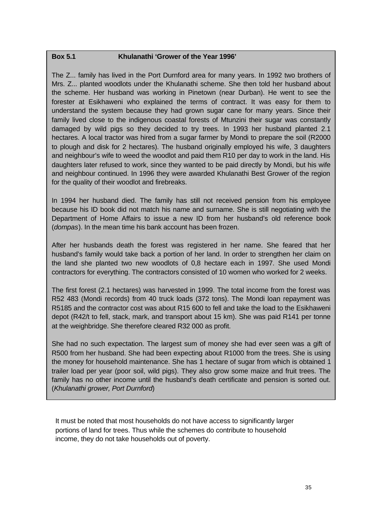#### **Box 5.1 Khulanathi 'Grower of the Year 1996'**

The Z... family has lived in the Port Durnford area for many years. In 1992 two brothers of Mrs. Z... planted woodlots under the Khulanathi scheme. She then told her husband about the scheme. Her husband was working in Pinetown (near Durban). He went to see the forester at Esikhaweni who explained the terms of contract. It was easy for them to understand the system because they had grown sugar cane for many years. Since their family lived close to the indigenous coastal forests of Mtunzini their sugar was constantly damaged by wild pigs so they decided to try trees. In 1993 her husband planted 2.1 hectares. A local tractor was hired from a sugar farmer by Mondi to prepare the soil (R2000 to plough and disk for 2 hectares). The husband originally employed his wife, 3 daughters and neighbour's wife to weed the woodlot and paid them R10 per day to work in the land. His daughters later refused to work, since they wanted to be paid directly by Mondi, but his wife and neighbour continued. In 1996 they were awarded Khulanathi Best Grower of the region for the quality of their woodlot and firebreaks.

In 1994 her husband died. The family has still not received pension from his employee because his ID book did not match his name and surname. She is still negotiating with the Department of Home Affairs to issue a new ID from her husband's old reference book (*dompas*). In the mean time his bank account has been frozen.

After her husbands death the forest was registered in her name. She feared that her husband's family would take back a portion of her land. In order to strengthen her claim on the land she planted two new woodlots of 0,8 hectare each in 1997. She used Mondi contractors for everything. The contractors consisted of 10 women who worked for 2 weeks.

The first forest (2.1 hectares) was harvested in 1999. The total income from the forest was R52 483 (Mondi records) from 40 truck loads (372 tons). The Mondi loan repayment was R5185 and the contractor cost was about R15 600 to fell and take the load to the Esikhaweni depot (R42/t to fell, stack, mark, and transport about 15 km). She was paid R141 per tonne at the weighbridge. She therefore cleared R32 000 as profit.

She had no such expectation. The largest sum of money she had ever seen was a gift of R500 from her husband. She had been expecting about R1000 from the trees. She is using the money for household maintenance. She has 1 hectare of sugar from which is obtained 1 trailer load per year (poor soil, wild pigs). They also grow some maize and fruit trees. The family has no other income until the husband's death certificate and pension is sorted out. (*Khulanathi grower, Port Durnford*)

It must be noted that most households do not have access to significantly larger portions of land for trees. Thus while the schemes do contribute to household income, they do not take households out of poverty.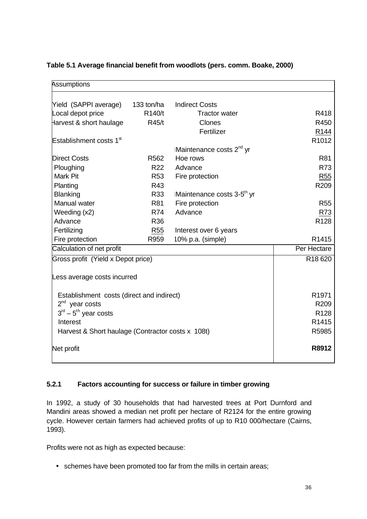| <b>Assumptions</b>                                |                  |                                        |                     |
|---------------------------------------------------|------------------|----------------------------------------|---------------------|
| Yield (SAPPI average)                             | 133 ton/ha       | <b>Indirect Costs</b>                  |                     |
| Local depot price                                 | R140/t           | <b>Tractor water</b>                   | R418                |
| Harvest & short haulage                           | R45/t            | Clones                                 | R450                |
|                                                   |                  | Fertilizer                             | R <sub>144</sub>    |
| Establishment costs 1 <sup>st</sup>               |                  |                                        | R <sub>1012</sub>   |
|                                                   |                  | Maintenance costs 2 <sup>nd</sup> yr   |                     |
| <b>Direct Costs</b>                               | R <sub>562</sub> | Hoe rows                               | <b>R81</b>          |
| Ploughing                                         | R <sub>22</sub>  | Advance                                | R73                 |
| Mark Pit                                          | <b>R53</b>       | Fire protection                        | <b>R55</b>          |
| Planting                                          | R43              |                                        | R <sub>209</sub>    |
| <b>Blanking</b>                                   | R33              | Maintenance costs 3-5 <sup>th</sup> yr |                     |
| Manual water                                      | <b>R81</b>       | Fire protection                        | <b>R55</b>          |
| Weeding (x2)                                      | <b>R74</b>       | Advance                                | R <sub>73</sub>     |
| Advance                                           | R36              |                                        | R <sub>128</sub>    |
| Fertilizing                                       | R55              | Interest over 6 years                  |                     |
| Fire protection                                   | R959             | 10% p.a. (simple)                      | R <sub>1415</sub>   |
| Calculation of net profit                         |                  |                                        | Per Hectare         |
| Gross profit (Yield x Depot price)                |                  |                                        | R <sub>18</sub> 620 |
| Less average costs incurred                       |                  |                                        |                     |
| Establishment costs (direct and indirect)         |                  |                                        | R <sub>1971</sub>   |
| $2^{nd}$ year costs                               |                  |                                        | R209                |
| $3rd - 5th$ year costs                            |                  |                                        | R <sub>128</sub>    |
| Interest                                          |                  |                                        | R <sub>1415</sub>   |
| Harvest & Short haulage (Contractor costs x 108t) |                  |                                        | R5985               |
| Net profit                                        |                  |                                        | R8912               |

#### **Table 5.1 Average financial benefit from woodlots (pers. comm. Boake, 2000)**

#### **5.2.1 Factors accounting for success or failure in timber growing**

In 1992, a study of 30 households that had harvested trees at Port Durnford and Mandini areas showed a median net profit per hectare of R2124 for the entire growing cycle. However certain farmers had achieved profits of up to R10 000/hectare (Cairns, 1993).

Profits were not as high as expected because:

• schemes have been promoted too far from the mills in certain areas;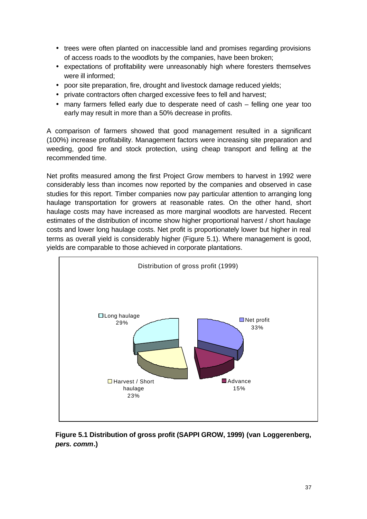- trees were often planted on inaccessible land and promises regarding provisions of access roads to the woodlots by the companies, have been broken;
- expectations of profitability were unreasonably high where foresters themselves were ill informed;
- poor site preparation, fire, drought and livestock damage reduced yields;
- private contractors often charged excessive fees to fell and harvest;
- many farmers felled early due to desperate need of cash felling one year too early may result in more than a 50% decrease in profits.

A comparison of farmers showed that good management resulted in a significant (100%) increase profitability. Management factors were increasing site preparation and weeding, good fire and stock protection, using cheap transport and felling at the recommended time.

Net profits measured among the first Project Grow members to harvest in 1992 were considerably less than incomes now reported by the companies and observed in case studies for this report. Timber companies now pay particular attention to arranging long haulage transportation for growers at reasonable rates. On the other hand, short haulage costs may have increased as more marginal woodlots are harvested. Recent estimates of the distribution of income show higher proportional harvest / short haulage costs and lower long haulage costs. Net profit is proportionately lower but higher in real terms as overall yield is considerably higher (Figure 5.1). Where management is good, yields are comparable to those achieved in corporate plantations.



**Figure 5.1 Distribution of gross profit (SAPPI GROW, 1999) (van Loggerenberg,** *pers. comm***.)**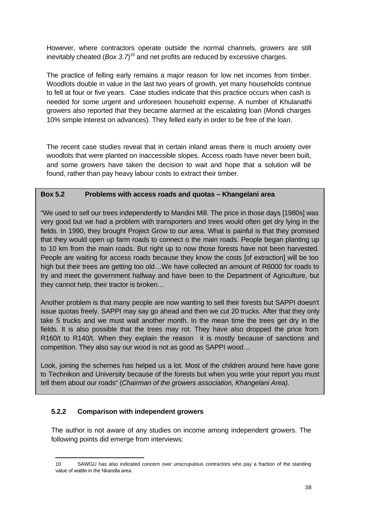However, where contractors operate outside the normal channels, growers are still inevitably cheated (*Box 3.7*)<sup>10</sup> and net profits are reduced by excessive charges.

The practice of felling early remains a major reason for low net incomes from timber. Woodlots double in value in the last two years of growth, yet many households continue to fell at four or five years. Case studies indicate that this practice occurs when cash is needed for some urgent and unforeseen household expense. A number of Khulanathi growers also reported that they became alarmed at the escalating loan (Mondi charges 10% simple interest on advances). They felled early in order to be free of the loan.

The recent case studies reveal that in certain inland areas there is much anxiety over woodlots that were planted on inaccessible slopes. Access roads have never been built, and some growers have taken the decision to wait and hope that a solution will be found, rather than pay heavy labour costs to extract their timber.

#### **Box 5.2 Problems with access roads and quotas – Khangelani area**

"We used to sell our trees independently to Mandini Mill. The price in those days [1980s] was very good but we had a problem with transporters and trees would often get dry lying in the fields. In 1990, they brought Project Grow to our area. What is painful is that they promised that they would open up farm roads to connect o the main roads. People began planting up to 10 km from the main roads. But right up to now those forests have not been harvested. People are waiting for access roads because they know the costs [of extraction] will be too high but their trees are getting too old…We have collected an amount of R6000 for roads to try and meet the government halfway and have been to the Department of Agriculture, but they cannot help, their tractor is broken…

Another problem is that many people are now wanting to sell their forests but SAPPI doesn't issue quotas freely. SAPPI may say go ahead and then we cut 20 trucks. After that they only take 5 trucks and we must wait another month. In the mean time the trees get dry in the fields. It is also possible that the trees may rot. They have also dropped the price from R160/t to R140/t. When they explain the reason it is mostly because of sanctions and competition. They also say our wood is not as good as SAPPI wood…

Look, joining the schemes has helped us a lot. Most of the children around here have gone to Technikon and University because of the forests but when you write your report you must tell them about our roads" (*Chairman of the growers association, Khangelani Area).*

#### **5.2.2 Comparison with independent growers**

j

The author is not aware of any studies on income among independent growers. The following points did emerge from interviews:

<sup>10</sup> SAWGU has also indicated concern over unscrupulous contractors who pay a fraction of the standing value of wattle in the Nkandla area.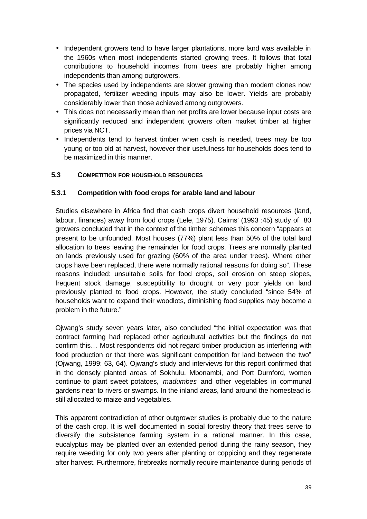- Independent growers tend to have larger plantations, more land was available in the 1960s when most independents started growing trees. It follows that total contributions to household incomes from trees are probably higher among independents than among outgrowers.
- The species used by independents are slower growing than modern clones now propagated, fertilizer weeding inputs may also be lower. Yields are probably considerably lower than those achieved among outgrowers.
- This does not necessarily mean than net profits are lower because input costs are significantly reduced and independent growers often market timber at higher prices via NCT.
- Independents tend to harvest timber when cash is needed, trees may be too young or too old at harvest, however their usefulness for households does tend to be maximized in this manner.

#### **5.3 COMPETITION FOR HOUSEHOLD RESOURCES**

#### **5.3.1 Competition with food crops for arable land and labour**

Studies elsewhere in Africa find that cash crops divert household resources (land, labour, finances) away from food crops (Lele, 1975). Cairns' (1993 :45) study of 80 growers concluded that in the context of the timber schemes this concern "appears at present to be unfounded. Most houses (77%) plant less than 50% of the total land allocation to trees leaving the remainder for food crops. Trees are normally planted on lands previously used for grazing (60% of the area under trees). Where other crops have been replaced, there were normally rational reasons for doing so". These reasons included: unsuitable soils for food crops, soil erosion on steep slopes, frequent stock damage, susceptibility to drought or very poor yields on land previously planted to food crops. However, the study concluded "since 54% of households want to expand their woodlots, diminishing food supplies may become a problem in the future."

Ojwang's study seven years later, also concluded "the initial expectation was that contract farming had replaced other agricultural activities but the findings do not confirm this… Most respondents did not regard timber production as interfering with food production or that there was significant competition for land between the two" (Ojwang, 1999: 63, 64). Ojwang's study and interviews for this report confirmed that in the densely planted areas of Sokhulu, Mbonambi, and Port Durnford, women continue to plant sweet potatoes, *madumbes* and other vegetables in communal gardens near to rivers or swamps. In the inland areas, land around the homestead is still allocated to maize and vegetables.

This apparent contradiction of other outgrower studies is probably due to the nature of the cash crop. It is well documented in social forestry theory that trees serve to diversify the subsistence farming system in a rational manner. In this case, eucalyptus may be planted over an extended period during the rainy season, they require weeding for only two years after planting or coppicing and they regenerate after harvest. Furthermore, firebreaks normally require maintenance during periods of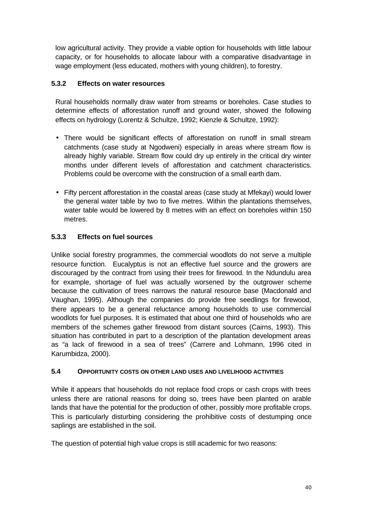low agricultural activity. They provide a viable option for households with little labour capacity, or for households to allocate labour with a comparative disadvantage in wage employment (less educated, mothers with young children), to forestry.

#### **5.3.2 Effects on water resources**

Rural households normally draw water from streams or boreholes. Case studies to determine effects of afforestation runoff and ground water, showed the following effects on hydrology (Lorentz & Schultze, 1992; Kienzle & Schultze, 1992):

- There would be significant effects of afforestation on runoff in small stream catchments (case study at Ngodweni) especially in areas where stream flow is already highly variable. Stream flow could dry up entirely in the critical dry winter months under different levels of afforestation and catchment characteristics. Problems could be overcome with the construction of a small earth dam.
- Fifty percent afforestation in the coastal areas (case study at Mfekayi) would lower the general water table by two to five metres. Within the plantations themselves, water table would be lowered by 8 metres with an effect on boreholes within 150 metres.

#### **5.3.3 Effects on fuel sources**

Unlike social forestry programmes, the commercial woodlots do not serve a multiple resource function. Eucalyptus is not an effective fuel source and the growers are discouraged by the contract from using their trees for firewood. In the Ndundulu area for example, shortage of fuel was actually worsened by the outgrower scheme because the cultivation of trees narrows the natural resource base (Macdonald and Vaughan, 1995). Although the companies do provide free seedlings for firewood, there appears to be a general reluctance among households to use commercial woodlots for fuel purposes. It is estimated that about one third of households who are members of the schemes gather firewood from distant sources (Cairns, 1993). This situation has contributed in part to a description of the plantation development areas as "a lack of firewood in a sea of trees" (Carrere and Lohmann, 1996 cited in Karumbidza, 2000).

#### **5.4 OPPORTUNITY COSTS ON OTHER LAND USES AND LIVELIHOOD ACTIVITIES**

While it appears that households do not replace food crops or cash crops with trees unless there are rational reasons for doing so, trees have been planted on arable lands that have the potential for the production of other, possibly more profitable crops. This is particularly disturbing considering the prohibitive costs of destumping once saplings are established in the soil.

The question of potential high value crops is still academic for two reasons: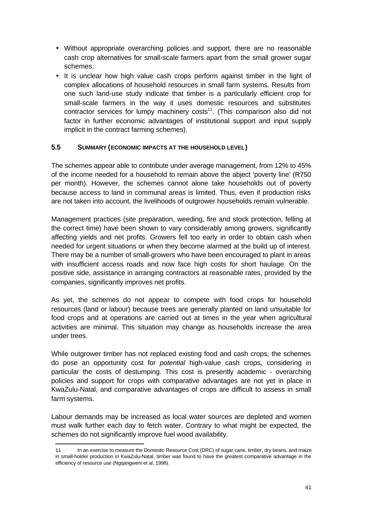- Without appropriate overarching policies and support, there are no reasonable cash crop alternatives for small-scale farmers apart from the small grower sugar schemes.
- It is unclear how high value cash crops perform against timber in the light of complex allocations of household resources in small farm systems. Results from one such land-use study indicate that timber is a particularly efficient crop for small-scale farmers in the way it uses domestic resources and substitutes contractor services for lumpy machinery  $costs<sup>11</sup>$ . (This comparison also did not factor in further economic advantages of institutional support and input supply implicit in the contract farming schemes).

#### **5.5 SUMMARY (ECONOMIC IMPACTS AT THE HOUSEHOLD LEVEL)**

The schemes appear able to contribute under average management, from 12% to 45% of the income needed for a household to remain above the abject 'poverty line' (R750 per month). However, the schemes cannot alone take households out of poverty because access to land in communal areas is limited. Thus, even if production risks are not taken into account, the livelihoods of outgrower households remain vulnerable.

Management practices (site preparation, weeding, fire and stock protection, felling at the correct time) have been shown to vary considerably among growers, significantly affecting yields and net profits. Growers fell too early in order to obtain cash when needed for urgent situations or when they become alarmed at the build up of interest. There may be a number of small-growers who have been encouraged to plant in areas with insufficient access roads and now face high costs for short haulage. On the positive side, assistance in arranging contractors at reasonable rates, provided by the companies, significantly improves net profits.

As yet, the schemes do not appear to compete with food crops for household resources (land or labour) because trees are generally planted on land unsuitable for food crops and at operations are carried out at times in the year when agricultural activities are minimal. This situation may change as households increase the area under trees.

While outgrower timber has not replaced existing food and cash crops, the schemes do pose an opportunity cost for *potential* high-value cash crops, considering in particular the costs of destumping. This cost is presently academic - overarching policies and support for crops with comparative advantages are not yet in place in KwaZulu-Natal, and comparative advantages of crops are difficult to assess in small farm systems.

Labour demands may be increased as local water sources are depleted and women must walk further each day to fetch water. Contrary to what might be expected, the schemes do not significantly improve fuel wood availability.

j

<sup>11</sup> In an exercise to measure the Domestic Resource Cost (DRC) of sugar cane, timber, dry beans, and maize in small-holder production in KwaZulu-Natal, timber was found to have the greatest comparative advantage in the efficiency of resource use (Ngqangweni et al, 1998).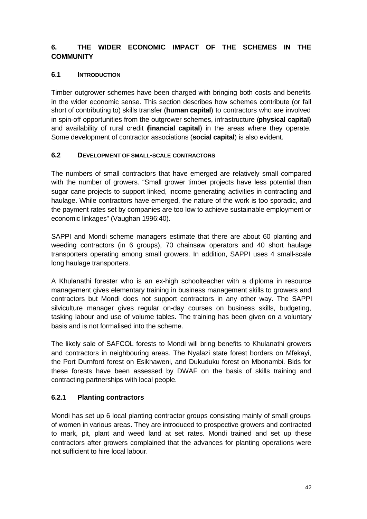## **6. THE WIDER ECONOMIC IMPACT OF THE SCHEMES IN THE COMMUNITY**

#### **6.1 INTRODUCTION**

Timber outgrower schemes have been charged with bringing both costs and benefits in the wider economic sense. This section describes how schemes contribute (or fall short of contributing to) skills transfer (**human capital**) to contractors who are involved in spin-off opportunities from the outgrower schemes, infrastructure (**physical capital**) and availability of rural credit (**financial capital**) in the areas where they operate. Some development of contractor associations (**social capital**) is also evident.

#### **6.2 DEVELOPMENT OF SMALL-SCALE CONTRACTORS**

The numbers of small contractors that have emerged are relatively small compared with the number of growers. "Small grower timber projects have less potential than sugar cane projects to support linked, income generating activities in contracting and haulage. While contractors have emerged, the nature of the work is too sporadic, and the payment rates set by companies are too low to achieve sustainable employment or economic linkages" (Vaughan 1996:40).

SAPPI and Mondi scheme managers estimate that there are about 60 planting and weeding contractors (in 6 groups), 70 chainsaw operators and 40 short haulage transporters operating among small growers. In addition, SAPPI uses 4 small-scale long haulage transporters.

A Khulanathi forester who is an ex-high schoolteacher with a diploma in resource management gives elementary training in business management skills to growers and contractors but Mondi does not support contractors in any other way. The SAPPI silviculture manager gives regular on-day courses on business skills, budgeting, tasking labour and use of volume tables. The training has been given on a voluntary basis and is not formalised into the scheme.

The likely sale of SAFCOL forests to Mondi will bring benefits to Khulanathi growers and contractors in neighbouring areas. The Nyalazi state forest borders on Mfekayi, the Port Durnford forest on Esikhaweni, and Dukuduku forest on Mbonambi. Bids for these forests have been assessed by DWAF on the basis of skills training and contracting partnerships with local people.

## **6.2.1 Planting contractors**

Mondi has set up 6 local planting contractor groups consisting mainly of small groups of women in various areas. They are introduced to prospective growers and contracted to mark, pit, plant and weed land at set rates. Mondi trained and set up these contractors after growers complained that the advances for planting operations were not sufficient to hire local labour.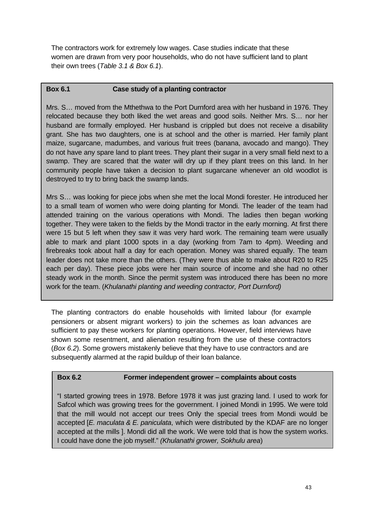The contractors work for extremely low wages. Case studies indicate that these women are drawn from very poor households, who do not have sufficient land to plant their own trees (*Table 3.1 & Box 6.1*).

#### **Box 6.1 Case study of a planting contractor**

Mrs. S… moved from the Mthethwa to the Port Durnford area with her husband in 1976. They relocated because they both liked the wet areas and good soils. Neither Mrs. S… nor her husband are formally employed. Her husband is crippled but does not receive a disability grant. She has two daughters, one is at school and the other is married. Her family plant maize, sugarcane, madumbes, and various fruit trees (banana, avocado and mango). They do not have any spare land to plant trees. They plant their sugar in a very small field next to a swamp. They are scared that the water will dry up if they plant trees on this land. In her community people have taken a decision to plant sugarcane whenever an old woodlot is destroyed to try to bring back the swamp lands.

Mrs S… was looking for piece jobs when she met the local Mondi forester. He introduced her to a small team of women who were doing planting for Mondi. The leader of the team had attended training on the various operations with Mondi. The ladies then began working together. They were taken to the fields by the Mondi tractor in the early morning. At first there were 15 but 5 left when they saw it was very hard work. The remaining team were usually able to mark and plant 1000 spots in a day (working from 7am to 4pm). Weeding and firebreaks took about half a day for each operation. Money was shared equally. The team leader does not take more than the others. (They were thus able to make about R20 to R25 each per day). These piece jobs were her main source of income and she had no other steady work in the month. Since the permit system was introduced there has been no more work for the team. (*Khulanathi planting and weeding contractor, Port Durnford)*

The planting contractors do enable households with limited labour (for example pensioners or absent migrant workers) to join the schemes as loan advances are sufficient to pay these workers for planting operations. However, field interviews have shown some resentment, and alienation resulting from the use of these contractors (*Box 6.2*). Some growers mistakenly believe that they have to use contractors and are subsequently alarmed at the rapid buildup of their loan balance.

#### **Box 6.2 Former independent grower – complaints about costs**

"I started growing trees in 1978. Before 1978 it was just grazing land. I used to work for Safcol which was growing trees for the government. I joined Mondi in 1995. We were told that the mill would not accept our trees Only the special trees from Mondi would be accepted [*E. maculata & E. paniculata*, which were distributed by the KDAF are no longer accepted at the mills ]. Mondi did all the work. We were told that is how the system works. I could have done the job myself." *(Khulanathi grower, Sokhulu area*)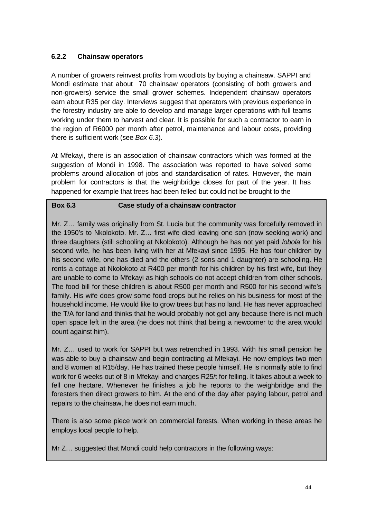#### **6.2.2 Chainsaw operators**

A number of growers reinvest profits from woodlots by buying a chainsaw. SAPPI and Mondi estimate that about 70 chainsaw operators (consisting of both growers and non-growers) service the small grower schemes. Independent chainsaw operators earn about R35 per day. Interviews suggest that operators with previous experience in the forestry industry are able to develop and manage larger operations with full teams working under them to harvest and clear. It is possible for such a contractor to earn in the region of R6000 per month after petrol, maintenance and labour costs, providing there is sufficient work (see *Box 6.3*).

At Mfekayi, there is an association of chainsaw contractors which was formed at the suggestion of Mondi in 1998. The association was reported to have solved some problems around allocation of jobs and standardisation of rates. However, the main problem for contractors is that the weighbridge closes for part of the year. It has happened for example that trees had been felled but could not be brought to the

#### **Box 6.3 Case study of a chainsaw contractor**

Mr. Z… family was originally from St. Lucia but the community was forcefully removed in the 1950's to Nkolokoto. Mr. Z… first wife died leaving one son (now seeking work) and three daughters (still schooling at Nkolokoto). Although he has not yet paid *lobola* for his second wife, he has been living with her at Mfekayi since 1995. He has four children by his second wife, one has died and the others (2 sons and 1 daughter) are schooling. He rents a cottage at Nkolokoto at R400 per month for his children by his first wife, but they are unable to come to Mfekayi as high schools do not accept children from other schools. The food bill for these children is about R500 per month and R500 for his second wife's family. His wife does grow some food crops but he relies on his business for most of the household income. He would like to grow trees but has no land. He has never approached the T/A for land and thinks that he would probably not get any because there is not much open space left in the area (he does not think that being a newcomer to the area would count against him).

Mr. Z… used to work for SAPPI but was retrenched in 1993. With his small pension he was able to buy a chainsaw and begin contracting at Mfekayi. He now employs two men and 8 women at R15/day. He has trained these people himself. He is normally able to find work for 6 weeks out of 8 in Mfekayi and charges R25/t for felling. It takes about a week to fell one hectare. Whenever he finishes a job he reports to the weighbridge and the foresters then direct growers to him. At the end of the day after paying labour, petrol and repairs to the chainsaw, he does not earn much.

There is also some piece work on commercial forests. When working in these areas he employs local people to help.

Mr Z… suggested that Mondi could help contractors in the following ways: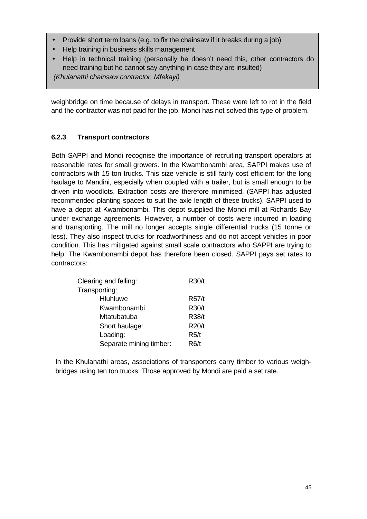- Provide short term loans (e.g. to fix the chainsaw if it breaks during a job)
- Help training in business skills management
- Help in technical training (personally he doesn't need this, other contractors do need training but he cannot say anything in case they are insulted) *(Khulanathi chainsaw contractor, Mfekayi)*

weighbridge on time because of delays in transport. These were left to rot in the field and the contractor was not paid for the job. Mondi has not solved this type of problem.

## **6.2.3 Transport contractors**

Both SAPPI and Mondi recognise the importance of recruiting transport operators at reasonable rates for small growers. In the Kwambonambi area, SAPPI makes use of contractors with 15-ton trucks. This size vehicle is still fairly cost efficient for the long haulage to Mandini, especially when coupled with a trailer, but is small enough to be driven into woodlots. Extraction costs are therefore minimised. (SAPPI has adjusted recommended planting spaces to suit the axle length of these trucks). SAPPI used to have a depot at Kwambonambi. This depot supplied the Mondi mill at Richards Bay under exchange agreements. However, a number of costs were incurred in loading and transporting. The mill no longer accepts single differential trucks (15 tonne or less). They also inspect trucks for roadworthiness and do not accept vehicles in poor condition. This has mitigated against small scale contractors who SAPPI are trying to help. The Kwambonambi depot has therefore been closed. SAPPI pays set rates to contractors:

| Clearing and felling:   | R30/t        |
|-------------------------|--------------|
| Transporting:           |              |
| Hluhluwe                | R57/t        |
| Kwambonambi             | R30/t        |
| Mtatubatuba             | R38/t        |
| Short haulage:          | <b>R20/t</b> |
| Loading:                | R5/t         |
| Separate mining timber: | R6/t         |

In the Khulanathi areas, associations of transporters carry timber to various weighbridges using ten ton trucks. Those approved by Mondi are paid a set rate.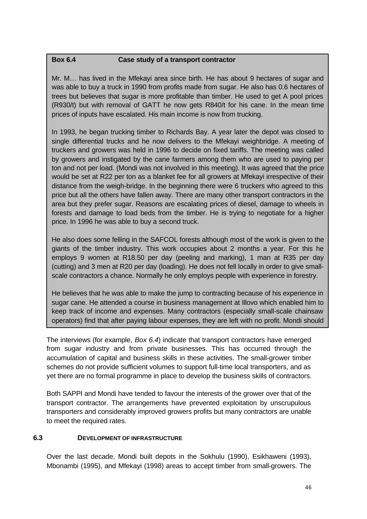#### **Box 6.4 Case study of a transport contractor**

Mr. M… has lived in the Mfekayi area since birth. He has about 9 hectares of sugar and was able to buy a truck in 1990 from profits made from sugar. He also has 0.6 hectares of trees but believes that sugar is more profitable than timber. He used to get A pool prices (R930/t) but with removal of GATT he now gets R840/t for his cane. In the mean time prices of inputs have escalated. His main income is now from trucking.

In 1993, he began trucking timber to Richards Bay. A year later the depot was closed to single differential trucks and he now delivers to the Mfekayi weighbridge. A meeting of truckers and growers was held in 1996 to decide on fixed tariffs. The meeting was called by growers and instigated by the cane farmers among them who are used to paying per ton and not per load. (Mondi was not involved in this meeting). It was agreed that the price would be set at R22 per ton as a blanket fee for all growers at Mfekayi irrespective of their distance from the weigh-bridge. In the beginning there were 6 truckers who agreed to this price but all the others have fallen away. There are many other transport contractors in the area but they prefer sugar. Reasons are escalating prices of diesel, damage to wheels in forests and damage to load beds from the timber. He is trying to negotiate for a higher price. In 1996 he was able to buy a second truck.

He also does some felling in the SAFCOL forests although most of the work is given to the giants of the timber industry. This work occupies about 2 months a year. For this he employs 9 women at R18.50 per day (peeling and marking), 1 man at R35 per day (cutting) and 3 men at R20 per day (loading). He does not fell locally in order to give smallscale contractors a chance. Normally he only employs people with experience in forestry.

He believes that he was able to make the jump to contracting because of his experience in sugar cane. He attended a course in business management at Illovo which enabled him to keep track of income and expenses. Many contractors (especially small-scale chainsaw operators) find that after paying labour expenses, they are left with no profit. Mondi should

The interviews (for example, *Box 6.4*) indicate that transport contractors have emerged from sugar industry and from private businesses. This has occurred through the accumulation of capital and business skills in these activities. The small-grower timber schemes do not provide sufficient volumes to support full-time local transporters, and as yet there are no formal programme in place to develop the business skills of contractors.

Both SAPPI and Mondi have tended to favour the interests of the grower over that of the transport contractor. The arrangements have prevented exploitation by unscrupulous transporters and considerably improved growers profits but many contractors are unable to meet the required rates.

#### **6.3 DEVELOPMENT OF INFRASTRUCTURE**

Over the last decade, Mondi built depots in the Sokhulu (1990), Esikhaweni (1993), Mbonambi (1995), and Mfekayi (1998) areas to accept timber from small-growers. The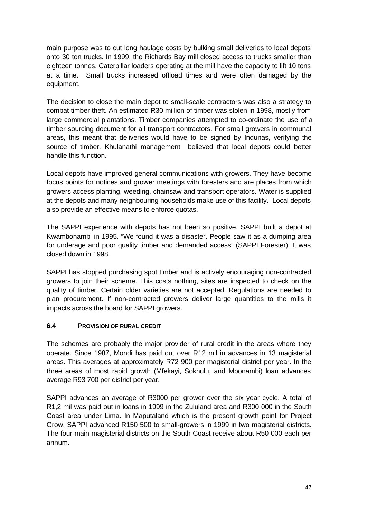main purpose was to cut long haulage costs by bulking small deliveries to local depots onto 30 ton trucks. In 1999, the Richards Bay mill closed access to trucks smaller than eighteen tonnes. Caterpillar loaders operating at the mill have the capacity to lift 10 tons at a time. Small trucks increased offload times and were often damaged by the equipment.

The decision to close the main depot to small-scale contractors was also a strategy to combat timber theft. An estimated R30 million of timber was stolen in 1998, mostly from large commercial plantations. Timber companies attempted to co-ordinate the use of a timber sourcing document for all transport contractors. For small growers in communal areas, this meant that deliveries would have to be signed by Indunas, verifying the source of timber. Khulanathi management believed that local depots could better handle this function.

Local depots have improved general communications with growers. They have become focus points for notices and grower meetings with foresters and are places from which growers access planting, weeding, chainsaw and transport operators. Water is supplied at the depots and many neighbouring households make use of this facility. Local depots also provide an effective means to enforce quotas.

The SAPPI experience with depots has not been so positive. SAPPI built a depot at Kwambonambi in 1995. "We found it was a disaster. People saw it as a dumping area for underage and poor quality timber and demanded access" (SAPPI Forester). It was closed down in 1998.

SAPPI has stopped purchasing spot timber and is actively encouraging non-contracted growers to join their scheme. This costs nothing, sites are inspected to check on the quality of timber. Certain older varieties are not accepted. Regulations are needed to plan procurement. If non-contracted growers deliver large quantities to the mills it impacts across the board for SAPPI growers.

#### **6.4 PROVISION OF RURAL CREDIT**

The schemes are probably the major provider of rural credit in the areas where they operate. Since 1987, Mondi has paid out over R12 mil in advances in 13 magisterial areas. This averages at approximately R72 900 per magisterial district per year. In the three areas of most rapid growth (Mfekayi, Sokhulu, and Mbonambi) loan advances average R93 700 per district per year.

SAPPI advances an average of R3000 per grower over the six year cycle. A total of R1,2 mil was paid out in loans in 1999 in the Zululand area and R300 000 in the South Coast area under Lima. In Maputaland which is the present growth point for Project Grow, SAPPI advanced R150 500 to small-growers in 1999 in two magisterial districts. The four main magisterial districts on the South Coast receive about R50 000 each per annum.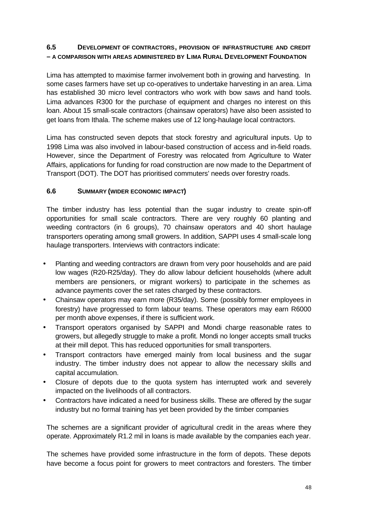#### **6.5 DEVELOPMENT OF CONTRACTORS, PROVISION OF INFRASTRUCTURE AND CREDIT – A COMPARISON WITH AREAS ADMINISTERED BY LIMA RURAL DEVELOPMENT FOUNDATION**

Lima has attempted to maximise farmer involvement both in growing and harvesting. In some cases farmers have set up co-operatives to undertake harvesting in an area. Lima has established 30 micro level contractors who work with bow saws and hand tools. Lima advances R300 for the purchase of equipment and charges no interest on this loan. About 15 small-scale contractors (chainsaw operators) have also been assisted to get loans from Ithala. The scheme makes use of 12 long-haulage local contractors.

Lima has constructed seven depots that stock forestry and agricultural inputs. Up to 1998 Lima was also involved in labour-based construction of access and in-field roads. However, since the Department of Forestry was relocated from Agriculture to Water Affairs, applications for funding for road construction are now made to the Department of Transport (DOT). The DOT has prioritised commuters' needs over forestry roads.

#### **6.6 SUMMARY (WIDER ECONOMIC IMPACT)**

The timber industry has less potential than the sugar industry to create spin-off opportunities for small scale contractors. There are very roughly 60 planting and weeding contractors (in 6 groups), 70 chainsaw operators and 40 short haulage transporters operating among small growers. In addition, SAPPI uses 4 small-scale long haulage transporters. Interviews with contractors indicate:

- Planting and weeding contractors are drawn from very poor households and are paid low wages (R20-R25/day). They do allow labour deficient households (where adult members are pensioners, or migrant workers) to participate in the schemes as advance payments cover the set rates charged by these contractors.
- Chainsaw operators may earn more (R35/day). Some (possibly former employees in forestry) have progressed to form labour teams. These operators may earn R6000 per month above expenses, if there is sufficient work.
- Transport operators organised by SAPPI and Mondi charge reasonable rates to growers, but allegedly struggle to make a profit. Mondi no longer accepts small trucks at their mill depot. This has reduced opportunities for small transporters.
- Transport contractors have emerged mainly from local business and the sugar industry. The timber industry does not appear to allow the necessary skills and capital accumulation.
- Closure of depots due to the quota system has interrupted work and severely impacted on the livelihoods of all contractors.
- Contractors have indicated a need for business skills. These are offered by the sugar industry but no formal training has yet been provided by the timber companies

The schemes are a significant provider of agricultural credit in the areas where they operate. Approximately R1.2 mil in loans is made available by the companies each year.

The schemes have provided some infrastructure in the form of depots. These depots have become a focus point for growers to meet contractors and foresters. The timber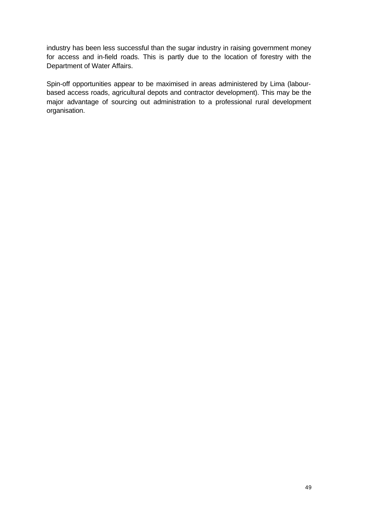industry has been less successful than the sugar industry in raising government money for access and in-field roads. This is partly due to the location of forestry with the Department of Water Affairs.

Spin-off opportunities appear to be maximised in areas administered by Lima (labourbased access roads, agricultural depots and contractor development). This may be the major advantage of sourcing out administration to a professional rural development organisation.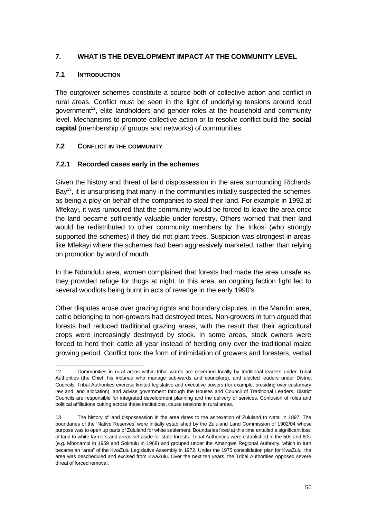#### **7. WHAT IS THE DEVELOPMENT IMPACT AT THE COMMUNITY LEVEL**

#### **7.1 INTRODUCTION**

j

The outgrower schemes constitute a source both of collective action and conflict in rural areas. Conflict must be seen in the light of underlying tensions around local government<sup>12</sup>, elite landholders and gender roles at the household and community level. Mechanisms to promote collective action or to resolve conflict build the **social capital** (membership of groups and networks) of communities.

#### **7.2 CONFLICT IN THE COMMUNITY**

#### **7.2.1 Recorded cases early in the schemes**

Given the history and threat of land dispossession in the area surrounding Richards Bay<sup>13</sup>, it is unsurprising that many in the communities initially suspected the schemes as being a ploy on behalf of the companies to steal their land. For example in 1992 at Mfekayi, it was rumoured that the community would be forced to leave the area once the land became sufficiently valuable under forestry. Others worried that their land would be redistributed to other community members by the Inkosi (who strongly supported the schemes) if they did not plant trees. Suspicion was strongest in areas like Mfekayi where the schemes had been aggressively marketed, rather than relying on promotion by word of mouth.

In the Ndundulu area, women complained that forests had made the area unsafe as they provided refuge for thugs at night. In this area, an ongoing faction fight led to several woodlots being burnt in acts of revenge in the early 1990's.

Other disputes arose over grazing rights and boundary disputes. In the Mandini area, cattle belonging to non-growers had destroyed trees. Non-growers in turn argued that forests had reduced traditional grazing areas, with the result that their agricultural crops were increasingly destroyed by stock. In some areas, stock owners were forced to herd their cattle all year instead of herding only over the traditional maize growing period. Conflict took the form of intimidation of growers and foresters, verbal

<sup>12</sup> Communities in rural areas within tribal wards are governed locally by traditional leaders under Tribal Authorities (the Chief, his *indunas* who manage sub-wards and councilors), and elected leaders under District Councils. Tribal Authorities exercise limited legislative and executive powers (for example, presiding over customary law and land allocation), and advise government through the Houses and Council of Traditional Leaders. District Councils are responsible for integrated development planning and the delivery of services. Confusion of roles and political affiliations cutting across these institutions, cause tensions in rural areas.

<sup>13</sup> The history of land dispossession in the area dates to the annexation of Zululand to Natal in 1897. The boundaries of the 'Native Reserves' were initially established by the Zululand Land Commission of 1902/04 whose purpose was to open up parts of Zululand for white settlement. Boundaries fixed at this time entailed a significant loss of land to white farmers and areas set aside for state forests. Tribal Authorities were established in the 50s and 60s (e.g. Mbonambi in 1959 and Sokhulu in 1968) and grouped under the Amangwe Regional Authority, which in turn became an "area" of the KwaZulu Legislative Assembly in 1972. Under the 1975 consolidation plan for KwaZulu, the area was descheduled and excised from KwaZulu. Over the next ten years, the Tribal Authorities opposed severe threat of forced removal.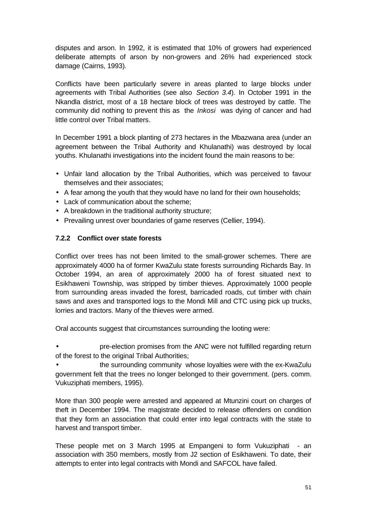disputes and arson. In 1992, it is estimated that 10% of growers had experienced deliberate attempts of arson by non-growers and 26% had experienced stock damage (Cairns, 1993).

Conflicts have been particularly severe in areas planted to large blocks under agreements with Tribal Authorities (see also *Section 3.4*). In October 1991 in the Nkandla district, most of a 18 hectare block of trees was destroyed by cattle. The community did nothing to prevent this as the *Inkosi* was dying of cancer and had little control over Tribal matters.

In December 1991 a block planting of 273 hectares in the Mbazwana area (under an agreement between the Tribal Authority and Khulanathi) was destroyed by local youths. Khulanathi investigations into the incident found the main reasons to be:

- Unfair land allocation by the Tribal Authorities, which was perceived to favour themselves and their associates;
- A fear among the youth that they would have no land for their own households;
- Lack of communication about the scheme;
- A breakdown in the traditional authority structure;
- Prevailing unrest over boundaries of game reserves (Cellier, 1994).

#### **7.2.2 Conflict over state forests**

Conflict over trees has not been limited to the small-grower schemes. There are approximately 4000 ha of former KwaZulu state forests surrounding Richards Bay. In October 1994, an area of approximately 2000 ha of forest situated next to Esikhaweni Township, was stripped by timber thieves. Approximately 1000 people from surrounding areas invaded the forest, barricaded roads, cut timber with chain saws and axes and transported logs to the Mondi Mill and CTC using pick up trucks, lorries and tractors. Many of the thieves were armed.

Oral accounts suggest that circumstances surrounding the looting were:

• pre-election promises from the ANC were not fulfilled regarding return of the forest to the original Tribal Authorities;

• the surrounding community whose loyalties were with the ex-KwaZulu government felt that the trees no longer belonged to their government. (pers. comm. Vukuziphati members, 1995).

More than 300 people were arrested and appeared at Mtunzini court on charges of theft in December 1994. The magistrate decided to release offenders on condition that they form an association that could enter into legal contracts with the state to harvest and transport timber.

These people met on 3 March 1995 at Empangeni to form Vukuziphati - an association with 350 members, mostly from J2 section of Esikhaweni. To date, their attempts to enter into legal contracts with Mondi and SAFCOL have failed.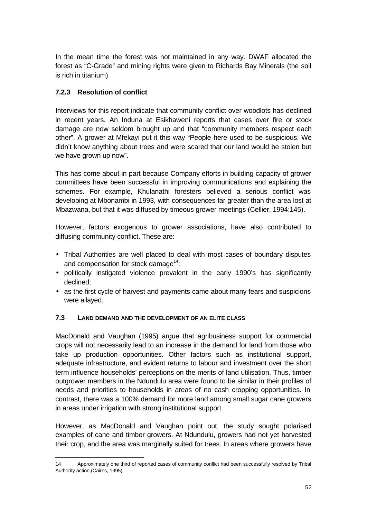In the mean time the forest was not maintained in any way. DWAF allocated the forest as "C-Grade" and mining rights were given to Richards Bay Minerals (the soil is rich in titanium).

## **7.2.3 Resolution of conflict**

j

Interviews for this report indicate that community conflict over woodlots has declined in recent years. An Induna at Esikhaweni reports that cases over fire or stock damage are now seldom brought up and that "community members respect each other". A grower at Mfekayi put it this way "People here used to be suspicious. We didn't know anything about trees and were scared that our land would be stolen but we have grown up now".

This has come about in part because Company efforts in building capacity of grower committees have been successful in improving communications and explaining the schemes. For example, Khulanathi foresters believed a serious conflict was developing at Mbonambi in 1993, with consequences far greater than the area lost at Mbazwana, but that it was diffused by timeous grower meetings (Cellier, 1994:145).

However, factors exogenous to grower associations, have also contributed to diffusing community conflict. These are:

- Tribal Authorities are well placed to deal with most cases of boundary disputes and compensation for stock damage<sup>14</sup>;
- politically instigated violence prevalent in the early 1990's has significantly declined;
- as the first cycle of harvest and payments came about many fears and suspicions were allayed.

## **7.3 LAND DEMAND AND THE DEVELOPMENT OF AN ELITE CLASS**

MacDonald and Vaughan (1995) argue that agribusiness support for commercial crops will not necessarily lead to an increase in the demand for land from those who take up production opportunities. Other factors such as institutional support, adequate infrastructure, and evident returns to labour and investment over the short term influence households' perceptions on the merits of land utilisation. Thus, timber outgrower members in the Ndundulu area were found to be similar in their profiles of needs and priorities to households in areas of no cash cropping opportunities. In contrast, there was a 100% demand for more land among small sugar cane growers in areas under irrigation with strong institutional support.

However, as MacDonald and Vaughan point out, the study sought polarised examples of cane and timber growers. At Ndundulu, growers had not yet harvested their crop, and the area was marginally suited for trees. In areas where growers have

<sup>14</sup> Approximately one third of reported cases of community conflict had been successfully resolved by Tribal Authority action (Cairns, 1995).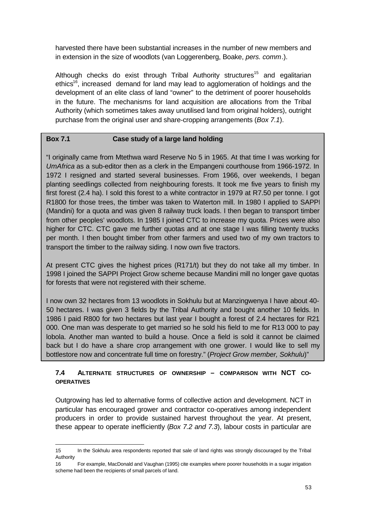harvested there have been substantial increases in the number of new members and in extension in the size of woodlots (van Loggerenberg, Boake, *pers. comm*.).

Although checks do exist through Tribal Authority structures<sup>15</sup> and egalitarian ethics<sup>16</sup>, increased demand for land may lead to agglomeration of holdings and the development of an elite class of land "owner" to the detriment of poorer households in the future. The mechanisms for land acquisition are allocations from the Tribal Authority (which sometimes takes away unutilised land from original holders), outright purchase from the original user and share-cropping arrangements (*Box 7.1*).

#### **Box 7.1 Case study of a large land holding**

"I originally came from Mtethwa ward Reserve No 5 in 1965. At that time I was working for *UmAfrica* as a sub-editor then as a clerk in the Empangeni courthouse from 1966-1972. In 1972 I resigned and started several businesses. From 1966, over weekends, I began planting seedlings collected from neighbouring forests. It took me five years to finish my first forest (2.4 ha). I sold this forest to a white contractor in 1979 at R7.50 per tonne. I got R1800 for those trees, the timber was taken to Waterton mill. In 1980 I applied to SAPPI (Mandini) for a quota and was given 8 railway truck loads. I then began to transport timber from other peoples' woodlots. In 1985 I joined CTC to increase my quota. Prices were also higher for CTC. CTC gave me further quotas and at one stage I was filling twenty trucks per month. I then bought timber from other farmers and used two of my own tractors to transport the timber to the railway siding. I now own five tractors.

At present CTC gives the highest prices (R171/t) but they do not take all my timber. In 1998 I joined the SAPPI Project Grow scheme because Mandini mill no longer gave quotas for forests that were not registered with their scheme.

I now own 32 hectares from 13 woodlots in Sokhulu but at Manzingwenya I have about 40- 50 hectares. I was given 3 fields by the Tribal Authority and bought another 10 fields. In 1986 I paid R800 for two hectares but last year I bought a forest of 2.4 hectares for R21 000. One man was desperate to get married so he sold his field to me for R13 000 to pay lobola. Another man wanted to build a house. Once a field is sold it cannot be claimed back but I do have a share crop arrangement with one grower. I would like to sell my bottlestore now and concentrate full time on forestry." (*Project Grow member, Sokhulu*)"

#### **7.4 ALTERNATE STRUCTURES OF OWNERSHIP – COMPARISON WITH NCT CO-OPERATIVES**

Outgrowing has led to alternative forms of collective action and development. NCT in particular has encouraged grower and contractor co-operatives among independent producers in order to provide sustained harvest throughout the year. At present, these appear to operate inefficiently (*Box 7.2 and 7.3*), labour costs in particular are

j

<sup>15</sup> In the Sokhulu area respondents reported that sale of land rights was strongly discouraged by the Tribal Authority

<sup>16</sup> For example, MacDonald and Vaughan (1995) cite examples where poorer households in a sugar irrigation scheme had been the recipients of small parcels of land.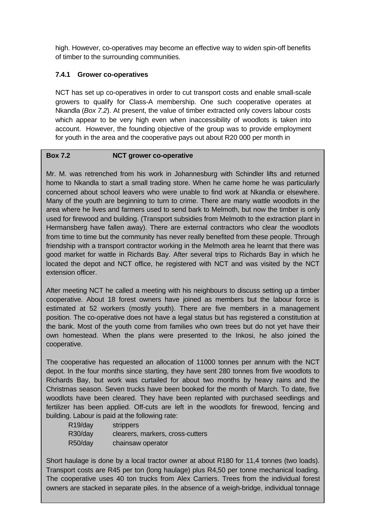high. However, co-operatives may become an effective way to widen spin-off benefits of timber to the surrounding communities.

#### **7.4.1 Grower co-operatives**

NCT has set up co-operatives in order to cut transport costs and enable small-scale growers to qualify for Class-A membership. One such cooperative operates at Nkandla (*Box 7.2*). At present, the value of timber extracted only covers labour costs which appear to be very high even when inaccessibility of woodlots is taken into account. However, the founding objective of the group was to provide employment for youth in the area and the cooperative pays out about R20 000 per month in

#### **Box 7.2 NCT grower co-operative**

Mr. M. was retrenched from his work in Johannesburg with Schindler lifts and returned home to Nkandla to start a small trading store. When he came home he was particularly concerned about school leavers who were unable to find work at Nkandla or elsewhere. Many of the youth are beginning to turn to crime. There are many wattle woodlots in the area where he lives and farmers used to send bark to Melmoth, but now the timber is only used for firewood and building. (Transport subsidies from Melmoth to the extraction plant in Hermansberg have fallen away). There are external contractors who clear the woodlots from time to time but the community has never really benefited from these people. Through friendship with a transport contractor working in the Melmoth area he learnt that there was good market for wattle in Richards Bay. After several trips to Richards Bay in which he located the depot and NCT office, he registered with NCT and was visited by the NCT extension officer.

After meeting NCT he called a meeting with his neighbours to discuss setting up a timber cooperative. About 18 forest owners have joined as members but the labour force is estimated at 52 workers (mostly youth). There are five members in a management position. The co-operative does not have a legal status but has registered a constitution at the bank. Most of the youth come from families who own trees but do not yet have their own homestead. When the plans were presented to the Inkosi, he also joined the cooperative.

The cooperative has requested an allocation of 11000 tonnes per annum with the NCT depot. In the four months since starting, they have sent 280 tonnes from five woodlots to Richards Bay, but work was curtailed for about two months by heavy rains and the Christmas season. Seven trucks have been booked for the month of March. To date, five woodlots have been cleared. They have been replanted with purchased seedlings and fertilizer has been applied. Off-cuts are left in the woodlots for firewood, fencing and building. Labour is paid at the following rate:

| R <sub>19</sub> /day | strippers                        |
|----------------------|----------------------------------|
| R30/day              | clearers, markers, cross-cutters |
| R50/day              | chainsaw operator                |

owners are stacked in separate piles. In the absence of a weigh-bridge, individual tonnage Short haulage is done by a local tractor owner at about R180 for 11,4 tonnes (two loads). Transport costs are R45 per ton (long haulage) plus R4,50 per tonne mechanical loading. The cooperative uses 40 ton trucks from Alex Carriers. Trees from the individual forest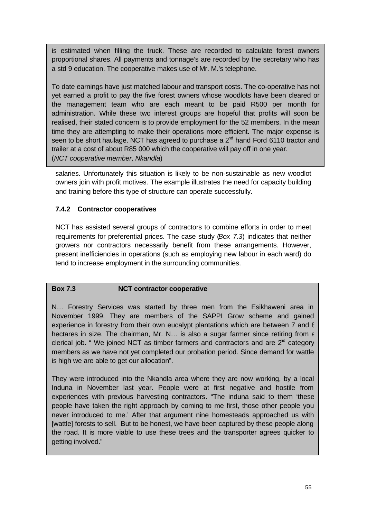is estimated when filling the truck. These are recorded to calculate forest owners proportional shares. All payments and tonnage's are recorded by the secretary who has a std 9 education. The cooperative makes use of Mr. M.'s telephone.

To date earnings have just matched labour and transport costs. The co-operative has not yet earned a profit to pay the five forest owners whose woodlots have been cleared or the management team who are each meant to be paid R500 per month for administration. While these two interest groups are hopeful that profits will soon be realised, their stated concern is to provide employment for the 52 members. In the mean time they are attempting to make their operations more efficient. The major expense is seen to be short haulage. NCT has agreed to purchase a  $2^{nd}$  hand Ford 6110 tractor and trailer at a cost of about R85 000 which the cooperative will pay off in one year. (*NCT cooperative member, Nkandla*)

salaries. Unfortunately this situation is likely to be non-sustainable as new woodlot owners join with profit motives. The example illustrates the need for capacity building and training before this type of structure can operate successfully.

#### **7.4.2 Contractor cooperatives**

NCT has assisted several groups of contractors to combine efforts in order to meet requirements for preferential prices. The case study (*Box 7.3*) indicates that neither growers nor contractors necessarily benefit from these arrangements. However, present inefficiencies in operations (such as employing new labour in each ward) do tend to increase employment in the surrounding communities.

#### **Box 7.3 NCT contractor cooperative**

N… Forestry Services was started by three men from the Esikhaweni area in November 1999. They are members of the SAPPI Grow scheme and gained experience in forestry from their own eucalypt plantations which are between 7 and 8 hectares in size. The chairman, Mr. N... is also a sugar farmer since retiring from  $\varepsilon$ clerical job. " We joined NCT as timber farmers and contractors and are  $2<sup>nd</sup>$  category members as we have not yet completed our probation period. Since demand for wattle is high we are able to get our allocation".

They were introduced into the Nkandla area where they are now working, by a local Induna in November last year. People were at first negative and hostile from experiences with previous harvesting contractors. "The induna said to them 'these people have taken the right approach by coming to me first, those other people you never introduced to me.' After that argument nine homesteads approached us with [wattle] forests to sell. But to be honest, we have been captured by these people along the road. It is more viable to use these trees and the transporter agrees quicker to getting involved."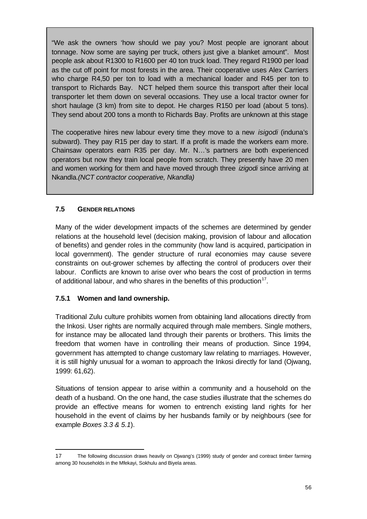"We ask the owners 'how should we pay you? Most people are ignorant about tonnage. Now some are saying per truck, others just give a blanket amount". Most people ask about R1300 to R1600 per 40 ton truck load. They regard R1900 per load as the cut off point for most forests in the area. Their cooperative uses Alex Carriers who charge R4,50 per ton to load with a mechanical loader and R45 per ton to transport to Richards Bay. NCT helped them source this transport after their local transporter let them down on several occasions. They use a local tractor owner for short haulage (3 km) from site to depot. He charges R150 per load (about 5 tons). They send about 200 tons a month to Richards Bay. Profits are unknown at this stage

The cooperative hires new labour every time they move to a new *isigodi* (induna's subward). They pay R15 per day to start. If a profit is made the workers earn more. Chainsaw operators earn R35 per day. Mr. N…'s partners are both experienced operators but now they train local people from scratch. They presently have 20 men and women working for them and have moved through three *izigodi* since arriving at Nkandla.*(NCT contractor cooperative, Nkandla)*

#### **7.5 GENDER RELATIONS**

Many of the wider development impacts of the schemes are determined by gender relations at the household level (decision making, provision of labour and allocation of benefits) and gender roles in the community (how land is acquired, participation in local government). The gender structure of rural economies may cause severe constraints on out-grower schemes by affecting the control of producers over their labour. Conflicts are known to arise over who bears the cost of production in terms of additional labour, and who shares in the benefits of this production<sup>17</sup>.

#### **7.5.1 Women and land ownership.**

j

Traditional Zulu culture prohibits women from obtaining land allocations directly from the Inkosi. User rights are normally acquired through male members. Single mothers, for instance may be allocated land through their parents or brothers. This limits the freedom that women have in controlling their means of production. Since 1994, government has attempted to change customary law relating to marriages. However, it is still highly unusual for a woman to approach the Inkosi directly for land (Ojwang, 1999: 61,62).

Situations of tension appear to arise within a community and a household on the death of a husband. On the one hand, the case studies illustrate that the schemes do provide an effective means for women to entrench existing land rights for her household in the event of claims by her husbands family or by neighbours (see for example *Boxes 3.3 & 5.1*).

<sup>17</sup> The following discussion draws heavily on Ojwang's (1999) study of gender and contract timber farming among 30 households in the Mfekayi, Sokhulu and Biyela areas.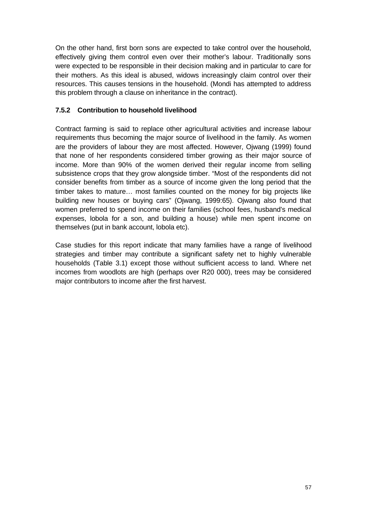On the other hand, first born sons are expected to take control over the household, effectively giving them control even over their mother's labour. Traditionally sons were expected to be responsible in their decision making and in particular to care for their mothers. As this ideal is abused, widows increasingly claim control over their resources. This causes tensions in the household. (Mondi has attempted to address this problem through a clause on inheritance in the contract).

#### **7.5.2 Contribution to household livelihood**

Contract farming is said to replace other agricultural activities and increase labour requirements thus becoming the major source of livelihood in the family. As women are the providers of labour they are most affected. However, Ojwang (1999) found that none of her respondents considered timber growing as their major source of income. More than 90% of the women derived their regular income from selling subsistence crops that they grow alongside timber. "Most of the respondents did not consider benefits from timber as a source of income given the long period that the timber takes to mature… most families counted on the money for big projects like building new houses or buying cars" (Ojwang, 1999:65). Ojwang also found that women preferred to spend income on their families (school fees, husband's medical expenses, lobola for a son, and building a house) while men spent income on themselves (put in bank account, lobola etc).

Case studies for this report indicate that many families have a range of livelihood strategies and timber may contribute a significant safety net to highly vulnerable households (Table 3.1) except those without sufficient access to land. Where net incomes from woodlots are high (perhaps over R20 000), trees may be considered major contributors to income after the first harvest.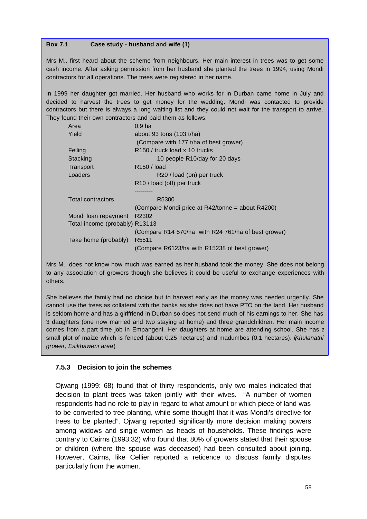#### **Box 7.1 Case study - husband and wife (1)**

Mrs M.. first heard about the scheme from neighbours. Her main interest in trees was to get some cash income. After asking permission from her husband she planted the trees in 1994, using Mondi contractors for all operations. The trees were registered in her name.

In 1999 her daughter got married. Her husband who works for in Durban came home in July and decided to harvest the trees to get money for the wedding. Mondi was contacted to provide contractors but there is always a long waiting list and they could not wait for the transport to arrive. They found their own contractors and paid them as follows:

| Area                           | 0.9 <sub>ha</sub>                                   |
|--------------------------------|-----------------------------------------------------|
| Yield                          | about 93 tons $(103 t/ha)$                          |
|                                | (Compare with 177 t/ha of best grower)              |
| Felling                        | R150 / truck load x 10 trucks                       |
| Stacking                       | 10 people R10/day for 20 days                       |
| Transport                      | R <sub>150</sub> / load                             |
| Loaders                        | R20 / load (on) per truck                           |
|                                | R <sub>10</sub> / load (off) per truck              |
|                                |                                                     |
| <b>Total contractors</b>       | R5300                                               |
|                                | (Compare Mondi price at R42/tonne = about R4200)    |
| Mondi loan repayment           | R2302                                               |
| Total income (probably) R13113 |                                                     |
|                                | (Compare R14 570/ha with R24 761/ha of best grower) |
| Take home (probably)           | R <sub>5511</sub>                                   |
|                                | (Compare R6123/ha with R15238 of best grower)       |

Mrs M.. does not know how much was earned as her husband took the money. She does not belong to any association of growers though she believes it could be useful to exchange experiences with others.

She believes the family had no choice but to harvest early as the money was needed urgently. She cannot use the trees as collateral with the banks as she does not have PTO on the land. Her husband is seldom home and has a girlfriend in Durban so does not send much of his earnings to her. She has 3 daughters (one now married and two staying at home) and three grandchildren. Her main income comes from a part time job in Empangeni. Her daughters at home are attending school. She has  $\varepsilon$ small plot of maize which is fenced (about 0.25 hectares) and madumbes (0.1 hectares). (*Khulanathi grower, Esikhaweni area*)

#### **7.5.3 Decision to join the schemes**

Ojwang (1999: 68) found that of thirty respondents, only two males indicated that decision to plant trees was taken jointly with their wives. "A number of women respondents had no role to play in regard to what amount or which piece of land was to be converted to tree planting, while some thought that it was Mondi's directive for trees to be planted". Ojwang reported significantly more decision making powers among widows and single women as heads of households. These findings were contrary to Cairns (1993:32) who found that 80% of growers stated that their spouse or children (where the spouse was deceased) had been consulted about joining. However, Cairns, like Cellier reported a reticence to discuss family disputes particularly from the women.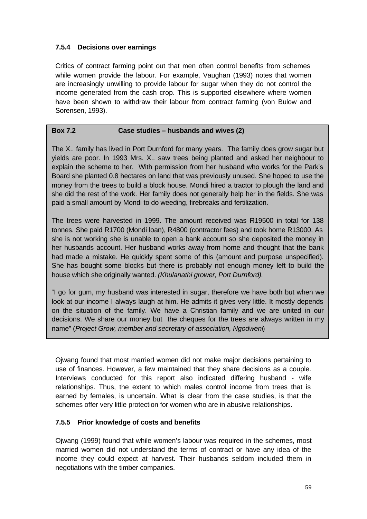### **7.5.4 Decisions over earnings**

Critics of contract farming point out that men often control benefits from schemes while women provide the labour. For example, Vaughan (1993) notes that women are increasingly unwilling to provide labour for sugar when they do not control the income generated from the cash crop. This is supported elsewhere where women have been shown to withdraw their labour from contract farming (von Bulow and Sorensen, 1993).

#### **Box 7.2 Case studies – husbands and wives (2)**

The X.. family has lived in Port Durnford for many years. The family does grow sugar but yields are poor. In 1993 Mrs. X.. saw trees being planted and asked her neighbour to explain the scheme to her. With permission from her husband who works for the Park's Board she planted 0.8 hectares on land that was previously unused. She hoped to use the money from the trees to build a block house. Mondi hired a tractor to plough the land and she did the rest of the work. Her family does not generally help her in the fields. She was paid a small amount by Mondi to do weeding, firebreaks and fertilization.

The trees were harvested in 1999. The amount received was R19500 in total for 138 tonnes. She paid R1700 (Mondi loan), R4800 (contractor fees) and took home R13000. As she is not working she is unable to open a bank account so she deposited the money in her husbands account. Her husband works away from home and thought that the bank had made a mistake. He quickly spent some of this (amount and purpose unspecified). She has bought some blocks but there is probably not enough money left to build the house which she originally wanted. *(Khulanathi grower, Port Durnford).*

"I go for gum, my husband was interested in sugar, therefore we have both but when we look at our income I always laugh at him. He admits it gives very little. It mostly depends on the situation of the family. We have a Christian family and we are united in our decisions. We share our money but the cheques for the trees are always written in my name" (*Project Grow, member and secretary of association, Ngodweni*)

Ojwang found that most married women did not make major decisions pertaining to use of finances. However, a few maintained that they share decisions as a couple. Interviews conducted for this report also indicated differing husband - wife relationships. Thus, the extent to which males control income from trees that is earned by females, is uncertain. What is clear from the case studies, is that the schemes offer very little protection for women who are in abusive relationships.

#### **7.5.5 Prior knowledge of costs and benefits**

Ojwang (1999) found that while women's labour was required in the schemes, most married women did not understand the terms of contract or have any idea of the income they could expect at harvest. Their husbands seldom included them in negotiations with the timber companies.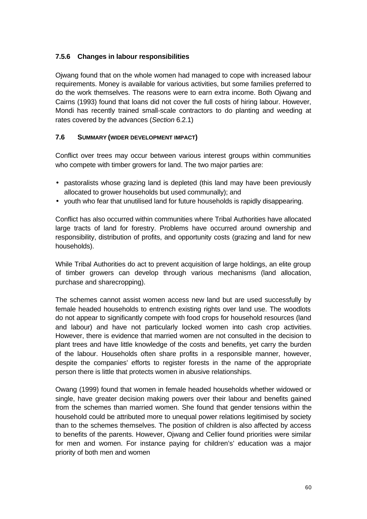## **7.5.6 Changes in labour responsibilities**

Ojwang found that on the whole women had managed to cope with increased labour requirements. Money is available for various activities, but some families preferred to do the work themselves. The reasons were to earn extra income. Both Ojwang and Cairns (1993) found that loans did not cover the full costs of hiring labour. However, Mondi has recently trained small-scale contractors to do planting and weeding at rates covered by the advances (*Section* 6.2.1)

### **7.6 SUMMARY (WIDER DEVELOPMENT IMPACT)**

Conflict over trees may occur between various interest groups within communities who compete with timber growers for land. The two major parties are:

- pastoralists whose grazing land is depleted (this land may have been previously allocated to grower households but used communally); and
- youth who fear that unutilised land for future households is rapidly disappearing.

Conflict has also occurred within communities where Tribal Authorities have allocated large tracts of land for forestry. Problems have occurred around ownership and responsibility, distribution of profits, and opportunity costs (grazing and land for new households).

While Tribal Authorities do act to prevent acquisition of large holdings, an elite group of timber growers can develop through various mechanisms (land allocation, purchase and sharecropping).

The schemes cannot assist women access new land but are used successfully by female headed households to entrench existing rights over land use. The woodlots do not appear to significantly compete with food crops for household resources (land and labour) and have not particularly locked women into cash crop activities. However, there is evidence that married women are not consulted in the decision to plant trees and have little knowledge of the costs and benefits, yet carry the burden of the labour. Households often share profits in a responsible manner, however, despite the companies' efforts to register forests in the name of the appropriate person there is little that protects women in abusive relationships.

Owang (1999) found that women in female headed households whether widowed or single, have greater decision making powers over their labour and benefits gained from the schemes than married women. She found that gender tensions within the household could be attributed more to unequal power relations legitimised by society than to the schemes themselves. The position of children is also affected by access to benefits of the parents. However, Ojwang and Cellier found priorities were similar for men and women. For instance paying for children's' education was a major priority of both men and women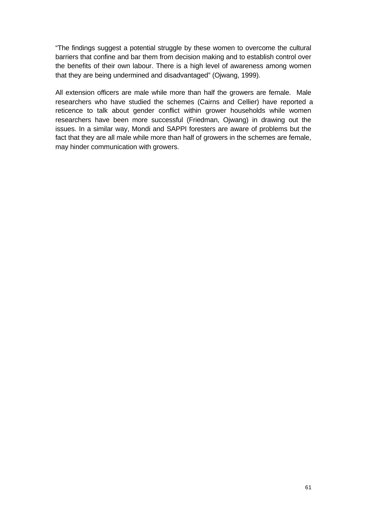"The findings suggest a potential struggle by these women to overcome the cultural barriers that confine and bar them from decision making and to establish control over the benefits of their own labour. There is a high level of awareness among women that they are being undermined and disadvantaged" (Ojwang, 1999).

All extension officers are male while more than half the growers are female. Male researchers who have studied the schemes (Cairns and Cellier) have reported a reticence to talk about gender conflict within grower households while women researchers have been more successful (Friedman, Ojwang) in drawing out the issues. In a similar way, Mondi and SAPPI foresters are aware of problems but the fact that they are all male while more than half of growers in the schemes are female, may hinder communication with growers.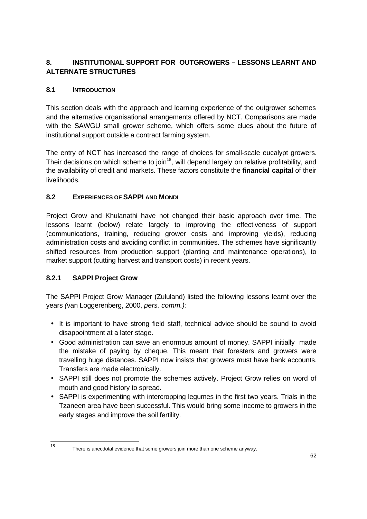# **8. INSTITUTIONAL SUPPORT FOR OUTGROWERS – LESSONS LEARNT AND ALTERNATE STRUCTURES**

# **8.1 INTRODUCTION**

This section deals with the approach and learning experience of the outgrower schemes and the alternative organisational arrangements offered by NCT. Comparisons are made with the SAWGU small grower scheme, which offers some clues about the future of institutional support outside a contract farming system.

The entry of NCT has increased the range of choices for small-scale eucalypt growers. Their decisions on which scheme to join<sup>18</sup>, will depend largely on relative profitability, and the availability of credit and markets. These factors constitute the **financial capital** of their livelihoods.

# **8.2 EXPERIENCES OF SAPPI AND MONDI**

Project Grow and Khulanathi have not changed their basic approach over time. The lessons learnt (below) relate largely to improving the effectiveness of support (communications, training, reducing grower costs and improving yields), reducing administration costs and avoiding conflict in communities. The schemes have significantly shifted resources from production support (planting and maintenance operations), to market support (cutting harvest and transport costs) in recent years.

# **8.2.1 SAPPI Project Grow**

18

The SAPPI Project Grow Manager (Zululand) listed the following lessons learnt over the years *(*van Loggerenberg, 2000, *pers. comm.):*

- It is important to have strong field staff, technical advice should be sound to avoid disappointment at a later stage.
- Good administration can save an enormous amount of money. SAPPI initially made the mistake of paying by cheque. This meant that foresters and growers were travelling huge distances. SAPPI now insists that growers must have bank accounts. Transfers are made electronically.
- SAPPI still does not promote the schemes actively. Project Grow relies on word of mouth and good history to spread.
- SAPPI is experimenting with intercropping legumes in the first two years. Trials in the Tzaneen area have been successful. This would bring some income to growers in the early stages and improve the soil fertility.

There is anecdotal evidence that some growers join more than one scheme anyway.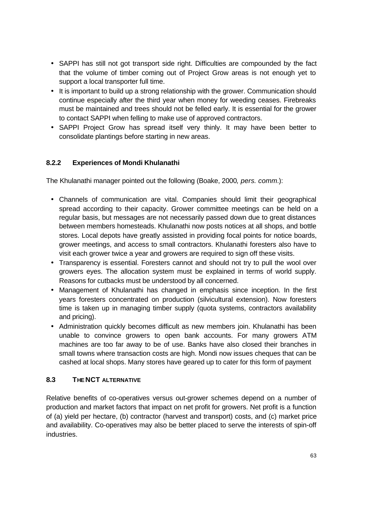- SAPPI has still not got transport side right. Difficulties are compounded by the fact that the volume of timber coming out of Project Grow areas is not enough yet to support a local transporter full time.
- It is important to build up a strong relationship with the grower. Communication should continue especially after the third year when money for weeding ceases. Firebreaks must be maintained and trees should not be felled early. It is essential for the grower to contact SAPPI when felling to make use of approved contractors.
- SAPPI Project Grow has spread itself very thinly. It may have been better to consolidate plantings before starting in new areas.

# **8.2.2 Experiences of Mondi Khulanathi**

The Khulanathi manager pointed out the following (Boake, 2000*, pers. comm.*):

- Channels of communication are vital. Companies should limit their geographical spread according to their capacity. Grower committee meetings can be held on a regular basis, but messages are not necessarily passed down due to great distances between members homesteads. Khulanathi now posts notices at all shops, and bottle stores. Local depots have greatly assisted in providing focal points for notice boards, grower meetings, and access to small contractors. Khulanathi foresters also have to visit each grower twice a year and growers are required to sign off these visits.
- Transparency is essential. Foresters cannot and should not try to pull the wool over growers eyes. The allocation system must be explained in terms of world supply. Reasons for cutbacks must be understood by all concerned.
- Management of Khulanathi has changed in emphasis since inception. In the first years foresters concentrated on production (silvicultural extension). Now foresters time is taken up in managing timber supply (quota systems, contractors availability and pricing).
- Administration quickly becomes difficult as new members join. Khulanathi has been unable to convince growers to open bank accounts. For many growers ATM machines are too far away to be of use. Banks have also closed their branches in small towns where transaction costs are high. Mondi now issues cheques that can be cashed at local shops. Many stores have geared up to cater for this form of payment

### **8.3 THE NCT ALTERNATIVE**

Relative benefits of co-operatives versus out-grower schemes depend on a number of production and market factors that impact on net profit for growers. Net profit is a function of (a) yield per hectare, (b) contractor (harvest and transport) costs, and (c) market price and availability. Co-operatives may also be better placed to serve the interests of spin-off industries.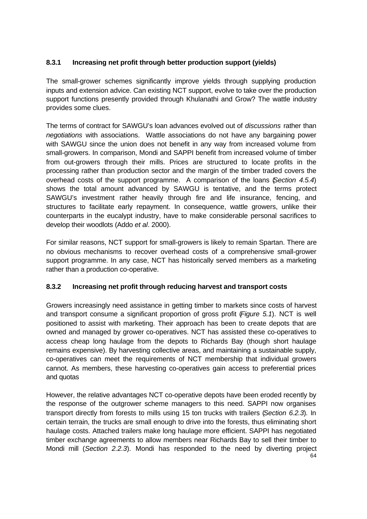# **8.3.1 Increasing net profit through better production support (yields)**

The small-grower schemes significantly improve yields through supplying production inputs and extension advice. Can existing NCT support, evolve to take over the production support functions presently provided through Khulanathi and Grow? The wattle industry provides some clues.

The terms of contract for SAWGU's loan advances evolved out of *discussions* rather than *negotiations* with associations. Wattle associations do not have any bargaining power with SAWGU since the union does not benefit in any way from increased volume from small-growers. In comparison, Mondi and SAPPI benefit from increased volume of timber from out-growers through their mills. Prices are structured to locate profits in the processing rather than production sector and the margin of the timber traded covers the overhead costs of the support programme. A comparison of the loans (*Section 4.5.4*) shows the total amount advanced by SAWGU is tentative, and the terms protect SAWGU's investment rather heavily through fire and life insurance, fencing, and structures to facilitate early repayment. In consequence, wattle growers, unlike their counterparts in the eucalypt industry, have to make considerable personal sacrifices to develop their woodlots (Addo *et al*. 2000).

For similar reasons, NCT support for small-growers is likely to remain Spartan. There are no obvious mechanisms to recover overhead costs of a comprehensive small-grower support programme. In any case, NCT has historically served members as a marketing rather than a production co-operative.

### **8.3.2 Increasing net profit through reducing harvest and transport costs**

Growers increasingly need assistance in getting timber to markets since costs of harvest and transport consume a significant proportion of gross profit (*Figure 5.1*). NCT is well positioned to assist with marketing. Their approach has been to create depots that are owned and managed by grower co-operatives. NCT has assisted these co-operatives to access cheap long haulage from the depots to Richards Bay (though short haulage remains expensive). By harvesting collective areas, and maintaining a sustainable supply, co-operatives can meet the requirements of NCT membership that individual growers cannot. As members, these harvesting co-operatives gain access to preferential prices and quotas

64 However, the relative advantages NCT co-operative depots have been eroded recently by the response of the outgrower scheme managers to this need. SAPPI now organises transport directly from forests to mills using 15 ton trucks with trailers (*Section 6.2.3*). In certain terrain, the trucks are small enough to drive into the forests, thus eliminating short haulage costs. Attached trailers make long haulage more efficient. SAPPI has negotiated timber exchange agreements to allow members near Richards Bay to sell their timber to Mondi mill (*Section 2.2.3*). Mondi has responded to the need by diverting project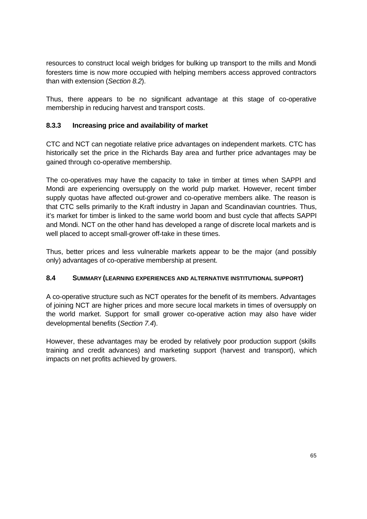resources to construct local weigh bridges for bulking up transport to the mills and Mondi foresters time is now more occupied with helping members access approved contractors than with extension (*Section 8.2*).

Thus, there appears to be no significant advantage at this stage of co-operative membership in reducing harvest and transport costs.

## **8.3.3 Increasing price and availability of market**

CTC and NCT can negotiate relative price advantages on independent markets. CTC has historically set the price in the Richards Bay area and further price advantages may be gained through co-operative membership.

The co-operatives may have the capacity to take in timber at times when SAPPI and Mondi are experiencing oversupply on the world pulp market. However, recent timber supply quotas have affected out-grower and co-operative members alike. The reason is that CTC sells primarily to the Kraft industry in Japan and Scandinavian countries. Thus, it's market for timber is linked to the same world boom and bust cycle that affects SAPPI and Mondi. NCT on the other hand has developed a range of discrete local markets and is well placed to accept small-grower off-take in these times.

Thus, better prices and less vulnerable markets appear to be the major (and possibly only) advantages of co-operative membership at present.

### **8.4 SUMMARY (LEARNING EXPERIENCES AND ALTERNATIVE INSTITUTIONAL SUPPORT)**

A co-operative structure such as NCT operates for the benefit of its members. Advantages of joining NCT are higher prices and more secure local markets in times of oversupply on the world market. Support for small grower co-operative action may also have wider developmental benefits (*Section 7.4*).

However, these advantages may be eroded by relatively poor production support (skills training and credit advances) and marketing support (harvest and transport), which impacts on net profits achieved by growers.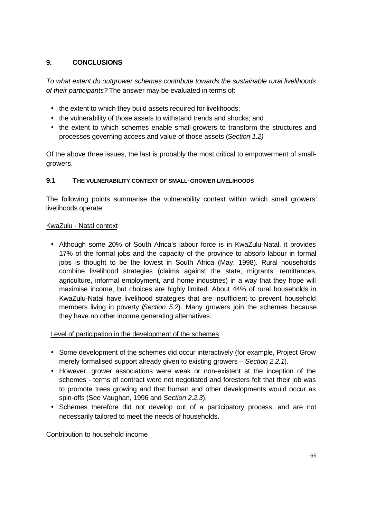# **9. CONCLUSIONS**

*To what extent do outgrower schemes contribute towards the sustainable rural livelihoods of their participants?* The answer may be evaluated in terms of:

- the extent to which they build assets required for livelihoods;
- the vulnerability of those assets to withstand trends and shocks; and
- the extent to which schemes enable small-growers to transform the structures and processes governing access and value of those assets (*Section 1.2)*

Of the above three issues, the last is probably the most critical to empowerment of smallgrowers.

### **9.1 THE VULNERABILITY CONTEXT OF SMALL-GROWER LIVELIHOODS**

The following points summarise the vulnerability context within which small growers' livelihoods operate:

### KwaZulu - Natal context

• Although some 20% of South Africa's labour force is in KwaZulu-Natal, it provides 17% of the formal jobs and the capacity of the province to absorb labour in formal jobs is thought to be the lowest in South Africa (May, 1998). Rural households combine livelihood strategies (claims against the state, migrants' remittances, agriculture, informal employment, and home industries) in a way that they hope will maximise income, but choices are highly limited. About 44% of rural households in KwaZulu-Natal have livelihood strategies that are insufficient to prevent household members living in poverty (*Section 5.2*). Many growers join the schemes because they have no other income generating alternatives.

### Level of participation in the development of the schemes

- Some development of the schemes did occur interactively (for example, Project Grow merely formalised support already given to existing growers – *Section 2.2.1*).
- However, grower associations were weak or non-existent at the inception of the schemes - terms of contract were not negotiated and foresters felt that their job was to promote trees growing and that human and other developments would occur as spin-offs (See Vaughan, 1996 and *Section 2.2.3*).
- Schemes therefore did not develop out of a participatory process, and are not necessarily tailored to meet the needs of households.

#### Contribution to household income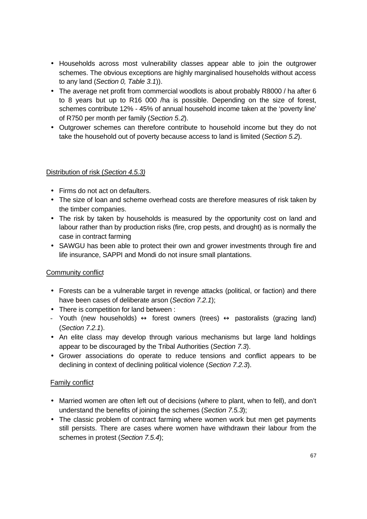- Households across most vulnerability classes appear able to join the outgrower schemes. The obvious exceptions are highly marginalised households without access to any land (*Section 0, Table 3.1*)).
- The average net profit from commercial woodlots is about probably R8000 / ha after 6 to 8 years but up to R16 000 /ha is possible. Depending on the size of forest, schemes contribute 12% - 45% of annual household income taken at the 'poverty line' of R750 per month per family (*Section 5.2*).
- Outgrower schemes can therefore contribute to household income but they do not take the household out of poverty because access to land is limited (*Section 5.2*).

#### Distribution of risk (*Section 4.5.3)*

- Firms do not act on defaulters.
- The size of loan and scheme overhead costs are therefore measures of risk taken by the timber companies.
- The risk by taken by households is measured by the opportunity cost on land and labour rather than by production risks (fire, crop pests, and drought) as is normally the case in contract farming
- SAWGU has been able to protect their own and grower investments through fire and life insurance, SAPPI and Mondi do not insure small plantations.

### Community conflict

- Forests can be a vulnerable target in revenge attacks (political, or faction) and there have been cases of deliberate arson (*Section 7.2.1*);
- There is competition for land between :
- Youth (new households)  $\leftrightarrow$  forest owners (trees)  $\leftrightarrow$  pastoralists (grazing land) (*Section 7.2.1*).
- An elite class may develop through various mechanisms but large land holdings appear to be discouraged by the Tribal Authorities (*Section 7.3*).
- Grower associations do operate to reduce tensions and conflict appears to be declining in context of declining political violence (*Section 7.2.3*).

### Family conflict

- Married women are often left out of decisions (where to plant, when to fell), and don't understand the benefits of joining the schemes (*Section 7.5.3*);
- The classic problem of contract farming where women work but men get payments still persists. There are cases where women have withdrawn their labour from the schemes in protest (*Section 7.5.4*);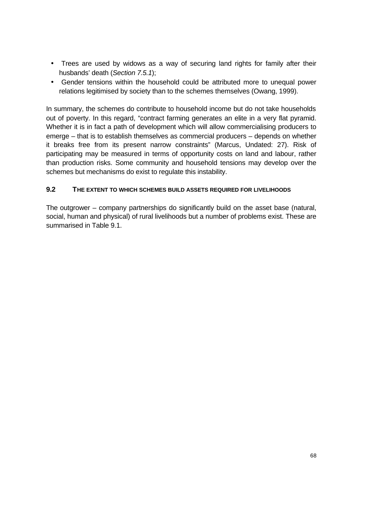- Trees are used by widows as a way of securing land rights for family after their husbands' death (*Section 7.5.1*);
- Gender tensions within the household could be attributed more to unequal power relations legitimised by society than to the schemes themselves (Owang, 1999).

In summary, the schemes do contribute to household income but do not take households out of poverty. In this regard, "contract farming generates an elite in a very flat pyramid. Whether it is in fact a path of development which will allow commercialising producers to emerge – that is to establish themselves as commercial producers – depends on whether it breaks free from its present narrow constraints" (Marcus, Undated: 27). Risk of participating may be measured in terms of opportunity costs on land and labour, rather than production risks. Some community and household tensions may develop over the schemes but mechanisms do exist to regulate this instability.

### **9.2 THE EXTENT TO WHICH SCHEMES BUILD ASSETS REQUIRED FOR LIVELIHOODS**

The outgrower – company partnerships do significantly build on the asset base (natural, social, human and physical) of rural livelihoods but a number of problems exist. These are summarised in Table 9.1.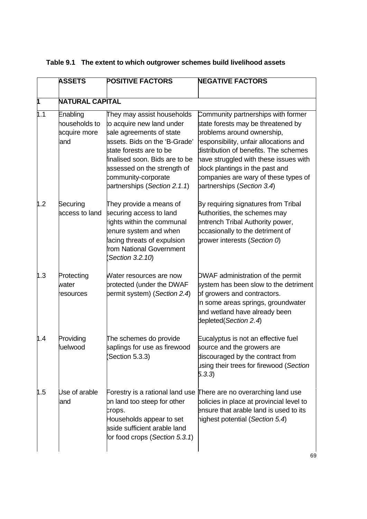|  | Table 9.1 The extent to which outgrower schemes build livelihood assets |  |
|--|-------------------------------------------------------------------------|--|
|--|-------------------------------------------------------------------------|--|

|                  | <b>ASSETS</b>                                    | <b>POSITIVE FACTORS</b>                                                                                                                                                                                                                                                 | <b>NEGATIVE FACTORS</b>                                                                                                                                                                                                                                                                                                                     |  |
|------------------|--------------------------------------------------|-------------------------------------------------------------------------------------------------------------------------------------------------------------------------------------------------------------------------------------------------------------------------|---------------------------------------------------------------------------------------------------------------------------------------------------------------------------------------------------------------------------------------------------------------------------------------------------------------------------------------------|--|
|                  | <b>NATURAL CAPITAL</b>                           |                                                                                                                                                                                                                                                                         |                                                                                                                                                                                                                                                                                                                                             |  |
| 1.1              | Enabling<br>households to<br>acquire more<br>and | They may assist households<br>to acquire new land under<br>sale agreements of state<br>assets. Bids on the 'B-Grade'<br>state forests are to be<br>finalised soon. Bids are to be<br>assessed on the strength of<br>community-corporate<br>partnerships (Section 2.1.1) | Community partnerships with former<br>state forests may be threatened by<br>problems around ownership,<br>responsibility, unfair allocations and<br>distribution of benefits. The schemes<br>have struggled with these issues with<br>plock plantings in the past and<br>companies are wary of these types of<br>partnerships (Section 3.4) |  |
| 1.2              | Securing<br>access to land                       | They provide a means of<br>securing access to land<br>rights within the communal<br>enure system and when<br>acing threats of expulsion<br>rom National Government<br>Section 3.2.10)                                                                                   | By requiring signatures from Tribal<br>Authorities, the schemes may<br>entrench Tribal Authority power,<br>pccasionally to the detriment of<br>grower interests (Section 0)                                                                                                                                                                 |  |
| 1.3              | Protecting<br>water<br>esources                  | Water resources are now<br>protected (under the DWAF<br>bermit system) (Section 2.4)                                                                                                                                                                                    | DWAF administration of the permit<br>system has been slow to the detriment<br>of growers and contractors.<br>In some areas springs, groundwater<br>and wetland have already been<br>depleted (Section 2.4)                                                                                                                                  |  |
| 1.4              | Providing<br>fuelwood                            | The schemes do provide<br>saplings for use as firewood<br>Section 5.3.3)                                                                                                                                                                                                | Eucalyptus is not an effective fuel<br>source and the growers are<br>discouraged by the contract from<br>using their trees for firewood (Section<br>5.3.3                                                                                                                                                                                   |  |
| $\mathfrak{h}.5$ | Use of arable<br>and                             | on land too steep for other<br>crops.<br>Households appear to set<br>aside sufficient arable land<br>for food crops (Section 5.3.1)                                                                                                                                     | Forestry is a rational land use There are no overarching land use<br>bolicies in place at provincial level to<br>ensure that arable land is used to its<br>highest potential (Section 5.4)                                                                                                                                                  |  |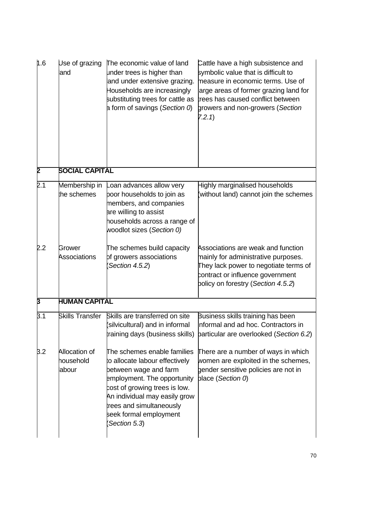| 1.6              | Use of grazing<br>and               | The economic value of land<br>under trees is higher than<br>and under extensive grazing.<br>Households are increasingly<br>substituting trees for cattle as<br>a form of savings (Section 0)                                                                 | Cattle have a high subsistence and<br>symbolic value that is difficult to<br>measure in economic terms. Use of<br>arge areas of former grazing land for<br>trees has caused conflict between<br>growers and non-growers (Section<br>7.2.1 |  |
|------------------|-------------------------------------|--------------------------------------------------------------------------------------------------------------------------------------------------------------------------------------------------------------------------------------------------------------|-------------------------------------------------------------------------------------------------------------------------------------------------------------------------------------------------------------------------------------------|--|
| Þ                | <b>SOCIAL CAPITAL</b>               |                                                                                                                                                                                                                                                              |                                                                                                                                                                                                                                           |  |
| 2.1              | Membership in<br>the schemes        | oan advances allow very<br>boor households to join as<br>members, and companies<br>are willing to assist<br>households across a range of<br>woodlot sizes (Section 0)                                                                                        | <b>Highly marginalised households</b><br>(without land) cannot join the schemes                                                                                                                                                           |  |
| 2.2              | Grower<br>Associations              | The schemes build capacity<br>of growers associations<br>Section 4.5.2)                                                                                                                                                                                      | Associations are weak and function<br>mainly for administrative purposes.<br>They lack power to negotiate terms of<br>contract or influence government<br>policy on forestry (Section 4.5.2)                                              |  |
| β                | <b>HUMAN CAPITAL</b>                |                                                                                                                                                                                                                                                              |                                                                                                                                                                                                                                           |  |
| $\overline{3.1}$ | <b>Skills Transfer</b>              | Skills are transferred on site<br>(silvicultural) and in informal                                                                                                                                                                                            | Business skills training has been<br>nformal and ad hoc. Contractors in<br>raining days (business skills) barticular are overlooked (Section 6.2)                                                                                         |  |
| B.2              | Allocation of<br>household<br>abour | The schemes enable families<br>to allocate labour effectively<br>between wage and farm<br>employment. The opportunity<br>cost of growing trees is low.<br>An individual may easily grow<br>rees and simultaneously<br>seek formal employment<br>Section 5.3) | There are a number of ways in which<br>women are exploited in the schemes,<br>gender sensitive policies are not in<br>place (Section 0)                                                                                                   |  |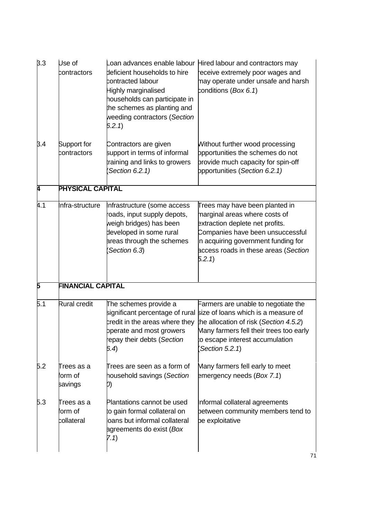| B.3 | Use of<br>contractors              | deficient households to hire<br>contracted labour<br>Highly marginalised<br>households can participate in<br>the schemes as planting and<br>weeding contractors (Section<br>6.2.1) | oan advances enable labour Hired labour and contractors may<br>receive extremely poor wages and<br>may operate under unsafe and harsh<br>conditions (Box 6.1)                                                                                        |  |
|-----|------------------------------------|------------------------------------------------------------------------------------------------------------------------------------------------------------------------------------|------------------------------------------------------------------------------------------------------------------------------------------------------------------------------------------------------------------------------------------------------|--|
| 3.4 | Support for<br>contractors         | Contractors are given<br>support in terms of informal<br>training and links to growers<br>Section 6.2.1)                                                                           | Without further wood processing<br>ppportunities the schemes do not<br>provide much capacity for spin-off<br>opportunities (Section 6.2.1)                                                                                                           |  |
| Ā   | PHYSICAL CAPITAL                   |                                                                                                                                                                                    |                                                                                                                                                                                                                                                      |  |
| k.1 | nfra-structure                     | Infrastructure (some access<br>oads, input supply depots,<br>weigh bridges) has been<br>developed in some rural<br>areas through the schemes<br>Section 6.3)                       | Trees may have been planted in<br>marginal areas where costs of<br>extraction deplete net profits.<br>Companies have been unsuccessful<br>n acquiring government funding for<br>access roads in these areas (Section<br>5.2.1                        |  |
| Б   | <b>FINANCIAL CAPITAL</b>           |                                                                                                                                                                                    |                                                                                                                                                                                                                                                      |  |
| Б.1 | <b>Rural credit</b>                | The schemes provide a<br>credit in the areas where they<br>bperate and most growers<br>repay their debts (Section<br>6.4)                                                          | Farmers are unable to negotiate the<br>significant percentage of rural size of loans which is a measure of<br>the allocation of risk (Section 4.5.2)<br>Many farmers fell their trees too early<br>to escape interest accumulation<br>Section 5.2.1) |  |
| 5.2 | Trees as a<br>orm of<br>savings    | Trees are seen as a form of<br>household savings (Section<br>D)                                                                                                                    | Many farmers fell early to meet<br>emergency needs (Box 7.1)                                                                                                                                                                                         |  |
| Б.З | Trees as a<br>orm of<br>collateral | Plantations cannot be used<br>to gain formal collateral on<br>oans but informal collateral<br>agreements do exist (Box<br>(7.1)                                                    | Informal collateral agreements<br>between community members tend to<br>be exploitative                                                                                                                                                               |  |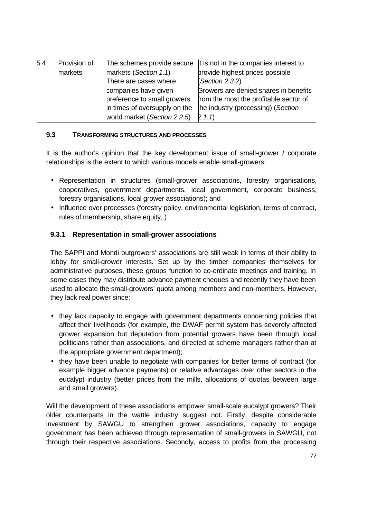| 5.4 | Provision of |                               | The schemes provide secure $\ $ t is not in the companies interest to |
|-----|--------------|-------------------------------|-----------------------------------------------------------------------|
|     | markets      | markets (Section 1.1)         | provide highest prices possible                                       |
|     |              | There are cases where         | (Section 2.3.2)                                                       |
|     |              | companies have given          | Growers are denied shares in benefits                                 |
|     |              | breference to small growers   | from the most the profitable sector of                                |
|     |              | In times of oversupply on the | the industry (processing) (Section                                    |
|     |              | world market (Section 2.2.5)  | (2.1.1)                                                               |

#### **9.3 TRANSFORMING STRUCTURES AND PROCESSES**

It is the author's opinion that the key development issue of small-grower / corporate relationships is the extent to which various models enable small-growers:

- Representation in structures (small-grower associations, forestry organisations, cooperatives, government departments, local government, corporate business, forestry organisations, local grower associations); and
- Influence over processes (forestry policy, environmental legislation, terms of contract, rules of membership, share equity, )

### **9.3.1 Representation in small-grower associations**

The SAPPI and Mondi outgrowers' associations are still weak in terms of their ability to lobby for small-grower interests. Set up by the timber companies themselves for administrative purposes, these groups function to co-ordinate meetings and training. In some cases they may distribute advance payment cheques and recently they have been used to allocate the small-growers' quota among members and non-members. However, they lack real power since:

- they lack capacity to engage with government departments concerning policies that affect their livelihoods (for example, the DWAF permit system has severely affected grower expansion but deputation from potential growers have been through local politicians rather than associations, and directed at scheme managers rather than at the appropriate government department);
- they have been unable to negotiate with companies for better terms of contract (for example bigger advance payments) or relative advantages over other sectors in the eucalypt industry (better prices from the mills, allocations of quotas between large and small growers).

Will the development of these associations empower small-scale eucalypt growers? Their older counterparts in the wattle industry suggest not. Firstly, despite considerable investment by SAWGU to strengthen grower associations, capacity to engage government has been achieved through representation of small-growers in SAWGU, not through their respective associations. Secondly, access to profits from the processing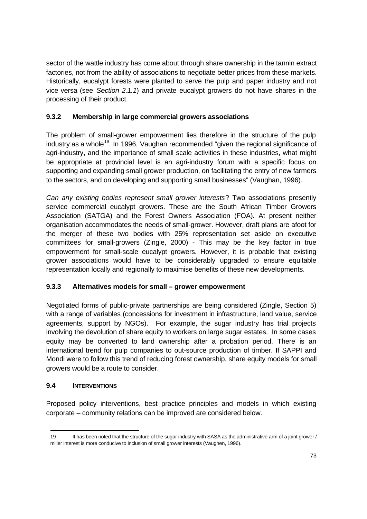sector of the wattle industry has come about through share ownership in the tannin extract factories, not from the ability of associations to negotiate better prices from these markets. Historically, eucalypt forests were planted to serve the pulp and paper industry and not vice versa (see *Section 2.1.1*) and private eucalypt growers do not have shares in the processing of their product.

### **9.3.2 Membership in large commercial growers associations**

The problem of small-grower empowerment lies therefore in the structure of the pulp industry as a whole<sup>19</sup>. In 1996, Vaughan recommended "given the regional significance of agri-industry, and the importance of small scale activities in these industries, what might be appropriate at provincial level is an agri-industry forum with a specific focus on supporting and expanding small grower production, on facilitating the entry of new farmers to the sectors, and on developing and supporting small businesses" (Vaughan, 1996).

*Can any existing bodies represent small grower interests*? Two associations presently service commercial eucalypt growers. These are the South African Timber Growers Association (SATGA) and the Forest Owners Association (FOA). At present neither organisation accommodates the needs of small-grower. However, draft plans are afoot for the merger of these two bodies with 25% representation set aside on executive committees for small-growers (Zingle, 2000) - This may be the key factor in true empowerment for small-scale eucalypt growers. However, it is probable that existing grower associations would have to be considerably upgraded to ensure equitable representation locally and regionally to maximise benefits of these new developments.

### **9.3.3 Alternatives models for small – grower empowerment**

Negotiated forms of public-private partnerships are being considered (Zingle, Section 5) with a range of variables (concessions for investment in infrastructure, land value, service agreements, support by NGOs). For example, the sugar industry has trial projects involving the devolution of share equity to workers on large sugar estates. In some cases equity may be converted to land ownership after a probation period. There is an international trend for pulp companies to out-source production of timber. If SAPPI and Mondi were to follow this trend of reducing forest ownership, share equity models for small growers would be a route to consider.

### **9.4 INTERVENTIONS**

j

Proposed policy interventions, best practice principles and models in which existing corporate – community relations can be improved are considered below.

<sup>19</sup> It has been noted that the structure of the sugar industry with SASA as the administrative arm of a joint grower / miller interest is more conducive to inclusion of small grower interests (Vaughen, 1996).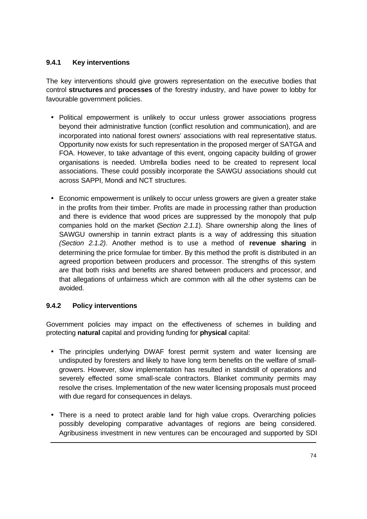## **9.4.1 Key interventions**

The key interventions should give growers representation on the executive bodies that control **structures** and **processes** of the forestry industry, and have power to lobby for favourable government policies.

- Political empowerment is unlikely to occur unless grower associations progress beyond their administrative function (conflict resolution and communication), and are incorporated into national forest owners' associations with real representative status. Opportunity now exists for such representation in the proposed merger of SATGA and FOA. However, to take advantage of this event, ongoing capacity building of grower organisations is needed. Umbrella bodies need to be created to represent local associations. These could possibly incorporate the SAWGU associations should cut across SAPPI, Mondi and NCT structures.
- Economic empowerment is unlikely to occur unless growers are given a greater stake in the profits from their timber. Profits are made in processing rather than production and there is evidence that wood prices are suppressed by the monopoly that pulp companies hold on the market (*Section 2.1.1*). Share ownership along the lines of SAWGU ownership in tannin extract plants is a way of addressing this situation *(Section 2.1.2)*. Another method is to use a method of **revenue sharing** in determining the price formulae for timber. By this method the profit is distributed in an agreed proportion between producers and processor. The strengths of this system are that both risks and benefits are shared between producers and processor, and that allegations of unfairness which are common with all the other systems can be avoided.

# **9.4.2 Policy interventions**

j

Government policies may impact on the effectiveness of schemes in building and protecting **natural** capital and providing funding for **physical** capital:

- The principles underlying DWAF forest permit system and water licensing are undisputed by foresters and likely to have long term benefits on the welfare of smallgrowers. However, slow implementation has resulted in standstill of operations and severely effected some small-scale contractors. Blanket community permits may resolve the crises. Implementation of the new water licensing proposals must proceed with due regard for consequences in delays.
- There is a need to protect arable land for high value crops. Overarching policies possibly developing comparative advantages of regions are being considered. Agribusiness investment in new ventures can be encouraged and supported by SDI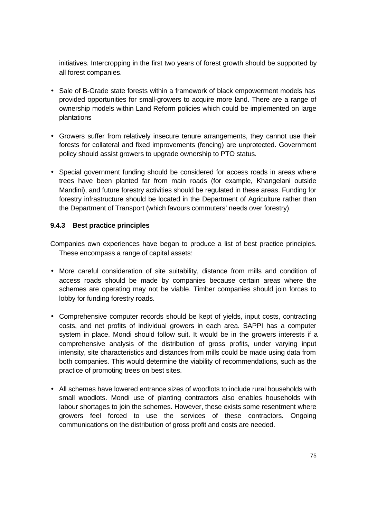initiatives. Intercropping in the first two years of forest growth should be supported by all forest companies.

- Sale of B-Grade state forests within a framework of black empowerment models has provided opportunities for small-growers to acquire more land. There are a range of ownership models within Land Reform policies which could be implemented on large plantations
- Growers suffer from relatively insecure tenure arrangements, they cannot use their forests for collateral and fixed improvements (fencing) are unprotected. Government policy should assist growers to upgrade ownership to PTO status.
- Special government funding should be considered for access roads in areas where trees have been planted far from main roads (for example, Khangelani outside Mandini), and future forestry activities should be regulated in these areas. Funding for forestry infrastructure should be located in the Department of Agriculture rather than the Department of Transport (which favours commuters' needs over forestry).

### **9.4.3 Best practice principles**

Companies own experiences have began to produce a list of best practice principles. These encompass a range of capital assets:

- More careful consideration of site suitability, distance from mills and condition of access roads should be made by companies because certain areas where the schemes are operating may not be viable. Timber companies should join forces to lobby for funding forestry roads.
- Comprehensive computer records should be kept of yields, input costs, contracting costs, and net profits of individual growers in each area. SAPPI has a computer system in place. Mondi should follow suit. It would be in the growers interests if a comprehensive analysis of the distribution of gross profits, under varying input intensity, site characteristics and distances from mills could be made using data from both companies. This would determine the viability of recommendations, such as the practice of promoting trees on best sites.
- All schemes have lowered entrance sizes of woodlots to include rural households with small woodlots. Mondi use of planting contractors also enables households with labour shortages to join the schemes. However, these exists some resentment where growers feel forced to use the services of these contractors. Ongoing communications on the distribution of gross profit and costs are needed.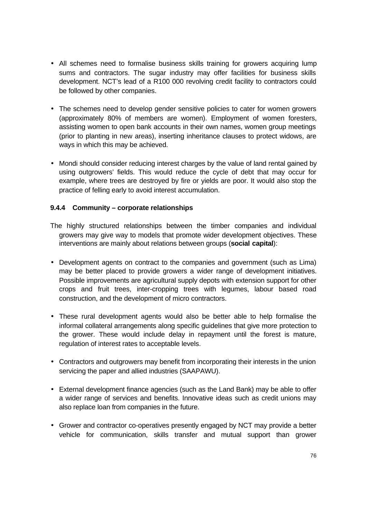- All schemes need to formalise business skills training for growers acquiring lump sums and contractors. The sugar industry may offer facilities for business skills development. NCT's lead of a R100 000 revolving credit facility to contractors could be followed by other companies.
- The schemes need to develop gender sensitive policies to cater for women growers (approximately 80% of members are women). Employment of women foresters, assisting women to open bank accounts in their own names, women group meetings (prior to planting in new areas), inserting inheritance clauses to protect widows, are ways in which this may be achieved.
- Mondi should consider reducing interest charges by the value of land rental gained by using outgrowers' fields. This would reduce the cycle of debt that may occur for example, where trees are destroyed by fire or yields are poor. It would also stop the practice of felling early to avoid interest accumulation.

#### **9.4.4 Community – corporate relationships**

- The highly structured relationships between the timber companies and individual growers may give way to models that promote wider development objectives. These interventions are mainly about relations between groups (**social capital**):
- Development agents on contract to the companies and government (such as Lima) may be better placed to provide growers a wider range of development initiatives. Possible improvements are agricultural supply depots with extension support for other crops and fruit trees, inter-cropping trees with legumes, labour based road construction, and the development of micro contractors.
- These rural development agents would also be better able to help formalise the informal collateral arrangements along specific guidelines that give more protection to the grower. These would include delay in repayment until the forest is mature, regulation of interest rates to acceptable levels.
- Contractors and outgrowers may benefit from incorporating their interests in the union servicing the paper and allied industries (SAAPAWU).
- External development finance agencies (such as the Land Bank) may be able to offer a wider range of services and benefits. Innovative ideas such as credit unions may also replace loan from companies in the future.
- Grower and contractor co-operatives presently engaged by NCT may provide a better vehicle for communication, skills transfer and mutual support than grower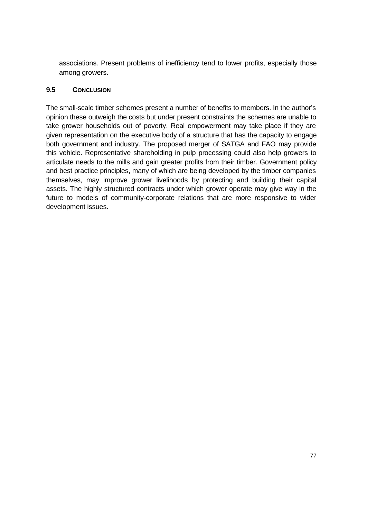associations. Present problems of inefficiency tend to lower profits, especially those among growers.

#### **9.5 CONCLUSION**

The small-scale timber schemes present a number of benefits to members. In the author's opinion these outweigh the costs but under present constraints the schemes are unable to take grower households out of poverty. Real empowerment may take place if they are given representation on the executive body of a structure that has the capacity to engage both government and industry. The proposed merger of SATGA and FAO may provide this vehicle. Representative shareholding in pulp processing could also help growers to articulate needs to the mills and gain greater profits from their timber. Government policy and best practice principles, many of which are being developed by the timber companies themselves, may improve grower livelihoods by protecting and building their capital assets. The highly structured contracts under which grower operate may give way in the future to models of community-corporate relations that are more responsive to wider development issues.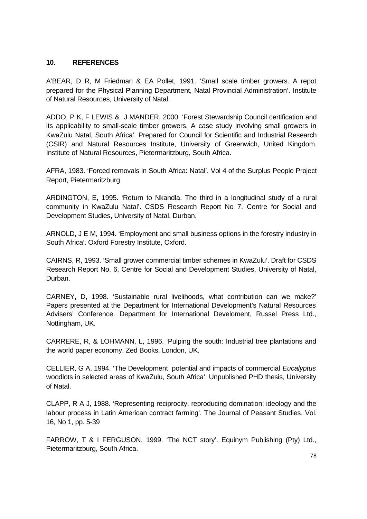#### **10. REFERENCES**

A'BEAR, D R, M Friedman & EA Pollet, 1991. 'Small scale timber growers. A repot prepared for the Physical Planning Department, Natal Provincial Administration'. Institute of Natural Resources, University of Natal.

ADDO, P K, F LEWIS & J MANDER, 2000. 'Forest Stewardship Council certification and its applicability to small-scale timber growers. A case study involving small growers in KwaZulu Natal, South Africa'. Prepared for Council for Scientific and Industrial Research (CSIR) and Natural Resources Institute, University of Greenwich, United Kingdom. Institute of Natural Resources, Pietermaritzburg, South Africa.

AFRA, 1983. 'Forced removals in South Africa: Natal'. Vol 4 of the Surplus People Project Report, Pietermaritzburg.

ARDINGTON, E, 1995. 'Return to Nkandla. The third in a longitudinal study of a rural community in KwaZulu Natal'. CSDS Research Report No 7. Centre for Social and Development Studies, University of Natal, Durban.

ARNOLD, J E M, 1994. 'Employment and small business options in the forestry industry in South Africa'. Oxford Forestry Institute, Oxford.

CAIRNS, R, 1993. 'Small grower commercial timber schemes in KwaZulu'. Draft for CSDS Research Report No. 6, Centre for Social and Development Studies, University of Natal, Durban.

CARNEY, D, 1998. 'Sustainable rural livelihoods, what contribution can we make?' Papers presented at the Department for International Development's Natural Resources Advisers' Conference. Department for International Develoment, Russel Press Ltd., Nottingham, UK.

CARRERE, R, & LOHMANN, L, 1996. 'Pulping the south: Industrial tree plantations and the world paper economy. Zed Books, London, UK.

CELLIER, G A, 1994. 'The Development potential and impacts of commercial *Eucalyptus* woodlots in selected areas of KwaZulu, South Africa'. Unpublished PHD thesis, University of Natal.

CLAPP, R A J, 1988. 'Representing reciprocity, reproducing domination: ideology and the labour process in Latin American contract farming'. The Journal of Peasant Studies. Vol. 16, No 1, pp. 5-39

FARROW, T & I FERGUSON, 1999. 'The NCT story'. Equinym Publishing (Pty) Ltd., Pietermaritzburg, South Africa.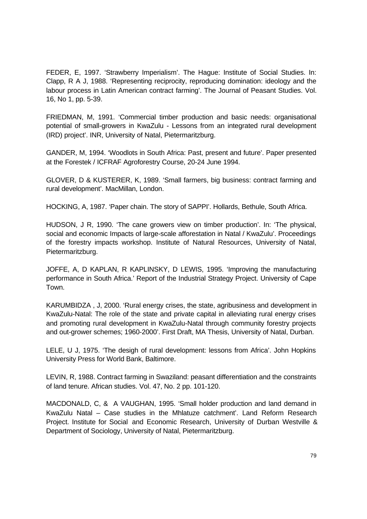FEDER, E, 1997. 'Strawberry Imperialism'. The Hague: Institute of Social Studies. In: Clapp, R A J, 1988. 'Representing reciprocity, reproducing domination: ideology and the labour process in Latin American contract farming'. The Journal of Peasant Studies. Vol. 16, No 1, pp. 5-39.

FRIEDMAN, M, 1991. 'Commercial timber production and basic needs: organisational potential of small-growers in KwaZulu - Lessons from an integrated rural development (IRD) project'. INR, University of Natal, Pietermaritzburg.

GANDER, M, 1994. 'Woodlots in South Africa: Past, present and future'. Paper presented at the Forestek / ICFRAF Agroforestry Course, 20-24 June 1994.

GLOVER, D & KUSTERER, K, 1989. 'Small farmers, big business: contract farming and rural development'. MacMillan, London.

HOCKING, A, 1987. 'Paper chain. The story of SAPPI'. Hollards, Bethule, South Africa.

HUDSON, J R, 1990. 'The cane growers view on timber production'. In: 'The physical, social and economic Impacts of large-scale afforestation in Natal / KwaZulu'. Proceedings of the forestry impacts workshop. Institute of Natural Resources, University of Natal, Pietermaritzburg.

JOFFE, A, D KAPLAN, R KAPLINSKY, D LEWIS, 1995. 'Improving the manufacturing performance in South Africa.' Report of the Industrial Strategy Project. University of Cape Town.

KARUMBIDZA , J, 2000. 'Rural energy crises, the state, agribusiness and development in KwaZulu-Natal: The role of the state and private capital in alleviating rural energy crises and promoting rural development in KwaZulu-Natal through community forestry projects and out-grower schemes; 1960-2000'. First Draft, MA Thesis, University of Natal, Durban.

LELE, U J, 1975. 'The desigh of rural development: lessons from Africa'. John Hopkins University Press for World Bank, Baltimore.

LEVIN, R, 1988. Contract farming in Swaziland: peasant differentiation and the constraints of land tenure. African studies. Vol. 47, No. 2 pp. 101-120.

MACDONALD, C, & A VAUGHAN, 1995. 'Small holder production and land demand in KwaZulu Natal – Case studies in the Mhlatuze catchment'. Land Reform Research Project. Institute for Social and Economic Research, University of Durban Westville & Department of Sociology, University of Natal, Pietermaritzburg.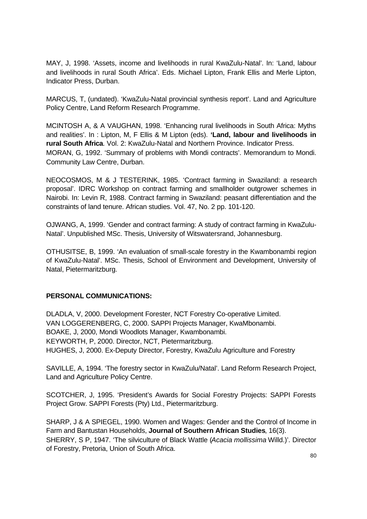MAY, J, 1998. 'Assets, income and livelihoods in rural KwaZulu-Natal'. In: 'Land, labour and livelihoods in rural South Africa'. Eds. Michael Lipton, Frank Ellis and Merle Lipton, Indicator Press, Durban.

MARCUS, T, (undated). 'KwaZulu-Natal provincial synthesis report'. Land and Agriculture Policy Centre, Land Reform Research Programme.

MCINTOSH A, & A VAUGHAN, 1998. 'Enhancing rural livelihoods in South Africa: Myths and realities'. In : Lipton, M, F Ellis & M Lipton (eds). **'Land, labour and livelihoods in rural South Africa**. Vol. 2: KwaZulu-Natal and Northern Province. Indicator Press. MORAN, G, 1992. 'Summary of problems with Mondi contracts'. Memorandum to Mondi. Community Law Centre, Durban.

NEOCOSMOS, M & J TESTERINK, 1985. 'Contract farming in Swaziland: a research proposal'. IDRC Workshop on contract farming and smallholder outgrower schemes in Nairobi. In: Levin R, 1988. Contract farming in Swaziland: peasant differentiation and the constraints of land tenure. African studies. Vol. 47, No. 2 pp. 101-120.

OJWANG, A, 1999. 'Gender and contract farming: A study of contract farming in KwaZulu-Natal'. Unpublished MSc. Thesis, University of Witswatersrand, Johannesburg.

OTHUSITSE, B, 1999. 'An evaluation of small-scale forestry in the Kwambonambi region of KwaZulu-Natal'. MSc. Thesis, School of Environment and Development, University of Natal, Pietermaritzburg.

#### **PERSONAL COMMUNICATIONS:**

DLADLA, V, 2000. Development Forester, NCT Forestry Co-operative Limited. VAN LOGGERENBERG, C, 2000. SAPPI Projects Manager, KwaMbonambi. BOAKE, J, 2000, Mondi Woodlots Manager, Kwambonambi. KEYWORTH, P, 2000. Director, NCT, Pietermaritzburg. HUGHES, J, 2000. Ex-Deputy Director, Forestry, KwaZulu Agriculture and Forestry

SAVILLE, A, 1994. 'The forestry sector in KwaZulu/Natal'. Land Reform Research Project, Land and Agriculture Policy Centre.

SCOTCHER, J, 1995. 'President's Awards for Social Forestry Projects: SAPPI Forests Project Grow. SAPPI Forests (Pty) Ltd., Pietermaritzburg.

SHARP, J & A SPIEGEL, 1990. Women and Wages: Gender and the Control of Income in Farm and Bantustan Households, **Journal of Southern African Studies**, 16(3). SHERRY, S P, 1947. 'The silviculture of Black Wattle (*Acacia mollissima* Willd.)'. Director of Forestry, Pretoria, Union of South Africa.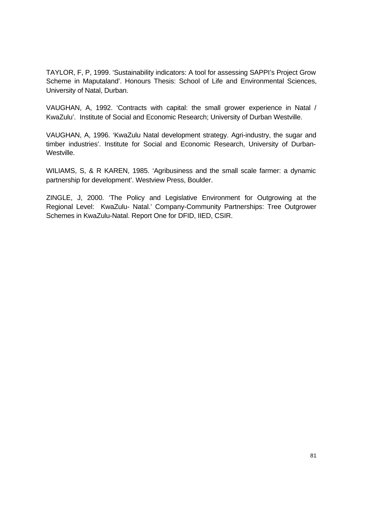TAYLOR, F, P, 1999. 'Sustainability indicators: A tool for assessing SAPPI's Project Grow Scheme in Maputaland'. Honours Thesis: School of Life and Environmental Sciences, University of Natal, Durban.

VAUGHAN, A, 1992. 'Contracts with capital: the small grower experience in Natal / KwaZulu'. Institute of Social and Economic Research; University of Durban Westville.

VAUGHAN, A, 1996. 'KwaZulu Natal development strategy. Agri-industry, the sugar and timber industries'. Institute for Social and Economic Research, University of Durban-Westville.

WILIAMS, S, & R KAREN, 1985. 'Agribusiness and the small scale farmer: a dynamic partnership for development'. Westview Press, Boulder.

ZINGLE, J, 2000. 'The Policy and Legislative Environment for Outgrowing at the Regional Level: KwaZulu- Natal.' Company-Community Partnerships: Tree Outgrower Schemes in KwaZulu-Natal. Report One for DFID, IIED, CSIR.